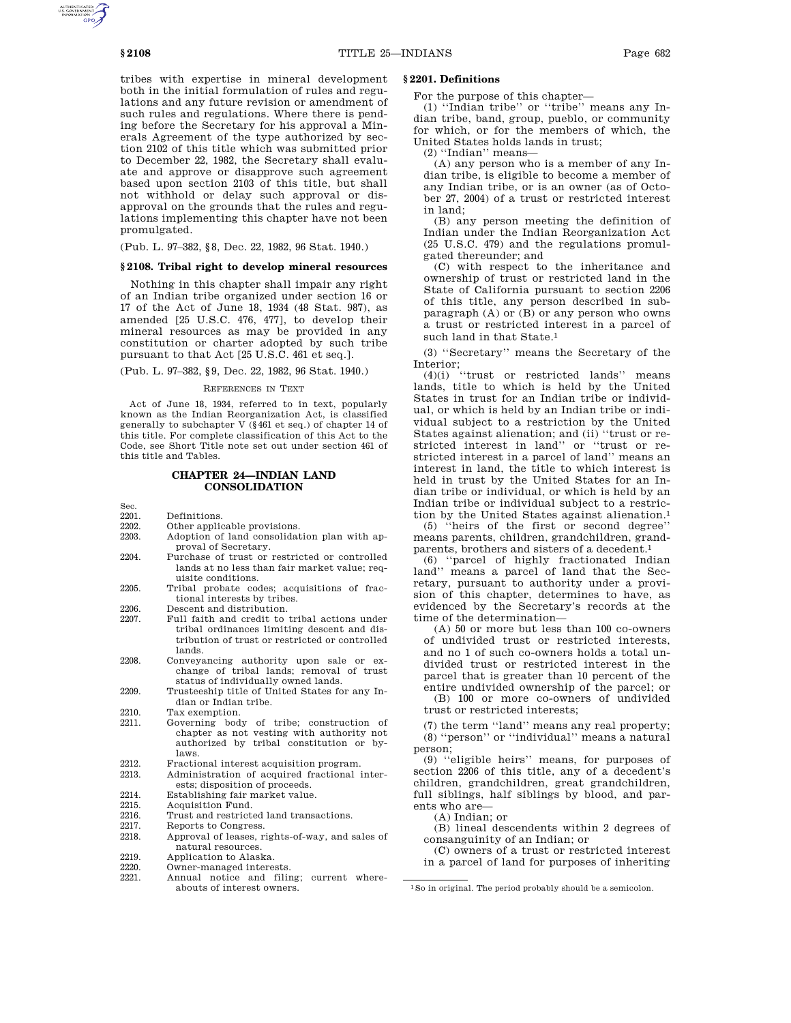tribes with expertise in mineral development both in the initial formulation of rules and regulations and any future revision or amendment of such rules and regulations. Where there is pending before the Secretary for his approval a Minerals Agreement of the type authorized by section 2102 of this title which was submitted prior to December 22, 1982, the Secretary shall evaluate and approve or disapprove such agreement based upon section 2103 of this title, but shall not withhold or delay such approval or disapproval on the grounds that the rules and regulations implementing this chapter have not been promulgated.

(Pub. L. 97–382, §8, Dec. 22, 1982, 96 Stat. 1940.)

#### **§ 2108. Tribal right to develop mineral resources**

Nothing in this chapter shall impair any right of an Indian tribe organized under section 16 or 17 of the Act of June 18, 1934 (48 Stat. 987), as amended [25 U.S.C. 476, 477], to develop their mineral resources as may be provided in any constitution or charter adopted by such tribe pursuant to that Act [25 U.S.C. 461 et seq.].

(Pub. L. 97–382, §9, Dec. 22, 1982, 96 Stat. 1940.)

### REFERENCES IN TEXT

Act of June 18, 1934, referred to in text, popularly known as the Indian Reorganization Act, is classified generally to subchapter V (§461 et seq.) of chapter 14 of this title. For complete classification of this Act to the Code, see Short Title note set out under section 461 of this title and Tables.

### **CHAPTER 24—INDIAN LAND CONSOLIDATION**

Sec.

- 2201. Definitions.<br>2202. Other applic
- 2202. Other applicable provisions.<br>2203. Adoption of land consolidat Adoption of land consolidation plan with approval of Secretary.
- 2204. Purchase of trust or restricted or controlled lands at no less than fair market value; requisite conditions.
- 2205. Tribal probate codes; acquisitions of fractional interests by tribes.
- 2206. Descent and distribution.
- 2207. Full faith and credit to tribal actions under tribal ordinances limiting descent and distribution of trust or restricted or controlled lands.
- 2208. Conveyancing authority upon sale or exchange of tribal lands; removal of trust status of individually owned lands.
- 2209. Trusteeship title of United States for any Indian or Indian tribe.
- 2210. Tax exemption.<br>2211. Governing bod
- Governing body of tribe; construction of chapter as not vesting with authority not authorized by tribal constitution or bylaws.
- 2212. Fractional interest acquisition program.<br>2213. Administration of acquired fractional i
- Administration of acquired fractional interests; disposition of proceeds.
- 2214. Establishing fair market value.<br>2215. Acquisition Fund.
- 2215. Acquisition Fund.
- 2216. Trust and restricted land transactions.<br>2217. Reports to Congress.
- 2217. Reports to Congress.<br>2218. Approval of leases. r
	- Approval of leases, rights-of-way, and sales of natural resources.
- 2219. Application to Alaska.
- 2220. Owner-managed interests.<br>2221. Annual notice and filir
- Annual notice and filing; current whereabouts of interest owners.

### **§ 2201. Definitions**

For the purpose of this chapter—

(1) ''Indian tribe'' or ''tribe'' means any Indian tribe, band, group, pueblo, or community for which, or for the members of which, the United States holds lands in trust;

(2) ''Indian'' means—

(A) any person who is a member of any Indian tribe, is eligible to become a member of any Indian tribe, or is an owner (as of October 27, 2004) of a trust or restricted interest in land;

(B) any person meeting the definition of Indian under the Indian Reorganization Act (25 U.S.C. 479) and the regulations promulgated thereunder; and

(C) with respect to the inheritance and ownership of trust or restricted land in the State of California pursuant to section 2206 of this title, any person described in subparagraph  $(A)$  or  $(B)$  or any person who owns a trust or restricted interest in a parcel of such land in that State.1

(3) ''Secretary'' means the Secretary of the Interior;

(4)(i) ''trust or restricted lands'' means lands, title to which is held by the United States in trust for an Indian tribe or individual, or which is held by an Indian tribe or individual subject to a restriction by the United States against alienation; and (ii) ''trust or restricted interest in land'' or ''trust or restricted interest in a parcel of land'' means an interest in land, the title to which interest is held in trust by the United States for an Indian tribe or individual, or which is held by an Indian tribe or individual subject to a restriction by the United States against alienation.1

(5) ''heirs of the first or second degree'' means parents, children, grandchildren, grandparents, brothers and sisters of a decedent.<sup>1</sup> (6) "parcel of highly fractionated Indian

(6) ''parcel of highly fractionated Indian land'' means a parcel of land that the Secretary, pursuant to authority under a provision of this chapter, determines to have, as evidenced by the Secretary's records at the time of the determination—

(A) 50 or more but less than 100 co-owners of undivided trust or restricted interests, and no 1 of such co-owners holds a total undivided trust or restricted interest in the parcel that is greater than 10 percent of the entire undivided ownership of the parcel; or (B) 100 or more co-owners of undivided

trust or restricted interests;

(7) the term ''land'' means any real property; (8) ''person'' or ''individual'' means a natural person;

(9) ''eligible heirs'' means, for purposes of section 2206 of this title, any of a decedent's children, grandchildren, great grandchildren, full siblings, half siblings by blood, and parents who are—

(A) Indian; or

(B) lineal descendents within 2 degrees of consanguinity of an Indian; or

(C) owners of a trust or restricted interest in a parcel of land for purposes of inheriting

<sup>1</sup>So in original. The period probably should be a semicolon.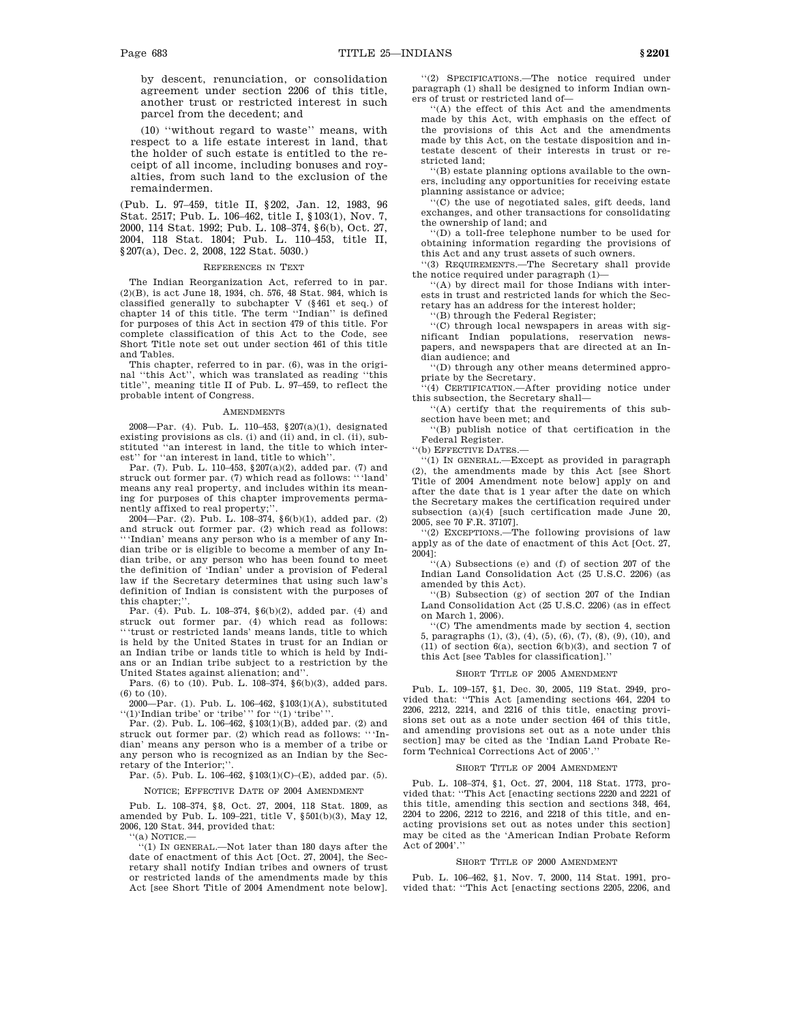by descent, renunciation, or consolidation agreement under section 2206 of this title, another trust or restricted interest in such parcel from the decedent; and

(10) ''without regard to waste'' means, with respect to a life estate interest in land, that the holder of such estate is entitled to the receipt of all income, including bonuses and royalties, from such land to the exclusion of the remaindermen.

(Pub. L. 97–459, title II, §202, Jan. 12, 1983, 96 Stat. 2517; Pub. L. 106–462, title I, §103(1), Nov. 7, 2000, 114 Stat. 1992; Pub. L. 108–374, §6(b), Oct. 27, 2004, 118 Stat. 1804; Pub. L. 110–453, title II, §207(a), Dec. 2, 2008, 122 Stat. 5030.)

#### REFERENCES IN TEXT

The Indian Reorganization Act, referred to in par. (2)(B), is act June 18, 1934, ch. 576, 48 Stat. 984, which is classified generally to subchapter V (§461 et seq.) of chapter 14 of this title. The term ''Indian'' is defined for purposes of this Act in section 479 of this title. For complete classification of this Act to the Code, see Short Title note set out under section 461 of this title and Tables.

This chapter, referred to in par. (6), was in the original ''this Act'', which was translated as reading ''this title'', meaning title II of Pub. L. 97–459, to reflect the probable intent of Congress.

#### AMENDMENTS

2008—Par. (4). Pub. L. 110–453, §207(a)(1), designated existing provisions as cls. (i) and (ii) and, in cl. (ii), substituted ''an interest in land, the title to which interest'' for ''an interest in land, title to which''.

Par. (7). Pub. L. 110–453, §207(a)(2), added par. (7) and struck out former par. (7) which read as follows: '''land' means any real property, and includes within its meaning for purposes of this chapter improvements permanently affixed to real property;

2004—Par. (2). Pub. L. 108–374, §6(b)(1), added par. (2) and struck out former par. (2) which read as follows: '''Indian' means any person who is a member of any Indian tribe or is eligible to become a member of any Indian tribe, or any person who has been found to meet the definition of 'Indian' under a provision of Federal law if the Secretary determines that using such law's definition of Indian is consistent with the purposes of this chapter;'

Par. (4). Pub. L. 108–374, §6(b)(2), added par. (4) and struck out former par. (4) which read as follows: '''trust or restricted lands' means lands, title to which is held by the United States in trust for an Indian or an Indian tribe or lands title to which is held by Indians or an Indian tribe subject to a restriction by the United States against alienation; and''.

Pars. (6) to (10). Pub. L. 108–374, §6(b)(3), added pars.  $(6)$  to  $(10)$ .

2000—Par. (1). Pub. L. 106–462, §103(1)(A), substituted  $''(1)'$ Indian tribe' or 'tribe''' for  $''(1)$  'tribe'

Par. (2). Pub. L. 106–462, §103(1)(B), added par. (2) and struck out former par. (2) which read as follows: '''Indian' means any person who is a member of a tribe or any person who is recognized as an Indian by the Secretary of the Interior:'

Par. (5). Pub. L. 106–462, §103(1)(C)–(E), added par. (5).

NOTICE; EFFECTIVE DATE OF 2004 AMENDMENT

Pub. L. 108–374, §8, Oct. 27, 2004, 118 Stat. 1809, as amended by Pub. L. 109–221, title V, §501(b)(3), May 12, 2006, 120 Stat. 344, provided that:

'(a) NOTICE.

''(1) IN GENERAL.—Not later than 180 days after the date of enactment of this Act [Oct. 27, 2004], the Secretary shall notify Indian tribes and owners of trust or restricted lands of the amendments made by this Act [see Short Title of 2004 Amendment note below].

''(2) SPECIFICATIONS.—The notice required under paragraph (1) shall be designed to inform Indian owners of trust or restricted land of—

''(A) the effect of this Act and the amendments made by this Act, with emphasis on the effect of the provisions of this Act and the amendments made by this Act, on the testate disposition and intestate descent of their interests in trust or restricted land;

''(B) estate planning options available to the owners, including any opportunities for receiving estate planning assistance or advice;

''(C) the use of negotiated sales, gift deeds, land exchanges, and other transactions for consolidating the ownership of land; and

''(D) a toll-free telephone number to be used for obtaining information regarding the provisions of this Act and any trust assets of such owners.

''(3) REQUIREMENTS.—The Secretary shall provide the notice required under paragraph (1)—

''(A) by direct mail for those Indians with interests in trust and restricted lands for which the Secretary has an address for the interest holder;

''(B) through the Federal Register;

''(C) through local newspapers in areas with significant Indian populations, reservation newspapers, and newspapers that are directed at an Indian audience; and

''(D) through any other means determined appropriate by the Secretary.

'(4) CERTIFICATION.—After providing notice under this subsection, the Secretary shall—

''(A) certify that the requirements of this subsection have been met; and

''(B) publish notice of that certification in the Federal Register.

''(b) EFFECTIVE DATES.—

''(1) IN GENERAL.—Except as provided in paragraph (2), the amendments made by this Act [see Short Title of 2004 Amendment note below] apply on and after the date that is 1 year after the date on which the Secretary makes the certification required under subsection (a)(4) [such certification made June 20, 2005, see 70 F.R. 37107].

''(2) EXCEPTIONS.—The following provisions of law apply as of the date of enactment of this Act [Oct. 27, 2004]:

''(A) Subsections (e) and (f) of section 207 of the Indian Land Consolidation Act (25 U.S.C. 2206) (as amended by this Act).

'(B) Subsection (g) of section 207 of the Indian Land Consolidation Act (25 U.S.C. 2206) (as in effect on March 1, 2006).

''(C) The amendments made by section 4, section 5, paragraphs (1), (3), (4), (5), (6), (7), (8), (9), (10), and (11) of section 6(a), section 6(b)(3), and section 7 of this Act [see Tables for classification].''

#### SHORT TITLE OF 2005 AMENDMENT

Pub. L. 109–157, §1, Dec. 30, 2005, 119 Stat. 2949, provided that: ''This Act [amending sections 464, 2204 to 2206, 2212, 2214, and 2216 of this title, enacting provisions set out as a note under section 464 of this title, and amending provisions set out as a note under this section] may be cited as the 'Indian Land Probate Reform Technical Corrections Act of 2005'.''

#### SHORT TITLE OF 2004 AMENDMENT

Pub. L. 108–374, §1, Oct. 27, 2004, 118 Stat. 1773, provided that: ''This Act [enacting sections 2220 and 2221 of this title, amending this section and sections 348, 464, 2204 to 2206, 2212 to 2216, and 2218 of this title, and enacting provisions set out as notes under this section] may be cited as the 'American Indian Probate Reform Act of 2004'.''

#### SHORT TITLE OF 2000 AMENDMENT

Pub. L. 106–462, §1, Nov. 7, 2000, 114 Stat. 1991, provided that: ''This Act [enacting sections 2205, 2206, and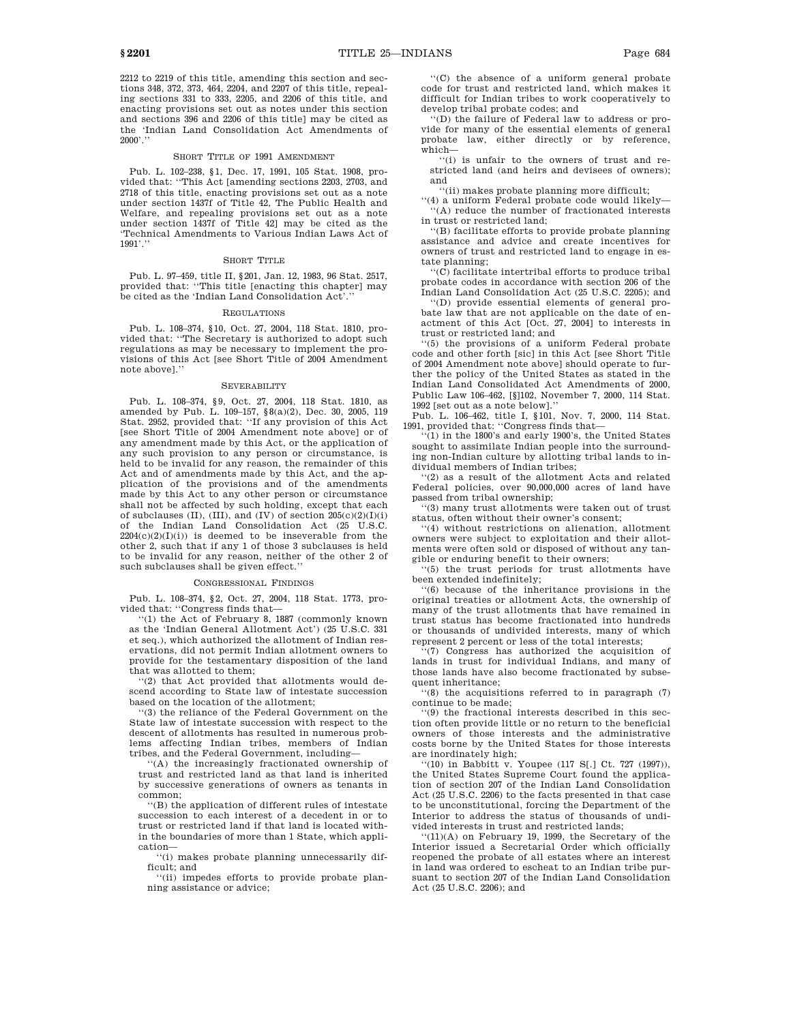2212 to 2219 of this title, amending this section and sections 348, 372, 373, 464, 2204, and 2207 of this title, repeal-

ing sections 331 to 333, 2205, and 2206 of this title, and enacting provisions set out as notes under this section and sections 396 and 2206 of this title] may be cited as the 'Indian Land Consolidation Act Amendments of  $2000'$ ."

#### SHORT TITLE OF 1991 AMENDMENT

Pub. L. 102–238, §1, Dec. 17, 1991, 105 Stat. 1908, provided that: "This Act [amending sections 2203, 2703, and 2718 of this title, enacting provisions set out as a note under section 1437f of Title 42, The Public Health and Welfare, and repealing provisions set out as a note under section 1437f of Title 42] may be cited as the 'Technical Amendments to Various Indian Laws Act of 1991'.''

#### SHORT TITLE

Pub. L. 97–459, title II, §201, Jan. 12, 1983, 96 Stat. 2517, provided that: ''This title [enacting this chapter] may be cited as the 'Indian Land Consolidation Act'.''

#### REGULATIONS

Pub. L. 108–374, §10, Oct. 27, 2004, 118 Stat. 1810, provided that: ''The Secretary is authorized to adopt such regulations as may be necessary to implement the provisions of this Act [see Short Title of 2004 Amendment note above].''

#### **SEVERABILITY**

Pub. L. 108–374, §9, Oct. 27, 2004, 118 Stat. 1810, as amended by Pub. L. 109–157, §8(a)(2), Dec. 30, 2005, 119 Stat. 2952, provided that: ''If any provision of this Act [see Short Title of 2004 Amendment note above] or of any amendment made by this Act, or the application of any such provision to any person or circumstance, is held to be invalid for any reason, the remainder of this Act and of amendments made by this Act, and the application of the provisions and of the amendments made by this Act to any other person or circumstance shall not be affected by such holding, except that each of subclauses (II), (III), and (IV) of section  $205(c)(2)(I)(i)$ of the Indian Land Consolidation Act (25 U.S.C.  $2204(c)(2)(I)(i)$  is deemed to be inseverable from the other 2, such that if any 1 of those 3 subclauses is held to be invalid for any reason, neither of the other 2 of such subclauses shall be given effect.''

#### CONGRESSIONAL FINDINGS

Pub. L. 108–374, §2, Oct. 27, 2004, 118 Stat. 1773, provided that: ''Congress finds that—

''(1) the Act of February 8, 1887 (commonly known as the 'Indian General Allotment Act') (25 U.S.C. 331 et seq.), which authorized the allotment of Indian reservations, did not permit Indian allotment owners to provide for the testamentary disposition of the land that was allotted to them;

''(2) that Act provided that allotments would descend according to State law of intestate succession based on the location of the allotment;

''(3) the reliance of the Federal Government on the State law of intestate succession with respect to the descent of allotments has resulted in numerous problems affecting Indian tribes, members of Indian tribes, and the Federal Government, including—

''(A) the increasingly fractionated ownership of trust and restricted land as that land is inherited by successive generations of owners as tenants in common;

''(B) the application of different rules of intestate succession to each interest of a decedent in or to trust or restricted land if that land is located within the boundaries of more than 1 State, which application—

''(i) makes probate planning unnecessarily difficult; and

''(ii) impedes efforts to provide probate planning assistance or advice;

''(C) the absence of a uniform general probate code for trust and restricted land, which makes it difficult for Indian tribes to work cooperatively to develop tribal probate codes; and

''(D) the failure of Federal law to address or provide for many of the essential elements of general probate law, either directly or by reference, which—

''(i) is unfair to the owners of trust and restricted land (and heirs and devisees of owners); and

''(ii) makes probate planning more difficult;

''(4) a uniform Federal probate code would likely— ''(A) reduce the number of fractionated interests in trust or restricted land;

''(B) facilitate efforts to provide probate planning assistance and advice and create incentives for owners of trust and restricted land to engage in estate planning;

''(C) facilitate intertribal efforts to produce tribal probate codes in accordance with section 206 of the Indian Land Consolidation Act (25 U.S.C. 2205); and

''(D) provide essential elements of general probate law that are not applicable on the date of enactment of this Act [Oct. 27, 2004] to interests in trust or restricted land; and

''(5) the provisions of a uniform Federal probate code and other forth [sic] in this Act [see Short Title of 2004 Amendment note above] should operate to further the policy of the United States as stated in the Indian Land Consolidated Act Amendments of 2000, Public Law 106–462, [§]102, November 7, 2000, 114 Stat. 1992 [set out as a note below].''

Pub. L. 106–462, title I, §101, Nov. 7, 2000, 114 Stat. 1991, provided that: ''Congress finds that—

 $(1)$  in the 1800's and early 1900's, the United States sought to assimilate Indian people into the surrounding non-Indian culture by allotting tribal lands to individual members of Indian tribes;

''(2) as a result of the allotment Acts and related Federal policies, over 90,000,000 acres of land have passed from tribal ownership;

''(3) many trust allotments were taken out of trust status, often without their owner's consent;

''(4) without restrictions on alienation, allotment owners were subject to exploitation and their allotments were often sold or disposed of without any tangible or enduring benefit to their owners;

''(5) the trust periods for trust allotments have been extended indefinitely;

''(6) because of the inheritance provisions in the original treaties or allotment Acts, the ownership of many of the trust allotments that have remained in trust status has become fractionated into hundreds or thousands of undivided interests, many of which represent 2 percent or less of the total interests;

''(7) Congress has authorized the acquisition of lands in trust for individual Indians, and many of those lands have also become fractionated by subsequent inheritance;

''(8) the acquisitions referred to in paragraph (7) continue to be made;

'(9) the fractional interests described in this section often provide little or no return to the beneficial owners of those interests and the administrative costs borne by the United States for those interests are inordinately high;

 $(10)$  in Babbitt v. Youpee (117 S[.] Ct. 727 (1997)), the United States Supreme Court found the application of section 207 of the Indian Land Consolidation Act (25 U.S.C. 2206) to the facts presented in that case to be unconstitutional, forcing the Department of the Interior to address the status of thousands of undivided interests in trust and restricted lands;

 $''(11)(A)$  on February 19, 1999, the Secretary of the Interior issued a Secretarial Order which officially reopened the probate of all estates where an interest in land was ordered to escheat to an Indian tribe pursuant to section 207 of the Indian Land Consolidation Act (25 U.S.C. 2206); and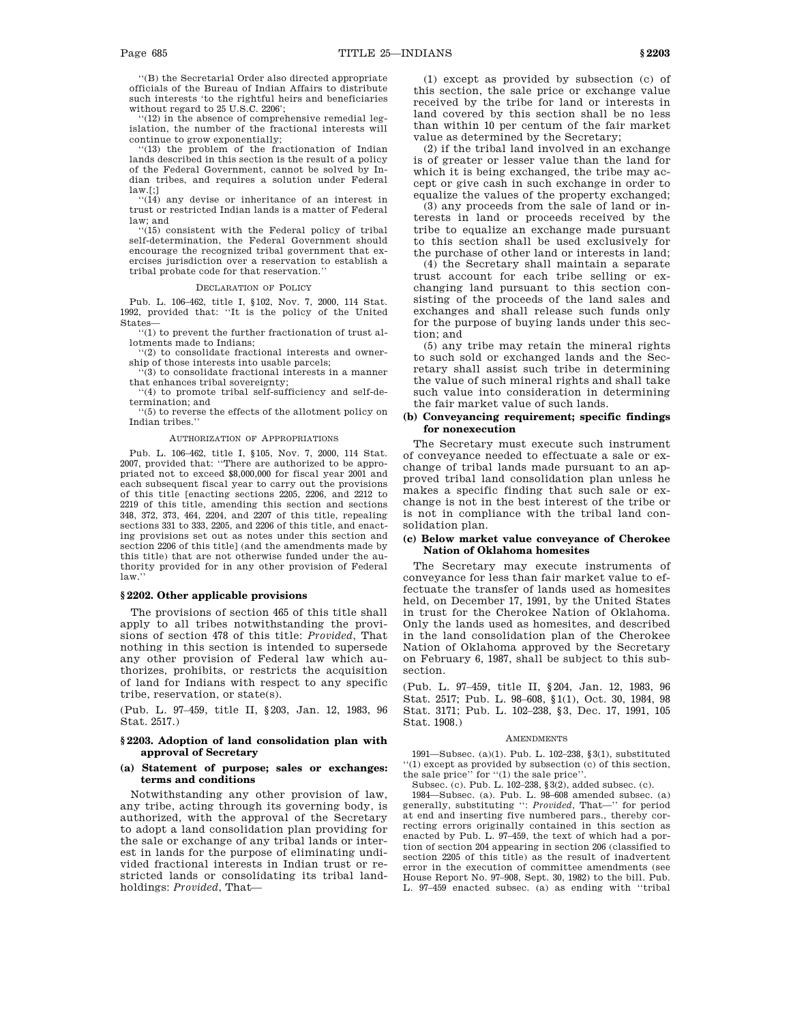''(B) the Secretarial Order also directed appropriate officials of the Bureau of Indian Affairs to distribute such interests 'to the rightful heirs and beneficiaries without regard to 25 U.S.C. 2206';

''(12) in the absence of comprehensive remedial legislation, the number of the fractional interests will continue to grow exponentially;

''(13) the problem of the fractionation of Indian lands described in this section is the result of a policy of the Federal Government, cannot be solved by Indian tribes, and requires a solution under Federal  $law.[.]$ 

''(14) any devise or inheritance of an interest in trust or restricted Indian lands is a matter of Federal law; and

''(15) consistent with the Federal policy of tribal self-determination, the Federal Government should encourage the recognized tribal government that exercises jurisdiction over a reservation to establish a tribal probate code for that reservation.

#### DECLARATION OF POLICY

Pub. L. 106–462, title I, §102, Nov. 7, 2000, 114 Stat. 1992, provided that: ''It is the policy of the United State

''(1) to prevent the further fractionation of trust allotments made to Indians;

''(2) to consolidate fractional interests and owner-

ship of those interests into usable parcels; ''(3) to consolidate fractional interests in a manner that enhances tribal sovereignty;

''(4) to promote tribal self-sufficiency and self-determination; and

''(5) to reverse the effects of the allotment policy on Indian tribes.''

#### AUTHORIZATION OF APPROPRIATIONS

Pub. L. 106–462, title I, §105, Nov. 7, 2000, 114 Stat. 2007, provided that: ''There are authorized to be appropriated not to exceed \$8,000,000 for fiscal year 2001 and each subsequent fiscal year to carry out the provisions of this title [enacting sections 2205, 2206, and 2212 to 2219 of this title, amending this section and sections 348, 372, 373, 464, 2204, and 2207 of this title, repealing sections 331 to 333, 2205, and 2206 of this title, and enacting provisions set out as notes under this section and section 2206 of this title] (and the amendments made by this title) that are not otherwise funded under the authority provided for in any other provision of Federal law.''

#### **§ 2202. Other applicable provisions**

The provisions of section 465 of this title shall apply to all tribes notwithstanding the provisions of section 478 of this title: *Provided*, That nothing in this section is intended to supersede any other provision of Federal law which authorizes, prohibits, or restricts the acquisition of land for Indians with respect to any specific tribe, reservation, or state(s).

(Pub. L. 97–459, title II, §203, Jan. 12, 1983, 96 Stat. 2517.)

### **§ 2203. Adoption of land consolidation plan with approval of Secretary**

### **(a) Statement of purpose; sales or exchanges: terms and conditions**

Notwithstanding any other provision of law, any tribe, acting through its governing body, is authorized, with the approval of the Secretary to adopt a land consolidation plan providing for the sale or exchange of any tribal lands or interest in lands for the purpose of eliminating undivided fractional interests in Indian trust or restricted lands or consolidating its tribal landholdings: *Provided*, That—

(1) except as provided by subsection (c) of this section, the sale price or exchange value received by the tribe for land or interests in land covered by this section shall be no less than within 10 per centum of the fair market value as determined by the Secretary;

(2) if the tribal land involved in an exchange is of greater or lesser value than the land for which it is being exchanged, the tribe may accept or give cash in such exchange in order to equalize the values of the property exchanged;

(3) any proceeds from the sale of land or interests in land or proceeds received by the tribe to equalize an exchange made pursuant to this section shall be used exclusively for the purchase of other land or interests in land;

(4) the Secretary shall maintain a separate trust account for each tribe selling or exchanging land pursuant to this section consisting of the proceeds of the land sales and exchanges and shall release such funds only for the purpose of buying lands under this section; and

(5) any tribe may retain the mineral rights to such sold or exchanged lands and the Secretary shall assist such tribe in determining the value of such mineral rights and shall take such value into consideration in determining the fair market value of such lands.

### **(b) Conveyancing requirement; specific findings for nonexecution**

The Secretary must execute such instrument of conveyance needed to effectuate a sale or exchange of tribal lands made pursuant to an approved tribal land consolidation plan unless he makes a specific finding that such sale or exchange is not in the best interest of the tribe or is not in compliance with the tribal land consolidation plan.

#### **(c) Below market value conveyance of Cherokee Nation of Oklahoma homesites**

The Secretary may execute instruments of conveyance for less than fair market value to effectuate the transfer of lands used as homesites held, on December 17, 1991, by the United States in trust for the Cherokee Nation of Oklahoma. Only the lands used as homesites, and described in the land consolidation plan of the Cherokee Nation of Oklahoma approved by the Secretary on February 6, 1987, shall be subject to this subsection.

(Pub. L. 97–459, title II, §204, Jan. 12, 1983, 96 Stat. 2517; Pub. L. 98–608, §1(1), Oct. 30, 1984, 98 Stat. 3171; Pub. L. 102–238, §3, Dec. 17, 1991, 105 Stat. 1908.)

#### **AMENDMENTS**

1991—Subsec. (a)(1). Pub. L. 102–238, §3(1), substituted ''(1) except as provided by subsection (c) of this section, the sale price'' for ''(1) the sale price''.

Subsec. (c). Pub. L. 102–238, §3(2), added subsec. (c).

1984—Subsec. (a). Pub. L. 98–608 amended subsec. (a) generally, substituting '': *Provided*, That—'' for period at end and inserting five numbered pars., thereby correcting errors originally contained in this section as enacted by Pub. L. 97–459, the text of which had a portion of section 204 appearing in section 206 (classified to section 2205 of this title) as the result of inadvertent error in the execution of committee amendments (see House Report No. 97–908, Sept. 30, 1982) to the bill. Pub. L. 97–459 enacted subsec. (a) as ending with ''tribal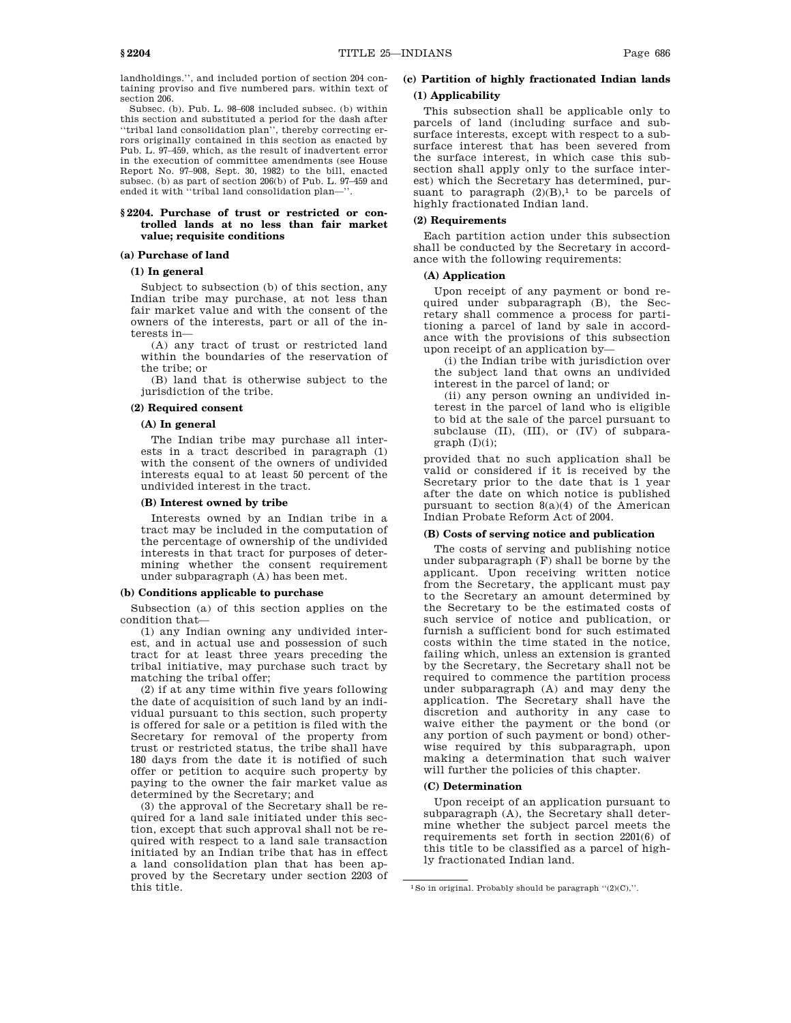landholdings.'', and included portion of section 204 containing proviso and five numbered pars. within text of section 206.

Subsec. (b). Pub. L. 98–608 included subsec. (b) within this section and substituted a period for the dash after ''tribal land consolidation plan'', thereby correcting errors originally contained in this section as enacted by Pub. L. 97–459, which, as the result of inadvertent error in the execution of committee amendments (see House Report No. 97–908, Sept. 30, 1982) to the bill, enacted subsec. (b) as part of section 206(b) of Pub. L. 97–459 and ended it with ''tribal land consolidation plan—''.

### **§ 2204. Purchase of trust or restricted or controlled lands at no less than fair market value; requisite conditions**

### **(a) Purchase of land**

### **(1) In general**

Subject to subsection (b) of this section, any Indian tribe may purchase, at not less than fair market value and with the consent of the owners of the interests, part or all of the interests in—

(A) any tract of trust or restricted land within the boundaries of the reservation of the tribe; or

(B) land that is otherwise subject to the jurisdiction of the tribe.

#### **(2) Required consent**

### **(A) In general**

The Indian tribe may purchase all interests in a tract described in paragraph (1) with the consent of the owners of undivided interests equal to at least 50 percent of the undivided interest in the tract.

#### **(B) Interest owned by tribe**

Interests owned by an Indian tribe in a tract may be included in the computation of the percentage of ownership of the undivided interests in that tract for purposes of determining whether the consent requirement under subparagraph (A) has been met.

#### **(b) Conditions applicable to purchase**

Subsection (a) of this section applies on the condition that—

(1) any Indian owning any undivided interest, and in actual use and possession of such tract for at least three years preceding the tribal initiative, may purchase such tract by matching the tribal offer;

(2) if at any time within five years following the date of acquisition of such land by an individual pursuant to this section, such property is offered for sale or a petition is filed with the Secretary for removal of the property from trust or restricted status, the tribe shall have 180 days from the date it is notified of such offer or petition to acquire such property by paying to the owner the fair market value as determined by the Secretary; and

(3) the approval of the Secretary shall be required for a land sale initiated under this section, except that such approval shall not be required with respect to a land sale transaction initiated by an Indian tribe that has in effect a land consolidation plan that has been approved by the Secretary under section 2203 of this title.

# **(c) Partition of highly fractionated Indian lands**

# **(1) Applicability**

This subsection shall be applicable only to parcels of land (including surface and subsurface interests, except with respect to a subsurface interest that has been severed from the surface interest, in which case this subsection shall apply only to the surface interest) which the Secretary has determined, pursuant to paragraph  $(2)(B)$ ,<sup>1</sup> to be parcels of highly fractionated Indian land.

### **(2) Requirements**

Each partition action under this subsection shall be conducted by the Secretary in accordance with the following requirements:

### **(A) Application**

Upon receipt of any payment or bond required under subparagraph (B), the Secretary shall commence a process for partitioning a parcel of land by sale in accordance with the provisions of this subsection upon receipt of an application by—

(i) the Indian tribe with jurisdiction over the subject land that owns an undivided interest in the parcel of land; or

(ii) any person owning an undivided interest in the parcel of land who is eligible to bid at the sale of the parcel pursuant to subclause (II), (III), or (IV) of subpara $graph (I)(i);$ 

provided that no such application shall be valid or considered if it is received by the Secretary prior to the date that is 1 year after the date on which notice is published pursuant to section 8(a)(4) of the American Indian Probate Reform Act of 2004.

#### **(B) Costs of serving notice and publication**

The costs of serving and publishing notice under subparagraph (F) shall be borne by the applicant. Upon receiving written notice from the Secretary, the applicant must pay to the Secretary an amount determined by the Secretary to be the estimated costs of such service of notice and publication, or furnish a sufficient bond for such estimated costs within the time stated in the notice, failing which, unless an extension is granted by the Secretary, the Secretary shall not be required to commence the partition process under subparagraph (A) and may deny the application. The Secretary shall have the discretion and authority in any case to waive either the payment or the bond (or any portion of such payment or bond) otherwise required by this subparagraph, upon making a determination that such waiver will further the policies of this chapter.

### **(C) Determination**

Upon receipt of an application pursuant to subparagraph (A), the Secretary shall determine whether the subject parcel meets the requirements set forth in section 2201(6) of this title to be classified as a parcel of highly fractionated Indian land.

 $1$ So in original. Probably should be paragraph  $''(2)(C)$ ,".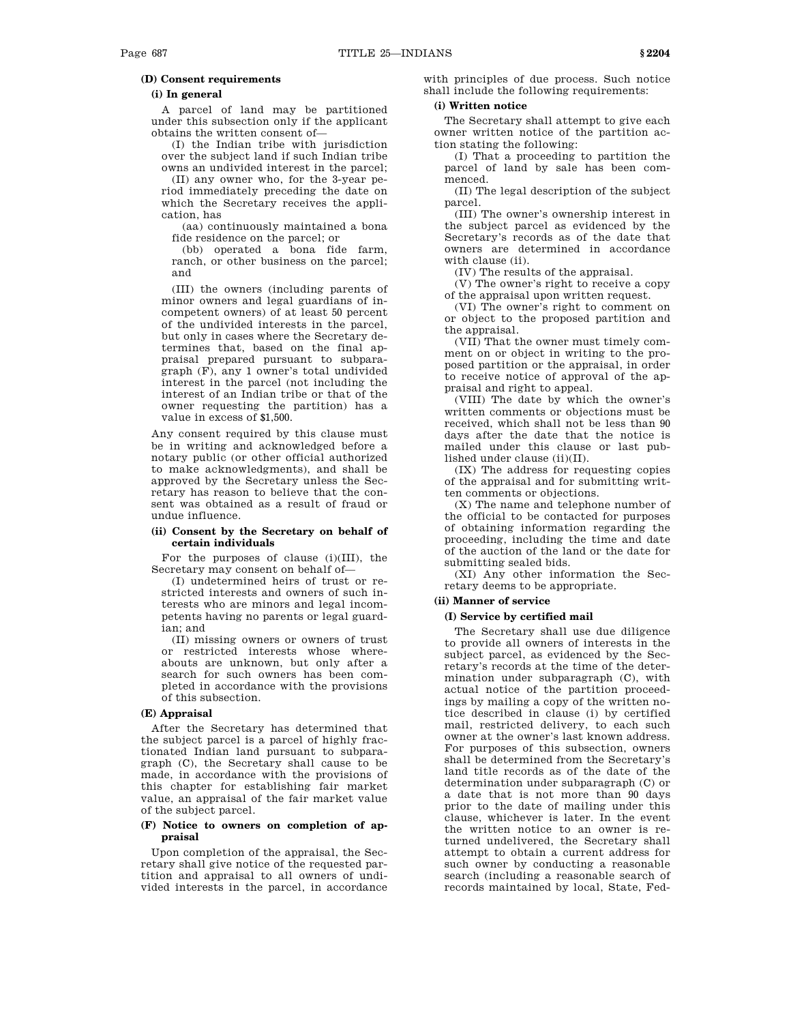### **(i) In general**

A parcel of land may be partitioned under this subsection only if the applicant obtains the written consent of—

(I) the Indian tribe with jurisdiction over the subject land if such Indian tribe owns an undivided interest in the parcel;

(II) any owner who, for the 3-year period immediately preceding the date on which the Secretary receives the application, has

(aa) continuously maintained a bona fide residence on the parcel; or

(bb) operated a bona fide farm, ranch, or other business on the parcel; and

(III) the owners (including parents of minor owners and legal guardians of incompetent owners) of at least 50 percent of the undivided interests in the parcel, but only in cases where the Secretary determines that, based on the final appraisal prepared pursuant to subparagraph (F), any 1 owner's total undivided interest in the parcel (not including the interest of an Indian tribe or that of the owner requesting the partition) has a value in excess of \$1,500.

Any consent required by this clause must be in writing and acknowledged before a notary public (or other official authorized to make acknowledgments), and shall be approved by the Secretary unless the Secretary has reason to believe that the consent was obtained as a result of fraud or undue influence.

### **(ii) Consent by the Secretary on behalf of certain individuals**

For the purposes of clause (i)(III), the Secretary may consent on behalf of—

(I) undetermined heirs of trust or restricted interests and owners of such interests who are minors and legal incompetents having no parents or legal guardian; and

(II) missing owners or owners of trust or restricted interests whose whereabouts are unknown, but only after a search for such owners has been completed in accordance with the provisions of this subsection.

### **(E) Appraisal**

After the Secretary has determined that the subject parcel is a parcel of highly fractionated Indian land pursuant to subparagraph (C), the Secretary shall cause to be made, in accordance with the provisions of this chapter for establishing fair market value, an appraisal of the fair market value of the subject parcel.

### **(F) Notice to owners on completion of appraisal**

Upon completion of the appraisal, the Secretary shall give notice of the requested partition and appraisal to all owners of undivided interests in the parcel, in accordance with principles of due process. Such notice shall include the following requirements:

## **(i) Written notice**

The Secretary shall attempt to give each owner written notice of the partition action stating the following:

(I) That a proceeding to partition the parcel of land by sale has been commenced.

(II) The legal description of the subject parcel.

(III) The owner's ownership interest in the subject parcel as evidenced by the Secretary's records as of the date that owners are determined in accordance with clause (ii).

(IV) The results of the appraisal.

(V) The owner's right to receive a copy of the appraisal upon written request.

(VI) The owner's right to comment on or object to the proposed partition and the appraisal.

(VII) That the owner must timely comment on or object in writing to the proposed partition or the appraisal, in order to receive notice of approval of the appraisal and right to appeal.

(VIII) The date by which the owner's written comments or objections must be received, which shall not be less than 90 days after the date that the notice is mailed under this clause or last published under clause (ii)(II).

(IX) The address for requesting copies of the appraisal and for submitting written comments or objections.

(X) The name and telephone number of the official to be contacted for purposes of obtaining information regarding the proceeding, including the time and date of the auction of the land or the date for submitting sealed bids.

(XI) Any other information the Secretary deems to be appropriate.

### **(ii) Manner of service**

### **(I) Service by certified mail**

The Secretary shall use due diligence to provide all owners of interests in the subject parcel, as evidenced by the Secretary's records at the time of the determination under subparagraph (C), with actual notice of the partition proceedings by mailing a copy of the written notice described in clause (i) by certified mail, restricted delivery, to each such owner at the owner's last known address. For purposes of this subsection, owners shall be determined from the Secretary's land title records as of the date of the determination under subparagraph (C) or a date that is not more than 90 days prior to the date of mailing under this clause, whichever is later. In the event the written notice to an owner is returned undelivered, the Secretary shall attempt to obtain a current address for such owner by conducting a reasonable search (including a reasonable search of records maintained by local, State, Fed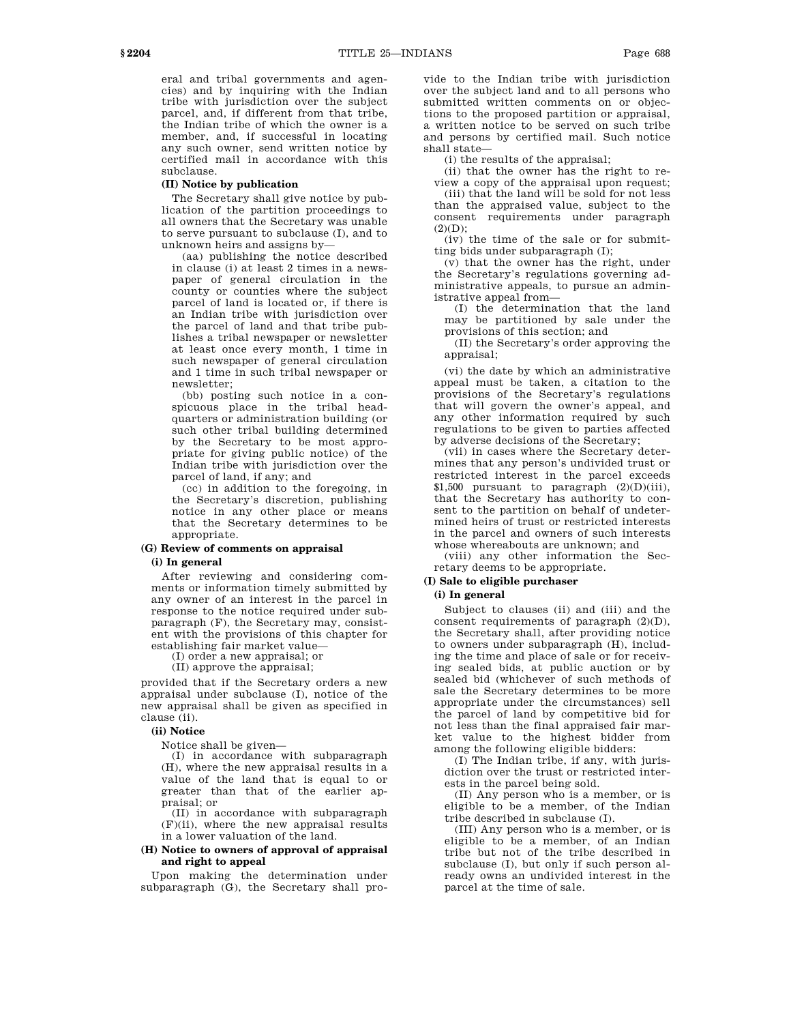eral and tribal governments and agencies) and by inquiring with the Indian tribe with jurisdiction over the subject parcel, and, if different from that tribe, the Indian tribe of which the owner is a member, and, if successful in locating any such owner, send written notice by certified mail in accordance with this subclause.

#### **(II) Notice by publication**

The Secretary shall give notice by publication of the partition proceedings to all owners that the Secretary was unable to serve pursuant to subclause (I), and to unknown heirs and assigns by—

(aa) publishing the notice described in clause (i) at least 2 times in a newspaper of general circulation in the county or counties where the subject parcel of land is located or, if there is an Indian tribe with jurisdiction over the parcel of land and that tribe publishes a tribal newspaper or newsletter at least once every month, 1 time in such newspaper of general circulation and 1 time in such tribal newspaper or newsletter;

(bb) posting such notice in a conspicuous place in the tribal headquarters or administration building (or such other tribal building determined by the Secretary to be most appropriate for giving public notice) of the Indian tribe with jurisdiction over the parcel of land, if any; and

(cc) in addition to the foregoing, in the Secretary's discretion, publishing notice in any other place or means that the Secretary determines to be appropriate.

### **(G) Review of comments on appraisal**

#### **(i) In general**

After reviewing and considering comments or information timely submitted by any owner of an interest in the parcel in response to the notice required under subparagraph (F), the Secretary may, consistent with the provisions of this chapter for establishing fair market value—

(I) order a new appraisal; or

(II) approve the appraisal;

provided that if the Secretary orders a new appraisal under subclause (I), notice of the new appraisal shall be given as specified in clause (ii).

### **(ii) Notice**

Notice shall be given—

(I) in accordance with subparagraph (H), where the new appraisal results in a value of the land that is equal to or greater than that of the earlier appraisal; or

(II) in accordance with subparagraph (F)(ii), where the new appraisal results in a lower valuation of the land.

# **(H) Notice to owners of approval of appraisal and right to appeal**

Upon making the determination under subparagraph (G), the Secretary shall provide to the Indian tribe with jurisdiction over the subject land and to all persons who submitted written comments on or objections to the proposed partition or appraisal, a written notice to be served on such tribe and persons by certified mail. Such notice shall state—

(i) the results of the appraisal;

(ii) that the owner has the right to review a copy of the appraisal upon request;

(iii) that the land will be sold for not less than the appraised value, subject to the consent requirements under paragraph  $(2)(D)$ ;

 $(iv)$  the time of the sale or for submitting bids under subparagraph (I);

(v) that the owner has the right, under the Secretary's regulations governing administrative appeals, to pursue an administrative appeal from—

(I) the determination that the land may be partitioned by sale under the provisions of this section; and

(II) the Secretary's order approving the appraisal;

(vi) the date by which an administrative appeal must be taken, a citation to the provisions of the Secretary's regulations that will govern the owner's appeal, and any other information required by such regulations to be given to parties affected by adverse decisions of the Secretary;

(vii) in cases where the Secretary determines that any person's undivided trust or restricted interest in the parcel exceeds \$1,500 pursuant to paragraph  $(2)(D)(iii)$ , that the Secretary has authority to consent to the partition on behalf of undetermined heirs of trust or restricted interests in the parcel and owners of such interests whose whereabouts are unknown; and

(viii) any other information the Secretary deems to be appropriate.

### **(I) Sale to eligible purchaser**

# **(i) In general**

Subject to clauses (ii) and (iii) and the consent requirements of paragraph  $(2)(D)$ , the Secretary shall, after providing notice to owners under subparagraph (H), including the time and place of sale or for receiving sealed bids, at public auction or by sealed bid (whichever of such methods of sale the Secretary determines to be more appropriate under the circumstances) sell the parcel of land by competitive bid for not less than the final appraised fair market value to the highest bidder from among the following eligible bidders:

(I) The Indian tribe, if any, with jurisdiction over the trust or restricted interests in the parcel being sold.

(II) Any person who is a member, or is eligible to be a member, of the Indian tribe described in subclause (I).

(III) Any person who is a member, or is eligible to be a member, of an Indian tribe but not of the tribe described in subclause (I), but only if such person already owns an undivided interest in the parcel at the time of sale.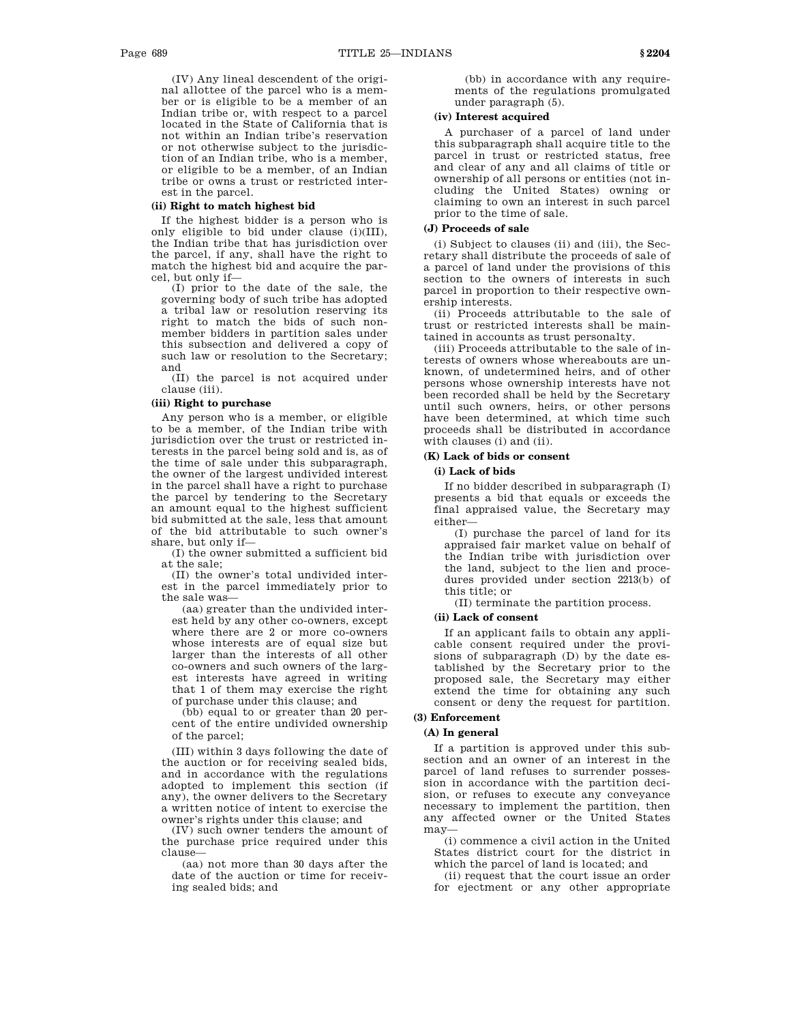(IV) Any lineal descendent of the original allottee of the parcel who is a member or is eligible to be a member of an Indian tribe or, with respect to a parcel located in the State of California that is not within an Indian tribe's reservation or not otherwise subject to the jurisdiction of an Indian tribe, who is a member, or eligible to be a member, of an Indian tribe or owns a trust or restricted interest in the parcel.

### **(ii) Right to match highest bid**

If the highest bidder is a person who is only eligible to bid under clause (i)(III), the Indian tribe that has jurisdiction over the parcel, if any, shall have the right to match the highest bid and acquire the parcel, but only if—

(I) prior to the date of the sale, the governing body of such tribe has adopted a tribal law or resolution reserving its right to match the bids of such nonmember bidders in partition sales under this subsection and delivered a copy of such law or resolution to the Secretary; and

(II) the parcel is not acquired under clause (iii).

### **(iii) Right to purchase**

Any person who is a member, or eligible to be a member, of the Indian tribe with jurisdiction over the trust or restricted interests in the parcel being sold and is, as of the time of sale under this subparagraph, the owner of the largest undivided interest in the parcel shall have a right to purchase the parcel by tendering to the Secretary an amount equal to the highest sufficient bid submitted at the sale, less that amount of the bid attributable to such owner's share, but only if—

(I) the owner submitted a sufficient bid at the sale;

(II) the owner's total undivided interest in the parcel immediately prior to the sale was—

(aa) greater than the undivided interest held by any other co-owners, except where there are 2 or more co-owners whose interests are of equal size but larger than the interests of all other co-owners and such owners of the largest interests have agreed in writing that 1 of them may exercise the right of purchase under this clause; and

(bb) equal to or greater than 20 percent of the entire undivided ownership of the parcel;

(III) within 3 days following the date of the auction or for receiving sealed bids, and in accordance with the regulations adopted to implement this section (if any), the owner delivers to the Secretary a written notice of intent to exercise the owner's rights under this clause; and

(IV) such owner tenders the amount of the purchase price required under this clause—

(aa) not more than 30 days after the date of the auction or time for receiving sealed bids; and

(bb) in accordance with any requirements of the regulations promulgated under paragraph (5).

# **(iv) Interest acquired**

A purchaser of a parcel of land under this subparagraph shall acquire title to the parcel in trust or restricted status, free and clear of any and all claims of title or ownership of all persons or entities (not including the United States) owning or claiming to own an interest in such parcel prior to the time of sale.

### **(J) Proceeds of sale**

(i) Subject to clauses (ii) and (iii), the Secretary shall distribute the proceeds of sale of a parcel of land under the provisions of this section to the owners of interests in such parcel in proportion to their respective ownership interests.

(ii) Proceeds attributable to the sale of trust or restricted interests shall be maintained in accounts as trust personalty.

(iii) Proceeds attributable to the sale of interests of owners whose whereabouts are unknown, of undetermined heirs, and of other persons whose ownership interests have not been recorded shall be held by the Secretary until such owners, heirs, or other persons have been determined, at which time such proceeds shall be distributed in accordance with clauses (i) and (ii).

### **(K) Lack of bids or consent**

### **(i) Lack of bids**

If no bidder described in subparagraph (I) presents a bid that equals or exceeds the final appraised value, the Secretary may either—

(I) purchase the parcel of land for its appraised fair market value on behalf of the Indian tribe with jurisdiction over the land, subject to the lien and procedures provided under section 2213(b) of this title; or

(II) terminate the partition process.

# **(ii) Lack of consent**

If an applicant fails to obtain any applicable consent required under the provisions of subparagraph (D) by the date established by the Secretary prior to the proposed sale, the Secretary may either extend the time for obtaining any such consent or deny the request for partition.

### **(3) Enforcement**

### **(A) In general**

If a partition is approved under this subsection and an owner of an interest in the parcel of land refuses to surrender possession in accordance with the partition decision, or refuses to execute any conveyance necessary to implement the partition, then any affected owner or the United States may—

(i) commence a civil action in the United States district court for the district in which the parcel of land is located; and

(ii) request that the court issue an order for ejectment or any other appropriate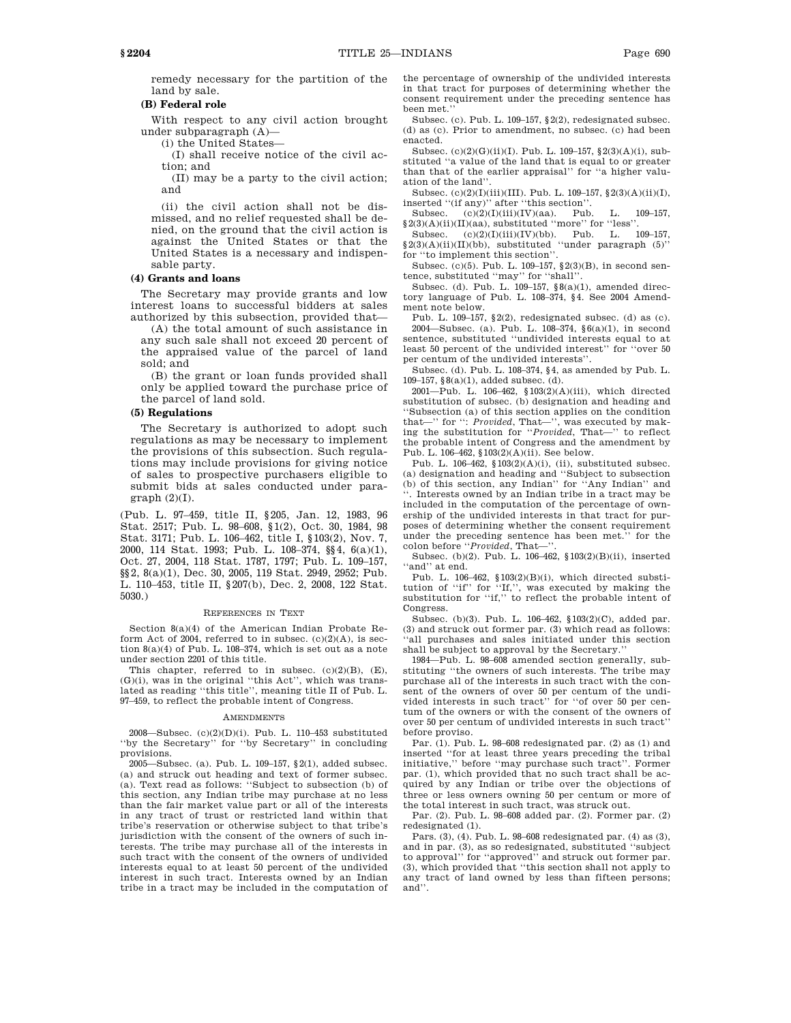land by sale.

# **(B) Federal role**

With respect to any civil action brought under subparagraph (A)—

(i) the United States—

(I) shall receive notice of the civil action; and

(II) may be a party to the civil action; and

(ii) the civil action shall not be dismissed, and no relief requested shall be denied, on the ground that the civil action is against the United States or that the United States is a necessary and indispensable party.

### **(4) Grants and loans**

The Secretary may provide grants and low interest loans to successful bidders at sales authorized by this subsection, provided that—

(A) the total amount of such assistance in any such sale shall not exceed 20 percent of the appraised value of the parcel of land sold; and

(B) the grant or loan funds provided shall only be applied toward the purchase price of the parcel of land sold.

### **(5) Regulations**

The Secretary is authorized to adopt such regulations as may be necessary to implement the provisions of this subsection. Such regulations may include provisions for giving notice of sales to prospective purchasers eligible to submit bids at sales conducted under para $graph (2)(I).$ 

(Pub. L. 97–459, title II, §205, Jan. 12, 1983, 96 Stat. 2517; Pub. L. 98–608, §1(2), Oct. 30, 1984, 98 Stat. 3171; Pub. L. 106–462, title I, §103(2), Nov. 7, 2000, 114 Stat. 1993; Pub. L. 108–374, §§4, 6(a)(1), Oct. 27, 2004, 118 Stat. 1787, 1797; Pub. L. 109–157, §§2, 8(a)(1), Dec. 30, 2005, 119 Stat. 2949, 2952; Pub. L. 110–453, title II, §207(b), Dec. 2, 2008, 122 Stat. 5030.)

#### REFERENCES IN TEXT

Section 8(a)(4) of the American Indian Probate Reform Act of 2004, referred to in subsec.  $(c)(2)(A)$ , is section 8(a)(4) of Pub. L. 108–374, which is set out as a note under section 2201 of this title.

This chapter, referred to in subsec.  $(c)(2)(B)$ ,  $(E)$ ,  $(G)(i)$ , was in the original "this Act", which was translated as reading ''this title'', meaning title II of Pub. L. 97–459, to reflect the probable intent of Congress.

#### **AMENDMENTS**

2008—Subsec. (c)(2)(D)(i). Pub. L. 110–453 substituted ''by the Secretary'' for ''by Secretary'' in concluding provisions.

2005—Subsec. (a). Pub. L. 109–157, §2(1), added subsec. (a) and struck out heading and text of former subsec. (a). Text read as follows: ''Subject to subsection (b) of this section, any Indian tribe may purchase at no less than the fair market value part or all of the interests in any tract of trust or restricted land within that tribe's reservation or otherwise subject to that tribe's jurisdiction with the consent of the owners of such interests. The tribe may purchase all of the interests in such tract with the consent of the owners of undivided interests equal to at least 50 percent of the undivided interest in such tract. Interests owned by an Indian tribe in a tract may be included in the computation of

the percentage of ownership of the undivided interests in that tract for purposes of determining whether the consent requirement under the preceding sentence has been met.''

Subsec. (c). Pub. L. 109–157, §2(2), redesignated subsec. (d) as (c). Prior to amendment, no subsec. (c) had been enacted.

Subsec. (c)(2)(G)(ii)(I). Pub. L. 109–157, §2(3)(A)(i), substituted ''a value of the land that is equal to or greater than that of the earlier appraisal'' for ''a higher valuation of the land''.

Subsec. (c)(2)(I)(iii)(III). Pub. L. 109–157,  $\S 2(3)(A)(ii)(I),$ inserted ''(if any)'' after ''this section''.

Subsec.  $(c)(2)(I)(iii)(IV)(aa)$ . Pub. L. 109-157,  $\S 2(3)(A)(ii)(II)(aa)$ , substituted "more" for "less".<br>Subsec. (c)(2)(D(iii)(IV)(bb). Pub. L.

 $(c)(2)(I)(iii)(IV)(bb)$ . Pub. L. 109-157, §2(3)(A)(ii)(II)(bb), substituted ''under paragraph (5)'' for ''to implement this section''.

Subsec. (c)(5). Pub. L. 109–157, §2(3)(B), in second sentence, substituted ''may'' for ''shall''.

Subsec. (d). Pub. L. 109–157, §8(a)(1), amended directory language of Pub. L. 108–374, §4. See 2004 Amendment note below.

Pub. L. 109–157, §2(2), redesignated subsec. (d) as (c). 2004—Subsec. (a). Pub. L. 108–374, §6(a)(1), in second sentence, substituted ''undivided interests equal to at least 50 percent of the undivided interest'' for ''over 50 per centum of the undivided interests''.

Subsec. (d). Pub. L. 108–374, §4, as amended by Pub. L. 109–157, §8(a)(1), added subsec. (d).

2001—Pub. L. 106–462, §103(2)(A)(iii), which directed substitution of subsec. (b) designation and heading and ''Subsection (a) of this section applies on the condition that—'' for '': *Provided*, That—'', was executed by making the substitution for ''*Provided*, That—'' to reflect the probable intent of Congress and the amendment by Pub. L. 106–462, §103(2)(A)(ii). See below.

Pub. L. 106–462, §103(2)(A)(i), (ii), substituted subsec. (a) designation and heading and ''Subject to subsection (b) of this section, any Indian'' for ''Any Indian'' and ''. Interests owned by an Indian tribe in a tract may be included in the computation of the percentage of ownership of the undivided interests in that tract for purposes of determining whether the consent requirement under the preceding sentence has been met.'' for the colon before "Provided, That-

Subsec. (b)(2). Pub. L. 106–462, §103(2)(B)(ii), inserted 'and'' at end.

Pub. L. 106-462, §103(2)(B)(i), which directed substitution of "if" for "If,", was executed by making the substitution for "if," to reflect the probable intent of **Congress** 

Subsec. (b)(3). Pub. L. 106–462, §103(2)(C), added par. (3) and struck out former par. (3) which read as follows: 'all purchases and sales initiated under this section shall be subject to approval by the Secretary.''

1984—Pub. L. 98–608 amended section generally, substituting ''the owners of such interests. The tribe may purchase all of the interests in such tract with the consent of the owners of over 50 per centum of the undivided interests in such tract'' for ''of over 50 per centum of the owners or with the consent of the owners of over 50 per centum of undivided interests in such tract'' before proviso.

Par. (1). Pub. L. 98–608 redesignated par. (2) as (1) and inserted ''for at least three years preceding the tribal initiative,'' before ''may purchase such tract''. Former par. (1), which provided that no such tract shall be acquired by any Indian or tribe over the objections of three or less owners owning 50 per centum or more of the total interest in such tract, was struck out.

Par. (2). Pub. L. 98–608 added par. (2). Former par. (2) redesignated (1).

Pars. (3), (4). Pub. L. 98–608 redesignated par. (4) as (3), and in par. (3), as so redesignated, substituted ''subject to approval'' for ''approved'' and struck out former par. (3), which provided that ''this section shall not apply to any tract of land owned by less than fifteen persons; and''.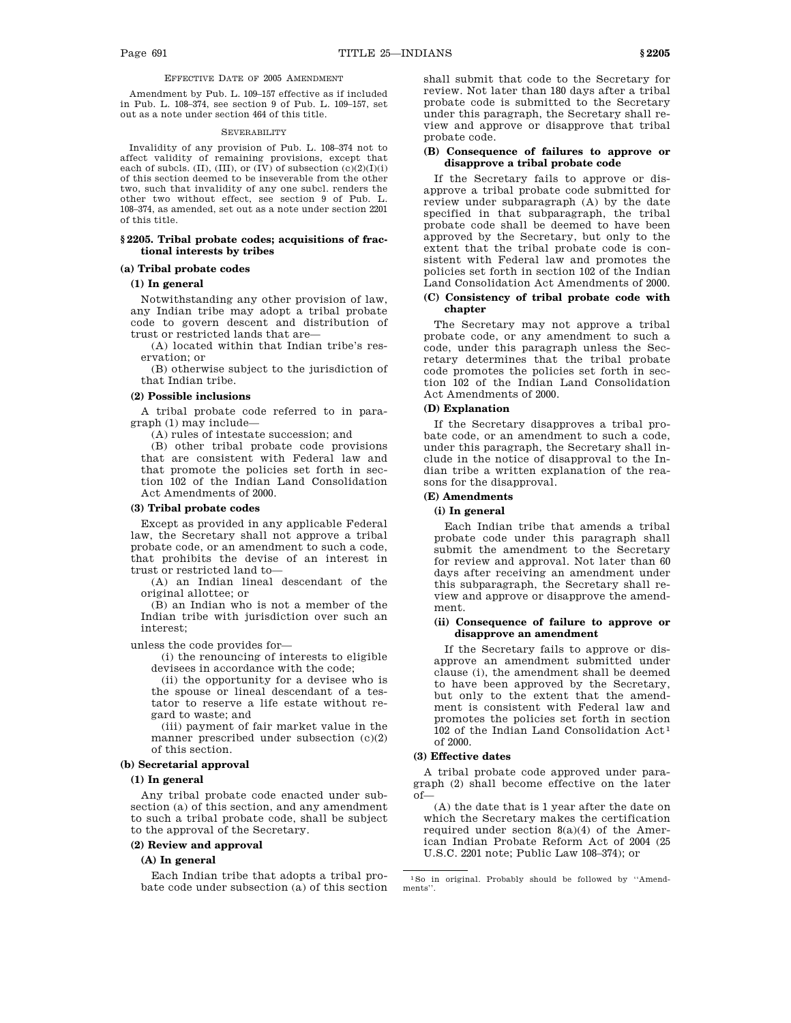### EFFECTIVE DATE OF 2005 AMENDMENT

Amendment by Pub. L. 109–157 effective as if included in Pub. L. 108–374, see section 9 of Pub. L. 109–157, set out as a note under section 464 of this title.

#### **SEVERABILITY**

Invalidity of any provision of Pub. L. 108–374 not to affect validity of remaining provisions, except that each of subcls. (II), (III), or (IV) of subsection  $(c)(2)(I)(i)$ of this section deemed to be inseverable from the other two, such that invalidity of any one subcl. renders the other two without effect, see section 9 of Pub. L. 108–374, as amended, set out as a note under section 2201 of this title.

### **§ 2205. Tribal probate codes; acquisitions of fractional interests by tribes**

# **(a) Tribal probate codes**

### **(1) In general**

Notwithstanding any other provision of law, any Indian tribe may adopt a tribal probate code to govern descent and distribution of trust or restricted lands that are—

(A) located within that Indian tribe's reservation; or

(B) otherwise subject to the jurisdiction of that Indian tribe.

### **(2) Possible inclusions**

A tribal probate code referred to in paragraph (1) may include—

(A) rules of intestate succession; and

(B) other tribal probate code provisions that are consistent with Federal law and that promote the policies set forth in section 102 of the Indian Land Consolidation Act Amendments of 2000.

#### **(3) Tribal probate codes**

Except as provided in any applicable Federal law, the Secretary shall not approve a tribal probate code, or an amendment to such a code, that prohibits the devise of an interest in trust or restricted land to—

(A) an Indian lineal descendant of the original allottee; or

(B) an Indian who is not a member of the Indian tribe with jurisdiction over such an interest;

unless the code provides for—

(i) the renouncing of interests to eligible devisees in accordance with the code;

(ii) the opportunity for a devisee who is the spouse or lineal descendant of a testator to reserve a life estate without regard to waste; and

(iii) payment of fair market value in the manner prescribed under subsection (c)(2) of this section.

#### **(b) Secretarial approval**

#### **(1) In general**

Any tribal probate code enacted under subsection (a) of this section, and any amendment to such a tribal probate code, shall be subject to the approval of the Secretary.

### **(2) Review and approval**

#### **(A) In general**

Each Indian tribe that adopts a tribal probate code under subsection (a) of this section shall submit that code to the Secretary for review. Not later than 180 days after a tribal probate code is submitted to the Secretary under this paragraph, the Secretary shall review and approve or disapprove that tribal probate code.

### **(B) Consequence of failures to approve or disapprove a tribal probate code**

If the Secretary fails to approve or disapprove a tribal probate code submitted for review under subparagraph (A) by the date specified in that subparagraph, the tribal probate code shall be deemed to have been approved by the Secretary, but only to the extent that the tribal probate code is consistent with Federal law and promotes the policies set forth in section 102 of the Indian Land Consolidation Act Amendments of 2000.

### **(C) Consistency of tribal probate code with chapter**

The Secretary may not approve a tribal probate code, or any amendment to such a code, under this paragraph unless the Secretary determines that the tribal probate code promotes the policies set forth in section 102 of the Indian Land Consolidation Act Amendments of 2000.

### **(D) Explanation**

If the Secretary disapproves a tribal probate code, or an amendment to such a code, under this paragraph, the Secretary shall include in the notice of disapproval to the Indian tribe a written explanation of the reasons for the disapproval.

## **(E) Amendments**

### **(i) In general**

Each Indian tribe that amends a tribal probate code under this paragraph shall submit the amendment to the Secretary for review and approval. Not later than 60 days after receiving an amendment under this subparagraph, the Secretary shall review and approve or disapprove the amendment.

### **(ii) Consequence of failure to approve or disapprove an amendment**

If the Secretary fails to approve or disapprove an amendment submitted under clause (i), the amendment shall be deemed to have been approved by the Secretary, but only to the extent that the amendment is consistent with Federal law and promotes the policies set forth in section  $102$  of the Indian Land Consolidation Act<sup>1</sup> of 2000.

#### **(3) Effective dates**

A tribal probate code approved under paragraph (2) shall become effective on the later of—

(A) the date that is 1 year after the date on which the Secretary makes the certification required under section  $8(a)(4)$  of the American Indian Probate Reform Act of 2004 (25 U.S.C. 2201 note; Public Law 108–374); or

1So in original. Probably should be followed by ''Amendments''.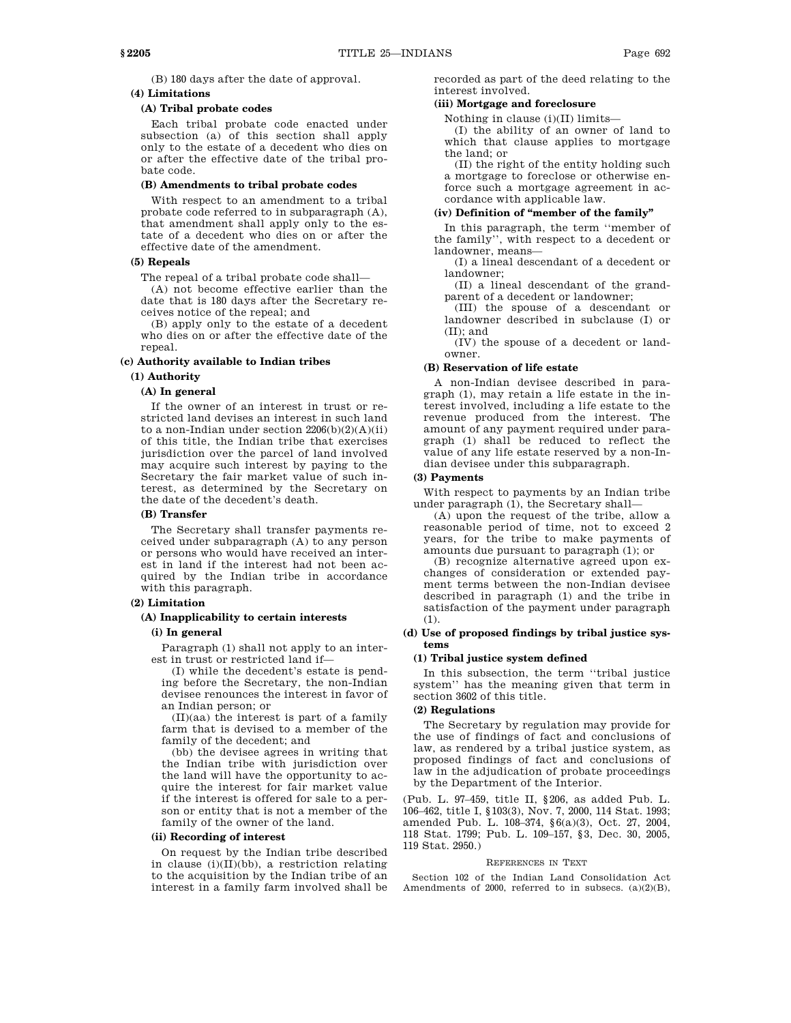(B) 180 days after the date of approval.

# **(4) Limitations**

### **(A) Tribal probate codes**

Each tribal probate code enacted under subsection (a) of this section shall apply only to the estate of a decedent who dies on or after the effective date of the tribal probate code.

### **(B) Amendments to tribal probate codes**

With respect to an amendment to a tribal probate code referred to in subparagraph (A), that amendment shall apply only to the estate of a decedent who dies on or after the effective date of the amendment.

### **(5) Repeals**

The repeal of a tribal probate code shall—

(A) not become effective earlier than the date that is 180 days after the Secretary receives notice of the repeal; and

(B) apply only to the estate of a decedent who dies on or after the effective date of the repeal.

### **(c) Authority available to Indian tribes**

#### **(1) Authority**

### **(A) In general**

If the owner of an interest in trust or restricted land devises an interest in such land to a non-Indian under section  $2206(b)(2)(A)(ii)$ of this title, the Indian tribe that exercises jurisdiction over the parcel of land involved may acquire such interest by paying to the Secretary the fair market value of such interest, as determined by the Secretary on the date of the decedent's death.

#### **(B) Transfer**

The Secretary shall transfer payments received under subparagraph (A) to any person or persons who would have received an interest in land if the interest had not been acquired by the Indian tribe in accordance with this paragraph.

### **(2) Limitation**

# **(A) Inapplicability to certain interests**

### **(i) In general**

Paragraph (1) shall not apply to an interest in trust or restricted land if—

(I) while the decedent's estate is pending before the Secretary, the non-Indian devisee renounces the interest in favor of an Indian person; or

(II)(aa) the interest is part of a family farm that is devised to a member of the family of the decedent; and

(bb) the devisee agrees in writing that the Indian tribe with jurisdiction over the land will have the opportunity to acquire the interest for fair market value if the interest is offered for sale to a person or entity that is not a member of the family of the owner of the land.

### **(ii) Recording of interest**

On request by the Indian tribe described in clause (i)(II)(bb), a restriction relating to the acquisition by the Indian tribe of an interest in a family farm involved shall be recorded as part of the deed relating to the interest involved.

### **(iii) Mortgage and foreclosure**

Nothing in clause (i)(II) limits—

(I) the ability of an owner of land to which that clause applies to mortgage the land; or

(II) the right of the entity holding such a mortgage to foreclose or otherwise enforce such a mortgage agreement in accordance with applicable law.

# **(iv) Definition of ''member of the family''**

In this paragraph, the term ''member of the family'', with respect to a decedent or landowner, means—

(I) a lineal descendant of a decedent or landowner;

(II) a lineal descendant of the grandparent of a decedent or landowner;

(III) the spouse of a descendant or landowner described in subclause (I) or (II); and

(IV) the spouse of a decedent or landowner.

### **(B) Reservation of life estate**

A non-Indian devisee described in paragraph (1), may retain a life estate in the interest involved, including a life estate to the revenue produced from the interest. The amount of any payment required under paragraph (1) shall be reduced to reflect the value of any life estate reserved by a non-Indian devisee under this subparagraph.

### **(3) Payments**

With respect to payments by an Indian tribe under paragraph (1), the Secretary shall—

(A) upon the request of the tribe, allow a reasonable period of time, not to exceed 2 years, for the tribe to make payments of amounts due pursuant to paragraph (1); or

(B) recognize alternative agreed upon exchanges of consideration or extended payment terms between the non-Indian devisee described in paragraph (1) and the tribe in satisfaction of the payment under paragraph (1).

### **(d) Use of proposed findings by tribal justice systems**

### **(1) Tribal justice system defined**

In this subsection, the term ''tribal justice system'' has the meaning given that term in section 3602 of this title.

# **(2) Regulations**

The Secretary by regulation may provide for the use of findings of fact and conclusions of law, as rendered by a tribal justice system, as proposed findings of fact and conclusions of law in the adjudication of probate proceedings by the Department of the Interior.

(Pub. L. 97–459, title II, §206, as added Pub. L. 106–462, title I, §103(3), Nov. 7, 2000, 114 Stat. 1993; amended Pub. L. 108–374, §6(a)(3), Oct. 27, 2004, 118 Stat. 1799; Pub. L. 109–157, §3, Dec. 30, 2005, 119 Stat. 2950.)

#### REFERENCES IN TEXT

Section 102 of the Indian Land Consolidation Act Amendments of 2000, referred to in subsecs. (a)(2)(B),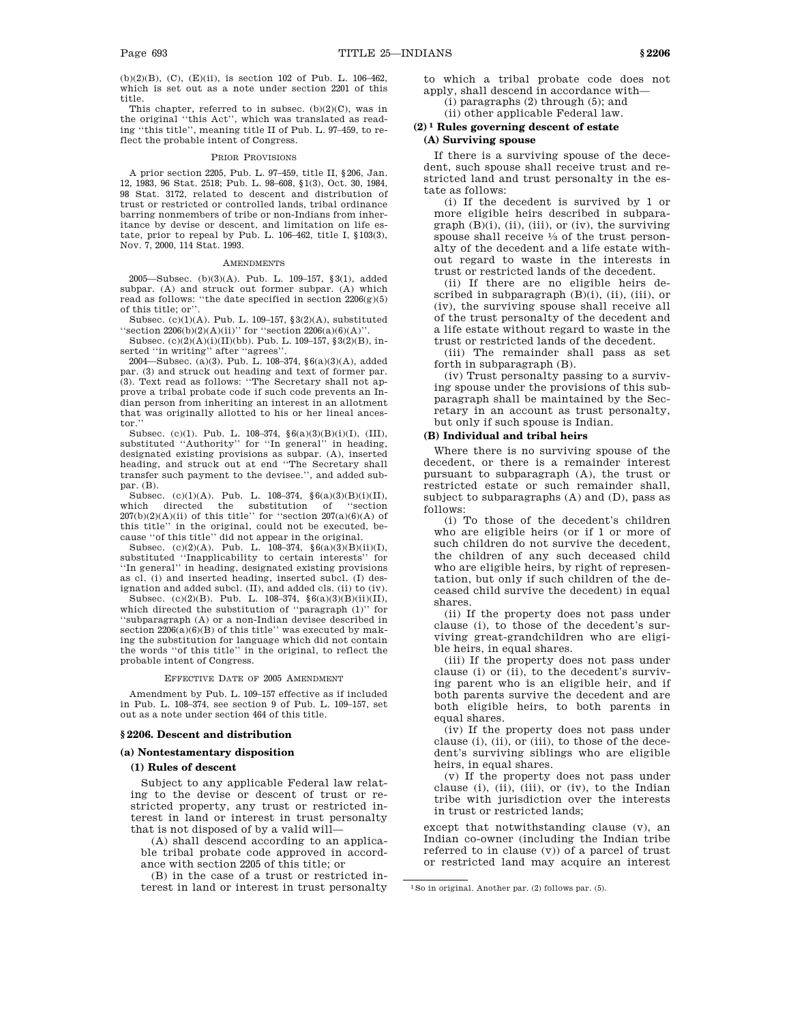(b)(2)(B), (C), (E)(ii), is section 102 of Pub. L. 106–462, which is set out as a note under section 2201 of this title.

This chapter, referred to in subsec.  $(b)(2)(C)$ , was in the original ''this Act'', which was translated as reading ''this title'', meaning title II of Pub. L. 97–459, to reflect the probable intent of Congress.

#### PRIOR PROVISIONS

A prior section 2205, Pub. L. 97–459, title II, §206, Jan. 12, 1983, 96 Stat. 2518; Pub. L. 98–608, §1(3), Oct. 30, 1984, 98 Stat. 3172, related to descent and distribution of trust or restricted or controlled lands, tribal ordinance barring nonmembers of tribe or non-Indians from inheritance by devise or descent, and limitation on life estate, prior to repeal by Pub. L. 106–462, title I, §103(3), Nov. 7, 2000, 114 Stat. 1993.

#### AMENDMENTS

2005—Subsec. (b)(3)(A). Pub. L. 109–157, §3(1), added subpar. (A) and struck out former subpar. (A) which read as follows: "the date specified in section  $2206(g)(5)$ of this title; or''.

Subsec. (c)(1)(A). Pub. L. 109–157, §3(2)(A), substituted "section  $2206(b)(2)(A)(ii)$ " for "section  $2206(a)(6)(A)$ "

Subsec.  $(c)(2)(A)(i)(II)(bb)$ . Pub. L. 109-157, §3(2)(B), inserted "in writing" after "agrees"

2004—Subsec. (a)(3). Pub. L. 108–374, §6(a)(3)(A), added par. (3) and struck out heading and text of former par. (3). Text read as follows: ''The Secretary shall not approve a tribal probate code if such code prevents an Indian person from inheriting an interest in an allotment that was originally allotted to his or her lineal ancestor.

Subsec. (c)(1). Pub. L. 108–374, §6(a)(3)(B)(i)(I), (III), substituted "Authority" for "In general" in heading, designated existing provisions as subpar. (A), inserted heading, and struck out at end ''The Secretary shall transfer such payment to the devisee.'', and added subpar. (B).

Subsec. (c)(1)(A). Pub. L. 108-374,  $\$(a)(3)(B)(i)(II),$ which directed the substitution of ''section  $207(b)(2)(A)(ii)$  of this title'' for "section  $207(a)(6)(A)$  of this title'' in the original, could not be executed, because ''of this title'' did not appear in the original.

Subsec. (c)(2)(A). Pub. L.  $108-374$ ,  $§6(a)(3)(B)(ii)(I)$ , substituted ''Inapplicability to certain interests'' for ''In general'' in heading, designated existing provisions as cl. (i) and inserted heading, inserted subcl. (I) designation and added subcl. (II), and added cls. (ii) to (iv).

Subsec. (c)(2)(B). Pub. L. 108–374, §6(a)(3)(B)(ii)(II), which directed the substitution of ''paragraph (1)'' for ''subparagraph (A) or a non-Indian devisee described in section  $2206(a)(6)(B)$  of this title" was executed by making the substitution for language which did not contain the words ''of this title'' in the original, to reflect the probable intent of Congress.

#### EFFECTIVE DATE OF 2005 AMENDMENT

Amendment by Pub. L. 109–157 effective as if included in Pub. L. 108–374, see section 9 of Pub. L. 109–157, set out as a note under section 464 of this title.

#### **§ 2206. Descent and distribution**

#### **(a) Nontestamentary disposition**

#### **(1) Rules of descent**

Subject to any applicable Federal law relating to the devise or descent of trust or restricted property, any trust or restricted interest in land or interest in trust personalty that is not disposed of by a valid will—

(A) shall descend according to an applicable tribal probate code approved in accordance with section 2205 of this title; or

(B) in the case of a trust or restricted interest in land or interest in trust personalty to which a tribal probate code does not apply, shall descend in accordance with— (i) paragraphs (2) through (5); and

(ii) other applicable Federal law.

# **(2) 1 Rules governing descent of estate**

# **(A) Surviving spouse**

If there is a surviving spouse of the decedent, such spouse shall receive trust and restricted land and trust personalty in the estate as follows:

(i) If the decedent is survived by 1 or more eligible heirs described in subpara $graph (B)(i), (ii), (iii), or (iv), the surviving$ spouse shall receive  $\frac{1}{3}$  of the trust personalty of the decedent and a life estate without regard to waste in the interests in trust or restricted lands of the decedent.

(ii) If there are no eligible heirs described in subparagraph (B)(i), (ii), (iii), or (iv), the surviving spouse shall receive all of the trust personalty of the decedent and a life estate without regard to waste in the trust or restricted lands of the decedent.

(iii) The remainder shall pass as set forth in subparagraph (B).

(iv) Trust personalty passing to a surviving spouse under the provisions of this subparagraph shall be maintained by the Secretary in an account as trust personalty, but only if such spouse is Indian.

#### **(B) Individual and tribal heirs**

Where there is no surviving spouse of the decedent, or there is a remainder interest pursuant to subparagraph (A), the trust or restricted estate or such remainder shall, subject to subparagraphs (A) and (D), pass as follows:

(i) To those of the decedent's children who are eligible heirs (or if 1 or more of such children do not survive the decedent, the children of any such deceased child who are eligible heirs, by right of representation, but only if such children of the deceased child survive the decedent) in equal shares.

(ii) If the property does not pass under clause (i), to those of the decedent's surviving great-grandchildren who are eligible heirs, in equal shares.

(iii) If the property does not pass under clause (i) or (ii), to the decedent's surviving parent who is an eligible heir, and if both parents survive the decedent and are both eligible heirs, to both parents in equal shares.

(iv) If the property does not pass under clause (i), (ii), or (iii), to those of the decedent's surviving siblings who are eligible heirs, in equal shares.

(v) If the property does not pass under clause (i), (ii), (iii), or (iv), to the Indian tribe with jurisdiction over the interests in trust or restricted lands;

except that notwithstanding clause (v), an Indian co-owner (including the Indian tribe referred to in clause (v)) of a parcel of trust or restricted land may acquire an interest

<sup>1</sup>So in original. Another par. (2) follows par. (5).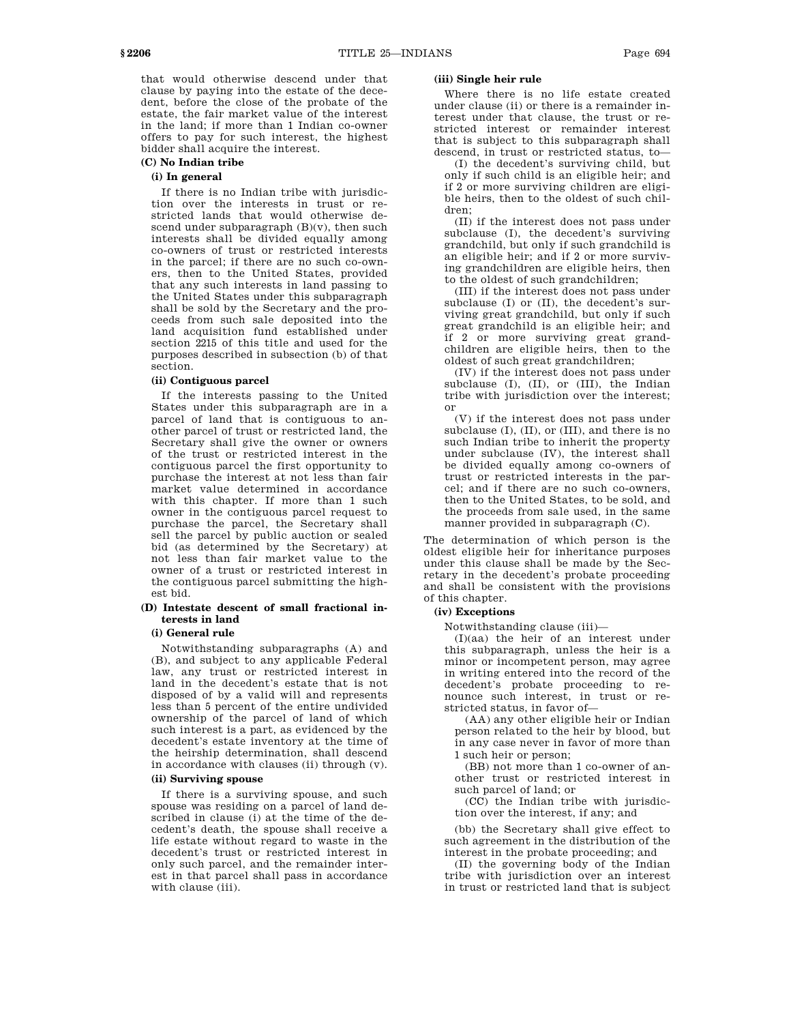that would otherwise descend under that clause by paying into the estate of the decedent, before the close of the probate of the estate, the fair market value of the interest in the land; if more than 1 Indian co-owner offers to pay for such interest, the highest bidder shall acquire the interest.

### **(C) No Indian tribe**

# **(i) In general**

If there is no Indian tribe with jurisdiction over the interests in trust or restricted lands that would otherwise descend under subparagraph (B)(v), then such interests shall be divided equally among co-owners of trust or restricted interests in the parcel; if there are no such co-owners, then to the United States, provided that any such interests in land passing to the United States under this subparagraph shall be sold by the Secretary and the proceeds from such sale deposited into the land acquisition fund established under section 2215 of this title and used for the purposes described in subsection (b) of that section.

### **(ii) Contiguous parcel**

If the interests passing to the United States under this subparagraph are in a parcel of land that is contiguous to another parcel of trust or restricted land, the Secretary shall give the owner or owners of the trust or restricted interest in the contiguous parcel the first opportunity to purchase the interest at not less than fair market value determined in accordance with this chapter. If more than 1 such owner in the contiguous parcel request to purchase the parcel, the Secretary shall sell the parcel by public auction or sealed bid (as determined by the Secretary) at not less than fair market value to the owner of a trust or restricted interest in the contiguous parcel submitting the highest bid.

## **(D) Intestate descent of small fractional interests in land**

### **(i) General rule**

Notwithstanding subparagraphs (A) and (B), and subject to any applicable Federal law, any trust or restricted interest in land in the decedent's estate that is not disposed of by a valid will and represents less than 5 percent of the entire undivided ownership of the parcel of land of which such interest is a part, as evidenced by the decedent's estate inventory at the time of the heirship determination, shall descend in accordance with clauses (ii) through (v).

# **(ii) Surviving spouse**

If there is a surviving spouse, and such spouse was residing on a parcel of land described in clause (i) at the time of the decedent's death, the spouse shall receive a life estate without regard to waste in the decedent's trust or restricted interest in only such parcel, and the remainder interest in that parcel shall pass in accordance with clause (iii).

### **(iii) Single heir rule**

Where there is no life estate created under clause (ii) or there is a remainder interest under that clause, the trust or restricted interest or remainder interest that is subject to this subparagraph shall descend, in trust or restricted status, to—

(I) the decedent's surviving child, but only if such child is an eligible heir; and if 2 or more surviving children are eligible heirs, then to the oldest of such children;

(II) if the interest does not pass under subclause (I), the decedent's surviving grandchild, but only if such grandchild is an eligible heir; and if 2 or more surviving grandchildren are eligible heirs, then to the oldest of such grandchildren;

(III) if the interest does not pass under subclause (I) or (II), the decedent's surviving great grandchild, but only if such great grandchild is an eligible heir; and if 2 or more surviving great grandchildren are eligible heirs, then to the oldest of such great grandchildren;

(IV) if the interest does not pass under subclause (I), (II), or (III), the Indian tribe with jurisdiction over the interest; or

(V) if the interest does not pass under subclause (I), (II), or (III), and there is no such Indian tribe to inherit the property under subclause (IV), the interest shall be divided equally among co-owners of trust or restricted interests in the parcel; and if there are no such co-owners, then to the United States, to be sold, and the proceeds from sale used, in the same manner provided in subparagraph (C).

The determination of which person is the oldest eligible heir for inheritance purposes under this clause shall be made by the Secretary in the decedent's probate proceeding and shall be consistent with the provisions of this chapter.

### **(iv) Exceptions**

Notwithstanding clause (iii)—

(I)(aa) the heir of an interest under this subparagraph, unless the heir is a minor or incompetent person, may agree in writing entered into the record of the decedent's probate proceeding to renounce such interest, in trust or restricted status, in favor of—

(AA) any other eligible heir or Indian person related to the heir by blood, but in any case never in favor of more than 1 such heir or person;

(BB) not more than 1 co-owner of another trust or restricted interest in such parcel of land; or

(CC) the Indian tribe with jurisdiction over the interest, if any; and

(bb) the Secretary shall give effect to such agreement in the distribution of the interest in the probate proceeding; and

(II) the governing body of the Indian tribe with jurisdiction over an interest in trust or restricted land that is subject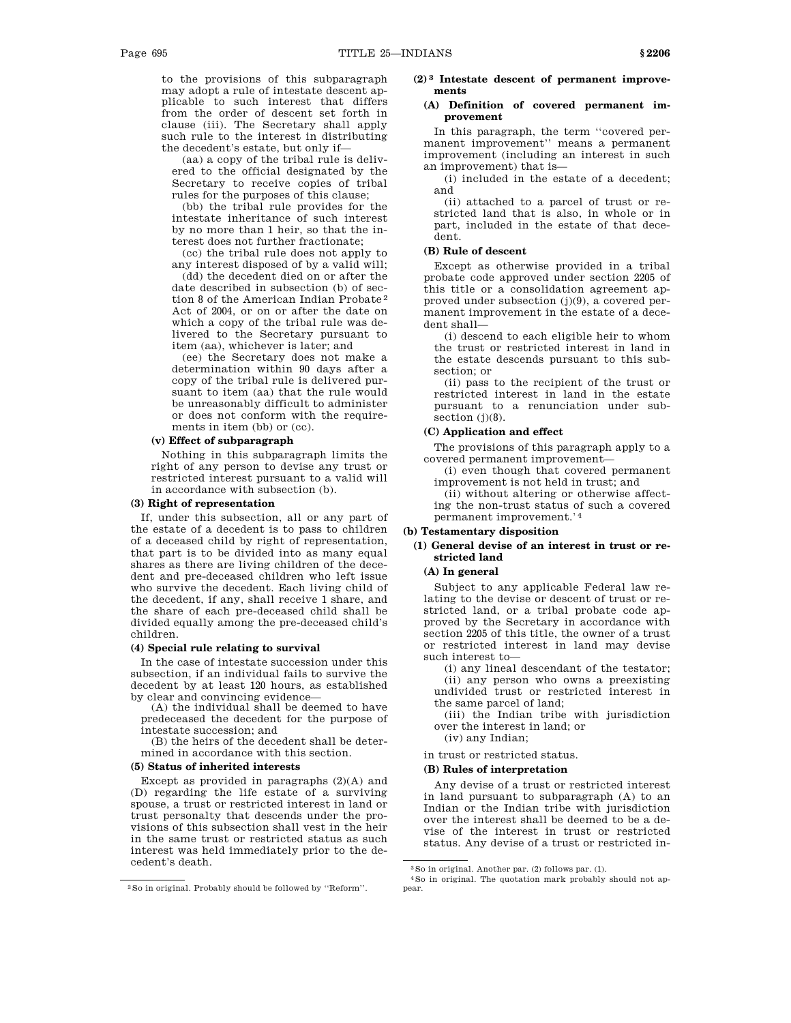to the provisions of this subparagraph may adopt a rule of intestate descent applicable to such interest that differs from the order of descent set forth in clause (iii). The Secretary shall apply such rule to the interest in distributing the decedent's estate, but only if—

(aa) a copy of the tribal rule is delivered to the official designated by the Secretary to receive copies of tribal rules for the purposes of this clause;

(bb) the tribal rule provides for the intestate inheritance of such interest by no more than 1 heir, so that the interest does not further fractionate;

(cc) the tribal rule does not apply to any interest disposed of by a valid will;

(dd) the decedent died on or after the date described in subsection (b) of section 8 of the American Indian Probate 2 Act of 2004, or on or after the date on which a copy of the tribal rule was delivered to the Secretary pursuant to item (aa), whichever is later; and

(ee) the Secretary does not make a determination within 90 days after a copy of the tribal rule is delivered pursuant to item (aa) that the rule would be unreasonably difficult to administer or does not conform with the requirements in item (bb) or (cc).

#### **(v) Effect of subparagraph**

Nothing in this subparagraph limits the right of any person to devise any trust or restricted interest pursuant to a valid will in accordance with subsection (b).

# **(3) Right of representation**

If, under this subsection, all or any part of the estate of a decedent is to pass to children of a deceased child by right of representation, that part is to be divided into as many equal shares as there are living children of the decedent and pre-deceased children who left issue who survive the decedent. Each living child of the decedent, if any, shall receive 1 share, and the share of each pre-deceased child shall be divided equally among the pre-deceased child's children.

### **(4) Special rule relating to survival**

In the case of intestate succession under this subsection, if an individual fails to survive the decedent by at least 120 hours, as established by clear and convincing evidence—

(A) the individual shall be deemed to have predeceased the decedent for the purpose of intestate succession; and

(B) the heirs of the decedent shall be determined in accordance with this section.

#### **(5) Status of inherited interests**

Except as provided in paragraphs  $(2)(A)$  and (D) regarding the life estate of a surviving spouse, a trust or restricted interest in land or trust personalty that descends under the provisions of this subsection shall vest in the heir in the same trust or restricted status as such interest was held immediately prior to the decedent's death.

### **(2) 3 Intestate descent of permanent improvements**

### **(A) Definition of covered permanent improvement**

In this paragraph, the term ''covered permanent improvement'' means a permanent improvement (including an interest in such an improvement) that is—

(i) included in the estate of a decedent; and

(ii) attached to a parcel of trust or restricted land that is also, in whole or in part, included in the estate of that decedent.

#### **(B) Rule of descent**

Except as otherwise provided in a tribal probate code approved under section 2205 of this title or a consolidation agreement approved under subsection  $(j)(9)$ , a covered permanent improvement in the estate of a decedent shall—

(i) descend to each eligible heir to whom the trust or restricted interest in land in the estate descends pursuant to this subsection; or

(ii) pass to the recipient of the trust or restricted interest in land in the estate pursuant to a renunciation under subsection (j)(8).

### **(C) Application and effect**

The provisions of this paragraph apply to a covered permanent improvement—

(i) even though that covered permanent improvement is not held in trust; and

(ii) without altering or otherwise affecting the non-trust status of such a covered permanent improvement.' 4

## **(b) Testamentary disposition**

# **(1) General devise of an interest in trust or restricted land**

### **(A) In general**

Subject to any applicable Federal law relating to the devise or descent of trust or restricted land, or a tribal probate code approved by the Secretary in accordance with section 2205 of this title, the owner of a trust or restricted interest in land may devise such interest to—

(i) any lineal descendant of the testator; (ii) any person who owns a preexisting undivided trust or restricted interest in the same parcel of land;

(iii) the Indian tribe with jurisdiction over the interest in land; or

(iv) any Indian;

in trust or restricted status.

### **(B) Rules of interpretation**

Any devise of a trust or restricted interest in land pursuant to subparagraph (A) to an Indian or the Indian tribe with jurisdiction over the interest shall be deemed to be a devise of the interest in trust or restricted status. Any devise of a trust or restricted in-

<sup>2</sup>So in original. Probably should be followed by ''Reform''.

<sup>3</sup>So in original. Another par. (2) follows par. (1).

<sup>4</sup>So in original. The quotation mark probably should not appear.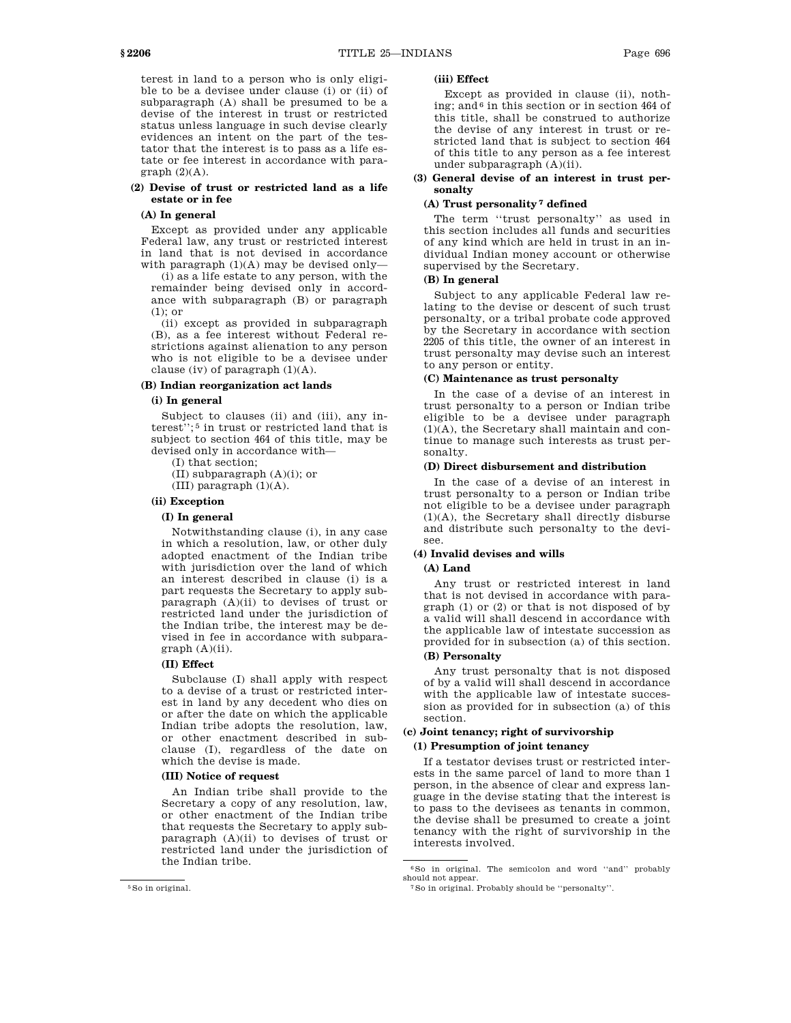terest in land to a person who is only eligible to be a devisee under clause (i) or (ii) of subparagraph (A) shall be presumed to be a devise of the interest in trust or restricted status unless language in such devise clearly evidences an intent on the part of the testator that the interest is to pass as a life estate or fee interest in accordance with paragraph  $(2)(A)$ .

### **(2) Devise of trust or restricted land as a life estate or in fee**

### **(A) In general**

Except as provided under any applicable Federal law, any trust or restricted interest in land that is not devised in accordance with paragraph  $(1)(A)$  may be devised only-

(i) as a life estate to any person, with the remainder being devised only in accordance with subparagraph (B) or paragraph (1); or

(ii) except as provided in subparagraph (B), as a fee interest without Federal restrictions against alienation to any person who is not eligible to be a devisee under clause (iv) of paragraph (1)(A).

### **(B) Indian reorganization act lands**

#### **(i) In general**

Subject to clauses (ii) and (iii), any interest''; 5 in trust or restricted land that is subject to section 464 of this title, may be devised only in accordance with—

(I) that section;

(II) subparagraph (A)(i); or

(III) paragraph  $(1)(A)$ .

### **(ii) Exception**

### **(I) In general**

Notwithstanding clause (i), in any case in which a resolution, law, or other duly adopted enactment of the Indian tribe with jurisdiction over the land of which an interest described in clause (i) is a part requests the Secretary to apply subparagraph (A)(ii) to devises of trust or restricted land under the jurisdiction of the Indian tribe, the interest may be devised in fee in accordance with subpara $graph (A)(ii)$ .

### **(II) Effect**

Subclause (I) shall apply with respect to a devise of a trust or restricted interest in land by any decedent who dies on or after the date on which the applicable Indian tribe adopts the resolution, law, or other enactment described in subclause (I), regardless of the date on which the devise is made.

#### **(III) Notice of request**

An Indian tribe shall provide to the Secretary a copy of any resolution, law, or other enactment of the Indian tribe that requests the Secretary to apply subparagraph (A)(ii) to devises of trust or restricted land under the jurisdiction of the Indian tribe.

#### 5So in original.

### **(iii) Effect**

Except as provided in clause (ii), nothing; and 6 in this section or in section 464 of this title, shall be construed to authorize the devise of any interest in trust or restricted land that is subject to section 464 of this title to any person as a fee interest under subparagraph (A)(ii).

# **(3) General devise of an interest in trust personalty**

# **(A) Trust personality 7 defined**

The term ''trust personalty'' as used in this section includes all funds and securities of any kind which are held in trust in an individual Indian money account or otherwise supervised by the Secretary.

### **(B) In general**

Subject to any applicable Federal law relating to the devise or descent of such trust personalty, or a tribal probate code approved by the Secretary in accordance with section 2205 of this title, the owner of an interest in trust personalty may devise such an interest to any person or entity.

## **(C) Maintenance as trust personalty**

In the case of a devise of an interest in trust personalty to a person or Indian tribe eligible to be a devisee under paragraph (1)(A), the Secretary shall maintain and continue to manage such interests as trust personalty.

### **(D) Direct disbursement and distribution**

In the case of a devise of an interest in trust personalty to a person or Indian tribe not eligible to be a devisee under paragraph (1)(A), the Secretary shall directly disburse and distribute such personalty to the devisee.

# **(4) Invalid devises and wills**

### **(A) Land**

Any trust or restricted interest in land that is not devised in accordance with paragraph (1) or (2) or that is not disposed of by a valid will shall descend in accordance with the applicable law of intestate succession as provided for in subsection (a) of this section.

### **(B) Personalty**

Any trust personalty that is not disposed of by a valid will shall descend in accordance with the applicable law of intestate succession as provided for in subsection (a) of this section.

# **(c) Joint tenancy; right of survivorship (1) Presumption of joint tenancy**

If a testator devises trust or restricted interests in the same parcel of land to more than 1 person, in the absence of clear and express language in the devise stating that the interest is to pass to the devisees as tenants in common, the devise shall be presumed to create a joint tenancy with the right of survivorship in the interests involved.

<sup>6</sup>So in original. The semicolon and word ''and'' probably should not appear.

<sup>7</sup>So in original. Probably should be ''personalty''.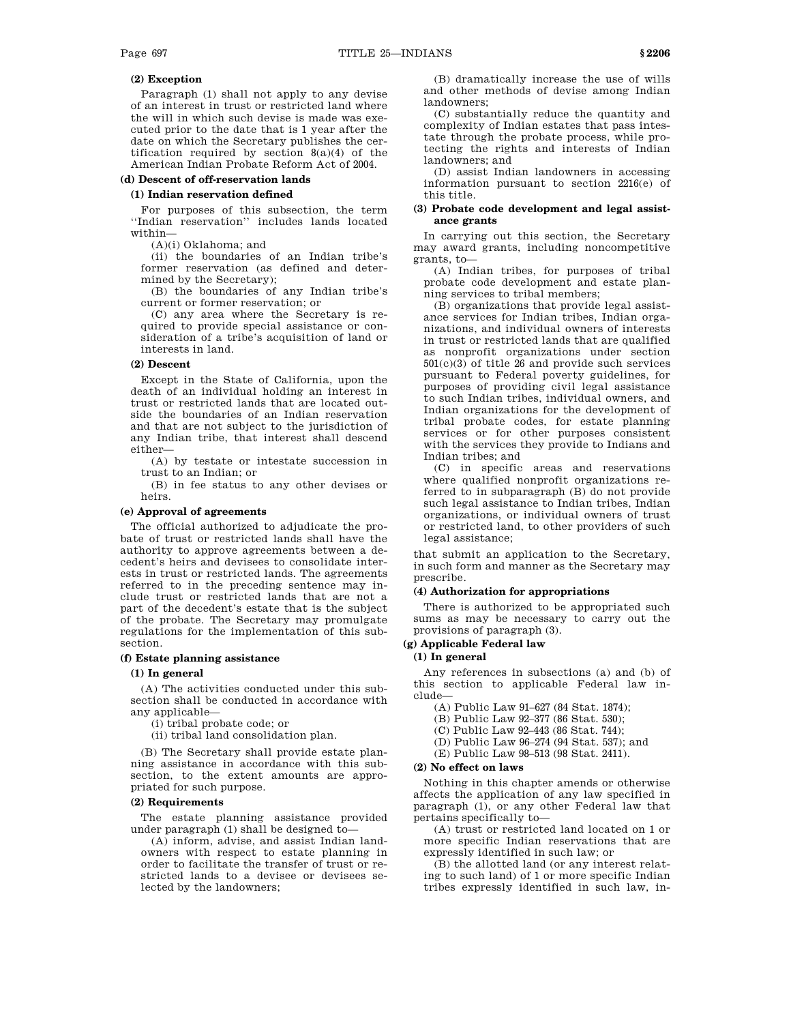### **(2) Exception**

Paragraph (1) shall not apply to any devise of an interest in trust or restricted land where the will in which such devise is made was executed prior to the date that is 1 year after the date on which the Secretary publishes the certification required by section 8(a)(4) of the American Indian Probate Reform Act of 2004.

### **(d) Descent of off-reservation lands**

### **(1) Indian reservation defined**

For purposes of this subsection, the term ''Indian reservation'' includes lands located within—

(A)(i) Oklahoma; and

(ii) the boundaries of an Indian tribe's former reservation (as defined and determined by the Secretary);

(B) the boundaries of any Indian tribe's current or former reservation; or

(C) any area where the Secretary is required to provide special assistance or consideration of a tribe's acquisition of land or interests in land.

### **(2) Descent**

Except in the State of California, upon the death of an individual holding an interest in trust or restricted lands that are located outside the boundaries of an Indian reservation and that are not subject to the jurisdiction of any Indian tribe, that interest shall descend either—

(A) by testate or intestate succession in trust to an Indian; or

(B) in fee status to any other devises or heirs.

### **(e) Approval of agreements**

The official authorized to adjudicate the probate of trust or restricted lands shall have the authority to approve agreements between a decedent's heirs and devisees to consolidate interests in trust or restricted lands. The agreements referred to in the preceding sentence may include trust or restricted lands that are not a part of the decedent's estate that is the subject of the probate. The Secretary may promulgate regulations for the implementation of this subsection.

## **(f) Estate planning assistance**

### **(1) In general**

(A) The activities conducted under this subsection shall be conducted in accordance with any applicable—

(i) tribal probate code; or

(ii) tribal land consolidation plan.

(B) The Secretary shall provide estate planning assistance in accordance with this subsection, to the extent amounts are appropriated for such purpose.

### **(2) Requirements**

The estate planning assistance provided under paragraph (1) shall be designed to—

(A) inform, advise, and assist Indian landowners with respect to estate planning in order to facilitate the transfer of trust or restricted lands to a devisee or devisees selected by the landowners;

(B) dramatically increase the use of wills and other methods of devise among Indian landowners;

(C) substantially reduce the quantity and complexity of Indian estates that pass intestate through the probate process, while protecting the rights and interests of Indian landowners; and

(D) assist Indian landowners in accessing information pursuant to section 2216(e) of this title.

### **(3) Probate code development and legal assistance grants**

In carrying out this section, the Secretary may award grants, including noncompetitive grants, to—

(A) Indian tribes, for purposes of tribal probate code development and estate planning services to tribal members;

(B) organizations that provide legal assistance services for Indian tribes, Indian organizations, and individual owners of interests in trust or restricted lands that are qualified as nonprofit organizations under section 501(c)(3) of title 26 and provide such services pursuant to Federal poverty guidelines, for purposes of providing civil legal assistance to such Indian tribes, individual owners, and Indian organizations for the development of tribal probate codes, for estate planning services or for other purposes consistent with the services they provide to Indians and Indian tribes; and

(C) in specific areas and reservations where qualified nonprofit organizations referred to in subparagraph (B) do not provide such legal assistance to Indian tribes, Indian organizations, or individual owners of trust or restricted land, to other providers of such legal assistance;

that submit an application to the Secretary, in such form and manner as the Secretary may prescribe.

### **(4) Authorization for appropriations**

There is authorized to be appropriated such sums as may be necessary to carry out the provisions of paragraph (3).

# **(g) Applicable Federal law**

## **(1) In general**

Any references in subsections (a) and (b) of this section to applicable Federal law include—

(A) Public Law 91–627 (84 Stat. 1874);

(B) Public Law 92–377 (86 Stat. 530);

- (C) Public Law 92–443 (86 Stat. 744);
- (D) Public Law 96–274 (94 Stat. 537); and
- (E) Public Law 98–513 (98 Stat. 2411).

### **(2) No effect on laws**

Nothing in this chapter amends or otherwise affects the application of any law specified in paragraph (1), or any other Federal law that pertains specifically to—

(A) trust or restricted land located on 1 or more specific Indian reservations that are expressly identified in such law; or

(B) the allotted land (or any interest relating to such land) of 1 or more specific Indian tribes expressly identified in such law, in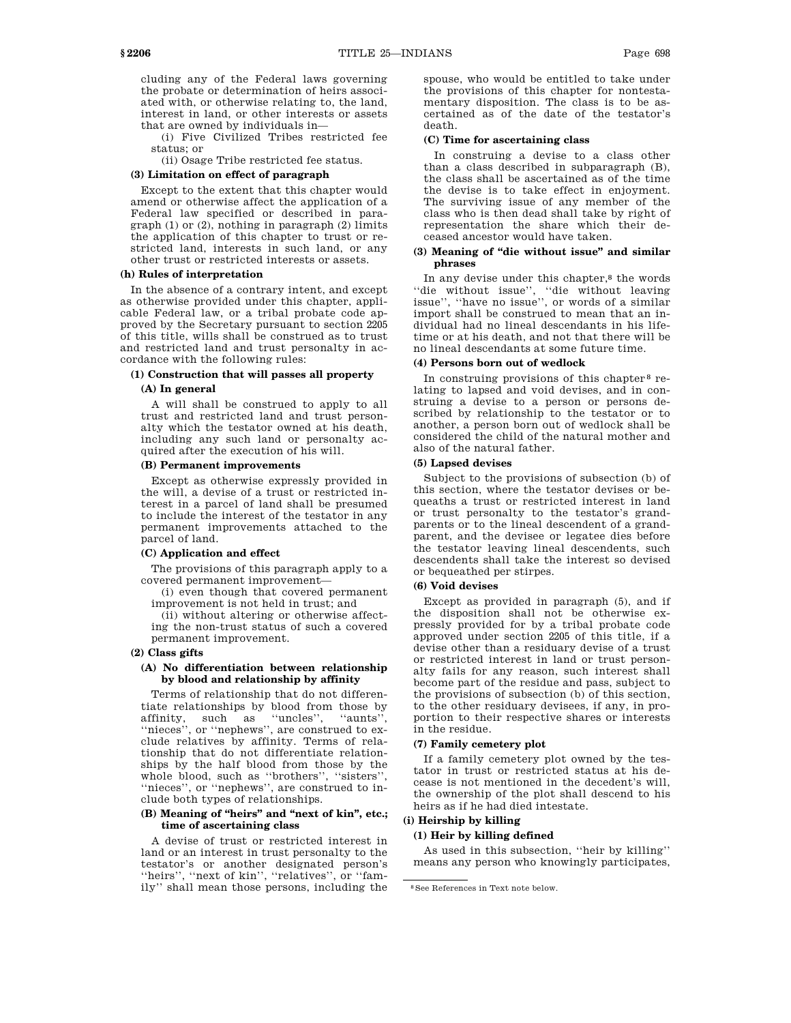cluding any of the Federal laws governing the probate or determination of heirs associated with, or otherwise relating to, the land, interest in land, or other interests or assets that are owned by individuals in—

(i) Five Civilized Tribes restricted fee status; or

(ii) Osage Tribe restricted fee status.

### **(3) Limitation on effect of paragraph**

Except to the extent that this chapter would amend or otherwise affect the application of a Federal law specified or described in paragraph  $(1)$  or  $(2)$ , nothing in paragraph  $(2)$  limits the application of this chapter to trust or restricted land, interests in such land, or any other trust or restricted interests or assets.

### **(h) Rules of interpretation**

In the absence of a contrary intent, and except as otherwise provided under this chapter, applicable Federal law, or a tribal probate code approved by the Secretary pursuant to section 2205 of this title, wills shall be construed as to trust and restricted land and trust personalty in accordance with the following rules:

# **(1) Construction that will passes all property**

### **(A) In general**

A will shall be construed to apply to all trust and restricted land and trust personalty which the testator owned at his death, including any such land or personalty acquired after the execution of his will.

### **(B) Permanent improvements**

Except as otherwise expressly provided in the will, a devise of a trust or restricted interest in a parcel of land shall be presumed to include the interest of the testator in any permanent improvements attached to the parcel of land.

### **(C) Application and effect**

The provisions of this paragraph apply to a covered permanent improvement—

(i) even though that covered permanent improvement is not held in trust; and

(ii) without altering or otherwise affecting the non-trust status of such a covered permanent improvement.

### **(2) Class gifts**

### **(A) No differentiation between relationship by blood and relationship by affinity**

Terms of relationship that do not differentiate relationships by blood from those by affinity, such as ''uncles'', ''aunts'', ''nieces'', or ''nephews'', are construed to exclude relatives by affinity. Terms of relationship that do not differentiate relationships by the half blood from those by the whole blood, such as ''brothers'', ''sisters'', ''nieces'', or ''nephews'', are construed to include both types of relationships.

### **(B) Meaning of ''heirs'' and ''next of kin'', etc.; time of ascertaining class**

A devise of trust or restricted interest in land or an interest in trust personalty to the testator's or another designated person's ''heirs'', ''next of kin'', ''relatives'', or ''family'' shall mean those persons, including the spouse, who would be entitled to take under the provisions of this chapter for nontestamentary disposition. The class is to be ascertained as of the date of the testator's death.

### **(C) Time for ascertaining class**

In construing a devise to a class other than a class described in subparagraph (B), the class shall be ascertained as of the time the devise is to take effect in enjoyment. The surviving issue of any member of the class who is then dead shall take by right of representation the share which their deceased ancestor would have taken.

#### **(3) Meaning of ''die without issue'' and similar phrases**

In any devise under this chapter,<sup>8</sup> the words ''die without issue'', ''die without leaving issue'', ''have no issue'', or words of a similar import shall be construed to mean that an individual had no lineal descendants in his lifetime or at his death, and not that there will be no lineal descendants at some future time.

#### **(4) Persons born out of wedlock**

In construing provisions of this chapter 8 relating to lapsed and void devises, and in construing a devise to a person or persons described by relationship to the testator or to another, a person born out of wedlock shall be considered the child of the natural mother and also of the natural father.

### **(5) Lapsed devises**

Subject to the provisions of subsection (b) of this section, where the testator devises or bequeaths a trust or restricted interest in land or trust personalty to the testator's grandparents or to the lineal descendent of a grandparent, and the devisee or legatee dies before the testator leaving lineal descendents, such descendents shall take the interest so devised or bequeathed per stirpes.

### **(6) Void devises**

Except as provided in paragraph (5), and if the disposition shall not be otherwise expressly provided for by a tribal probate code approved under section 2205 of this title, if a devise other than a residuary devise of a trust or restricted interest in land or trust personalty fails for any reason, such interest shall become part of the residue and pass, subject to the provisions of subsection (b) of this section, to the other residuary devisees, if any, in proportion to their respective shares or interests in the residue.

### **(7) Family cemetery plot**

If a family cemetery plot owned by the testator in trust or restricted status at his decease is not mentioned in the decedent's will, the ownership of the plot shall descend to his heirs as if he had died intestate.

### **(i) Heirship by killing**

### **(1) Heir by killing defined**

As used in this subsection, ''heir by killing'' means any person who knowingly participates,

<sup>8</sup>See References in Text note below.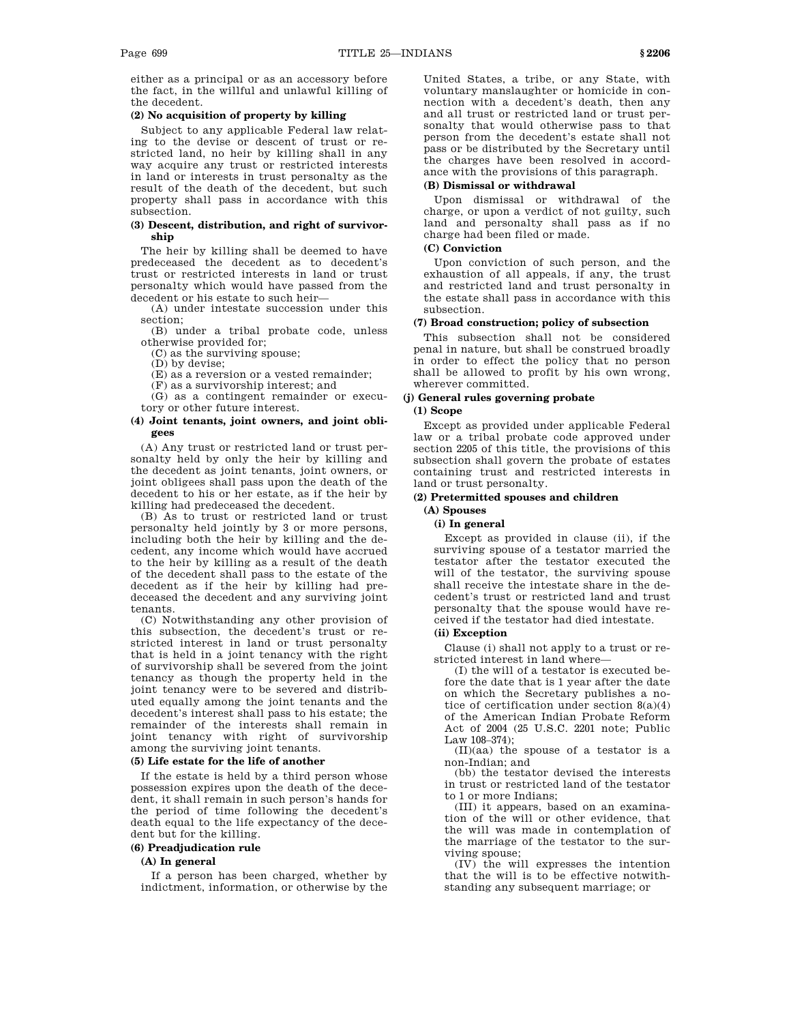either as a principal or as an accessory before the fact, in the willful and unlawful killing of the decedent.

### **(2) No acquisition of property by killing**

Subject to any applicable Federal law relating to the devise or descent of trust or restricted land, no heir by killing shall in any way acquire any trust or restricted interests in land or interests in trust personalty as the result of the death of the decedent, but such property shall pass in accordance with this subsection.

### **(3) Descent, distribution, and right of survivorship**

The heir by killing shall be deemed to have predeceased the decedent as to decedent's trust or restricted interests in land or trust personalty which would have passed from the decedent or his estate to such heir—

(A) under intestate succession under this section;

(B) under a tribal probate code, unless otherwise provided for;

(C) as the surviving spouse;

(D) by devise;

(E) as a reversion or a vested remainder;

(F) as a survivorship interest; and

(G) as a contingent remainder or executory or other future interest.

### **(4) Joint tenants, joint owners, and joint obligees**

(A) Any trust or restricted land or trust personalty held by only the heir by killing and the decedent as joint tenants, joint owners, or joint obligees shall pass upon the death of the decedent to his or her estate, as if the heir by killing had predeceased the decedent.

(B) As to trust or restricted land or trust personalty held jointly by 3 or more persons, including both the heir by killing and the decedent, any income which would have accrued to the heir by killing as a result of the death of the decedent shall pass to the estate of the decedent as if the heir by killing had predeceased the decedent and any surviving joint tenants.

(C) Notwithstanding any other provision of this subsection, the decedent's trust or restricted interest in land or trust personalty that is held in a joint tenancy with the right of survivorship shall be severed from the joint tenancy as though the property held in the joint tenancy were to be severed and distributed equally among the joint tenants and the decedent's interest shall pass to his estate; the remainder of the interests shall remain in joint tenancy with right of survivorship among the surviving joint tenants.

### **(5) Life estate for the life of another**

If the estate is held by a third person whose possession expires upon the death of the decedent, it shall remain in such person's hands for the period of time following the decedent's death equal to the life expectancy of the decedent but for the killing.

### **(6) Preadjudication rule**

### **(A) In general**

If a person has been charged, whether by indictment, information, or otherwise by the United States, a tribe, or any State, with voluntary manslaughter or homicide in connection with a decedent's death, then any and all trust or restricted land or trust personalty that would otherwise pass to that person from the decedent's estate shall not pass or be distributed by the Secretary until the charges have been resolved in accordance with the provisions of this paragraph.

### **(B) Dismissal or withdrawal**

Upon dismissal or withdrawal of the charge, or upon a verdict of not guilty, such land and personalty shall pass as if no charge had been filed or made.

### **(C) Conviction**

Upon conviction of such person, and the exhaustion of all appeals, if any, the trust and restricted land and trust personalty in the estate shall pass in accordance with this subsection.

### **(7) Broad construction; policy of subsection**

This subsection shall not be considered penal in nature, but shall be construed broadly in order to effect the policy that no person shall be allowed to profit by his own wrong, wherever committed.

### **(j) General rules governing probate**

## **(1) Scope**

Except as provided under applicable Federal law or a tribal probate code approved under section 2205 of this title, the provisions of this subsection shall govern the probate of estates containing trust and restricted interests in land or trust personalty.

### **(2) Pretermitted spouses and children**

# **(A) Spouses**

# **(i) In general**

Except as provided in clause (ii), if the surviving spouse of a testator married the testator after the testator executed the will of the testator, the surviving spouse shall receive the intestate share in the decedent's trust or restricted land and trust personalty that the spouse would have received if the testator had died intestate.

### **(ii) Exception**

Clause (i) shall not apply to a trust or restricted interest in land where—

(I) the will of a testator is executed before the date that is 1 year after the date on which the Secretary publishes a notice of certification under section 8(a)(4) of the American Indian Probate Reform Act of 2004 (25 U.S.C. 2201 note; Public Law 108–374);

(II)(aa) the spouse of a testator is a non-Indian; and

(bb) the testator devised the interests in trust or restricted land of the testator to 1 or more Indians;

(III) it appears, based on an examination of the will or other evidence, that the will was made in contemplation of the marriage of the testator to the surviving spouse;

(IV) the will expresses the intention that the will is to be effective notwithstanding any subsequent marriage; or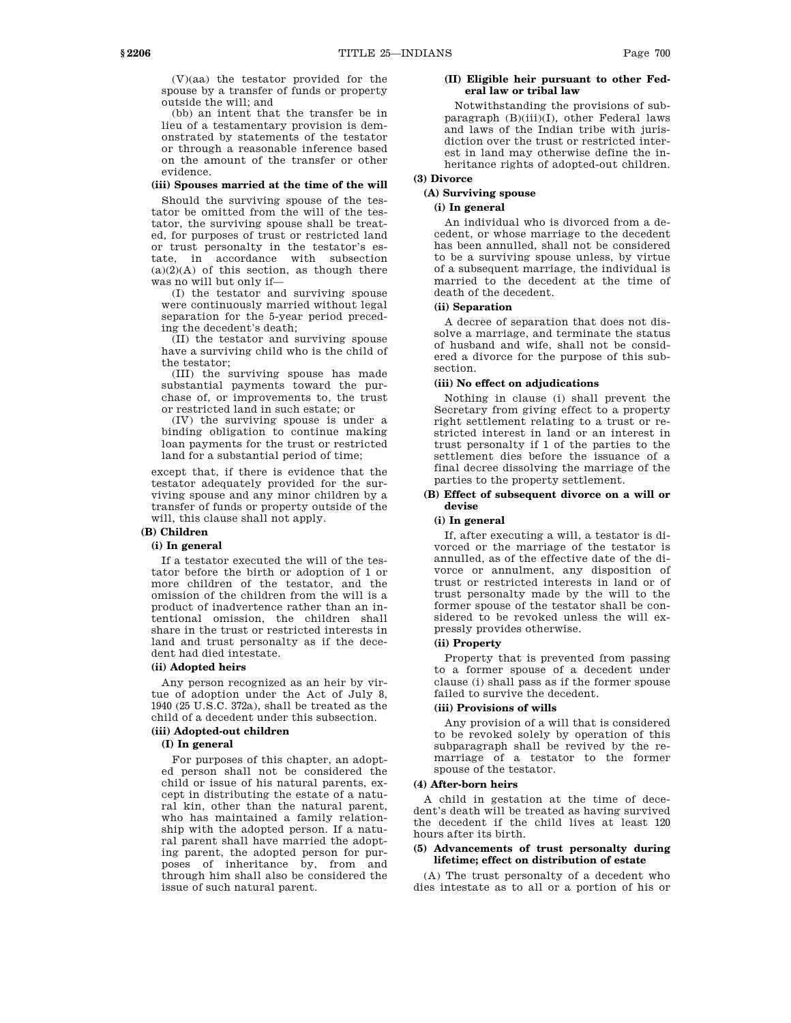(V)(aa) the testator provided for the spouse by a transfer of funds or property outside the will; and

(bb) an intent that the transfer be in lieu of a testamentary provision is demonstrated by statements of the testator or through a reasonable inference based on the amount of the transfer or other evidence.

### **(iii) Spouses married at the time of the will**

Should the surviving spouse of the testator be omitted from the will of the testator, the surviving spouse shall be treated, for purposes of trust or restricted land or trust personalty in the testator's estate, in accordance with subsection  $(a)(2)(A)$  of this section, as though there was no will but only if—

(I) the testator and surviving spouse were continuously married without legal separation for the 5-year period preceding the decedent's death;

(II) the testator and surviving spouse have a surviving child who is the child of the testator;

(III) the surviving spouse has made substantial payments toward the purchase of, or improvements to, the trust or restricted land in such estate; or

(IV) the surviving spouse is under a binding obligation to continue making loan payments for the trust or restricted land for a substantial period of time;

except that, if there is evidence that the testator adequately provided for the surviving spouse and any minor children by a transfer of funds or property outside of the will, this clause shall not apply.

# **(B) Children**

# **(i) In general**

If a testator executed the will of the testator before the birth or adoption of 1 or more children of the testator, and the omission of the children from the will is a product of inadvertence rather than an intentional omission, the children shall share in the trust or restricted interests in land and trust personalty as if the decedent had died intestate.

### **(ii) Adopted heirs**

Any person recognized as an heir by virtue of adoption under the Act of July 8, 1940 (25 U.S.C. 372a), shall be treated as the child of a decedent under this subsection.

# **(iii) Adopted-out children**

# **(I) In general**

For purposes of this chapter, an adopted person shall not be considered the child or issue of his natural parents, except in distributing the estate of a natural kin, other than the natural parent, who has maintained a family relationship with the adopted person. If a natural parent shall have married the adopting parent, the adopted person for purposes of inheritance by, from and through him shall also be considered the issue of such natural parent.

### **(II) Eligible heir pursuant to other Federal law or tribal law**

Notwithstanding the provisions of subparagraph (B)(iii)(I), other Federal laws and laws of the Indian tribe with jurisdiction over the trust or restricted interest in land may otherwise define the inheritance rights of adopted-out children.

# **(3) Divorce**

# **(A) Surviving spouse**

# **(i) In general**

An individual who is divorced from a decedent, or whose marriage to the decedent has been annulled, shall not be considered to be a surviving spouse unless, by virtue of a subsequent marriage, the individual is married to the decedent at the time of death of the decedent.

# **(ii) Separation**

A decree of separation that does not dissolve a marriage, and terminate the status of husband and wife, shall not be considered a divorce for the purpose of this subsection.

### **(iii) No effect on adjudications**

Nothing in clause (i) shall prevent the Secretary from giving effect to a property right settlement relating to a trust or restricted interest in land or an interest in trust personalty if 1 of the parties to the settlement dies before the issuance of a final decree dissolving the marriage of the parties to the property settlement.

### **(B) Effect of subsequent divorce on a will or devise**

### **(i) In general**

If, after executing a will, a testator is divorced or the marriage of the testator is annulled, as of the effective date of the divorce or annulment, any disposition of trust or restricted interests in land or of trust personalty made by the will to the former spouse of the testator shall be considered to be revoked unless the will expressly provides otherwise.

### **(ii) Property**

Property that is prevented from passing to a former spouse of a decedent under clause (i) shall pass as if the former spouse failed to survive the decedent.

#### **(iii) Provisions of wills**

Any provision of a will that is considered to be revoked solely by operation of this subparagraph shall be revived by the remarriage of a testator to the former spouse of the testator.

### **(4) After-born heirs**

A child in gestation at the time of decedent's death will be treated as having survived the decedent if the child lives at least 120 hours after its birth.

### **(5) Advancements of trust personalty during lifetime; effect on distribution of estate**

(A) The trust personalty of a decedent who dies intestate as to all or a portion of his or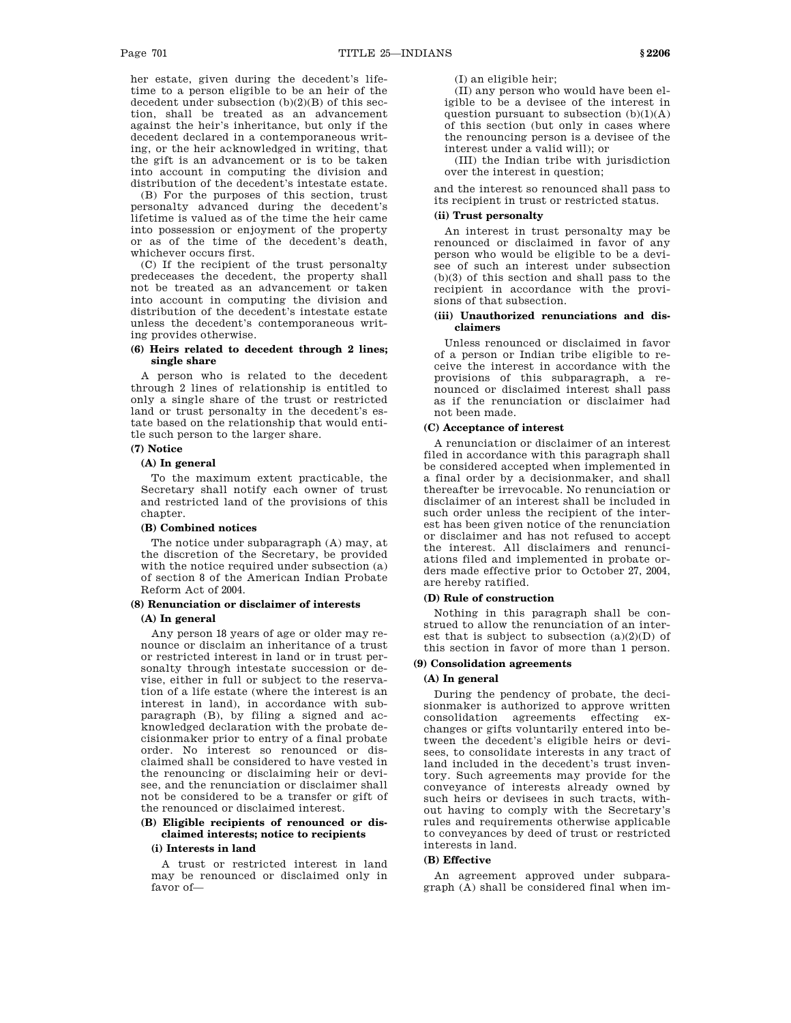her estate, given during the decedent's lifetime to a person eligible to be an heir of the decedent under subsection  $(b)(2)(B)$  of this section, shall be treated as an advancement against the heir's inheritance, but only if the decedent declared in a contemporaneous writing, or the heir acknowledged in writing, that the gift is an advancement or is to be taken into account in computing the division and distribution of the decedent's intestate estate.

(B) For the purposes of this section, trust personalty advanced during the decedent's lifetime is valued as of the time the heir came into possession or enjoyment of the property or as of the time of the decedent's death, whichever occurs first.

(C) If the recipient of the trust personalty predeceases the decedent, the property shall not be treated as an advancement or taken into account in computing the division and distribution of the decedent's intestate estate unless the decedent's contemporaneous writing provides otherwise.

### **(6) Heirs related to decedent through 2 lines; single share**

A person who is related to the decedent through 2 lines of relationship is entitled to only a single share of the trust or restricted land or trust personalty in the decedent's estate based on the relationship that would entitle such person to the larger share.

# **(7) Notice**

### **(A) In general**

To the maximum extent practicable, the Secretary shall notify each owner of trust and restricted land of the provisions of this chapter.

### **(B) Combined notices**

The notice under subparagraph (A) may, at the discretion of the Secretary, be provided with the notice required under subsection (a) of section 8 of the American Indian Probate Reform Act of 2004.

# **(8) Renunciation or disclaimer of interests**

### **(A) In general**

Any person 18 years of age or older may renounce or disclaim an inheritance of a trust or restricted interest in land or in trust personalty through intestate succession or devise, either in full or subject to the reservation of a life estate (where the interest is an interest in land), in accordance with subparagraph (B), by filing a signed and acknowledged declaration with the probate decisionmaker prior to entry of a final probate order. No interest so renounced or disclaimed shall be considered to have vested in the renouncing or disclaiming heir or devisee, and the renunciation or disclaimer shall not be considered to be a transfer or gift of the renounced or disclaimed interest.

### **(B) Eligible recipients of renounced or disclaimed interests; notice to recipients (i) Interests in land**

A trust or restricted interest in land may be renounced or disclaimed only in favor of(I) an eligible heir;

(II) any person who would have been eligible to be a devisee of the interest in question pursuant to subsection  $(b)(1)(A)$ of this section (but only in cases where the renouncing person is a devisee of the interest under a valid will); or

(III) the Indian tribe with jurisdiction over the interest in question;

and the interest so renounced shall pass to its recipient in trust or restricted status.

### **(ii) Trust personalty**

An interest in trust personalty may be renounced or disclaimed in favor of any person who would be eligible to be a devisee of such an interest under subsection (b)(3) of this section and shall pass to the recipient in accordance with the provisions of that subsection.

### **(iii) Unauthorized renunciations and disclaimers**

Unless renounced or disclaimed in favor of a person or Indian tribe eligible to receive the interest in accordance with the provisions of this subparagraph, a renounced or disclaimed interest shall pass as if the renunciation or disclaimer had not been made.

### **(C) Acceptance of interest**

A renunciation or disclaimer of an interest filed in accordance with this paragraph shall be considered accepted when implemented in a final order by a decisionmaker, and shall thereafter be irrevocable. No renunciation or disclaimer of an interest shall be included in such order unless the recipient of the interest has been given notice of the renunciation or disclaimer and has not refused to accept the interest. All disclaimers and renunciations filed and implemented in probate orders made effective prior to October 27, 2004, are hereby ratified.

### **(D) Rule of construction**

Nothing in this paragraph shall be construed to allow the renunciation of an interest that is subject to subsection  $(a)(2)(D)$  of this section in favor of more than 1 person.

### **(9) Consolidation agreements**

### **(A) In general**

During the pendency of probate, the decisionmaker is authorized to approve written consolidation agreements effecting exchanges or gifts voluntarily entered into between the decedent's eligible heirs or devisees, to consolidate interests in any tract of land included in the decedent's trust inventory. Such agreements may provide for the conveyance of interests already owned by such heirs or devisees in such tracts, without having to comply with the Secretary's rules and requirements otherwise applicable to conveyances by deed of trust or restricted interests in land.

### **(B) Effective**

An agreement approved under subparagraph (A) shall be considered final when im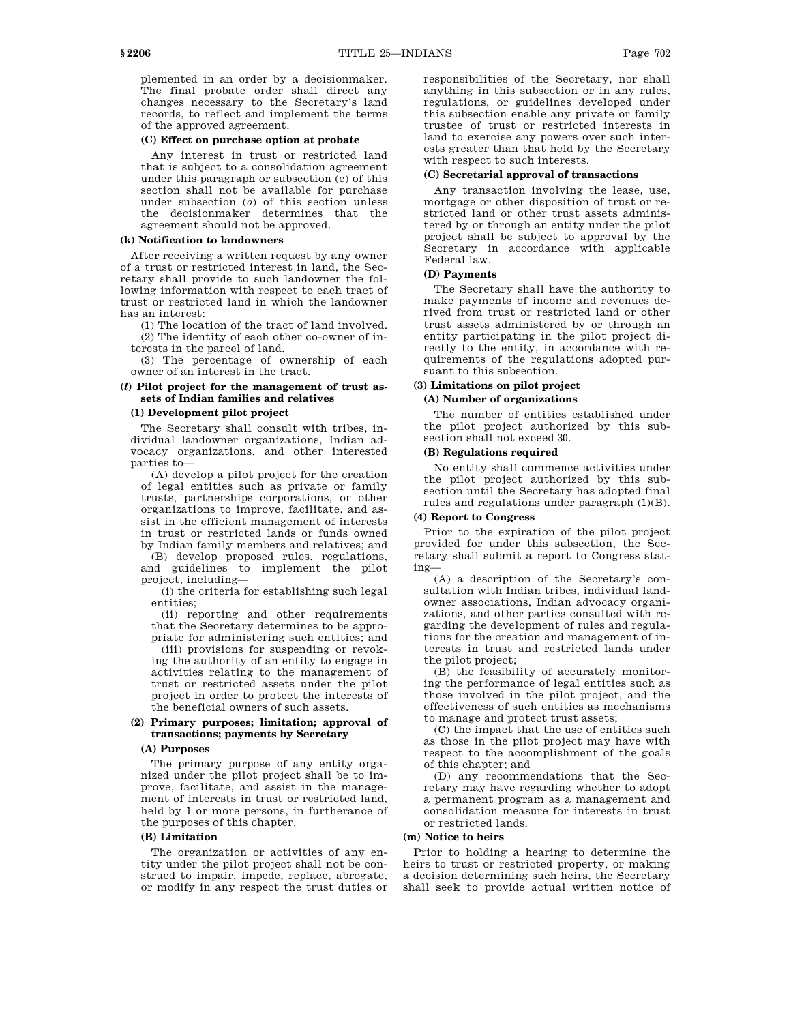plemented in an order by a decisionmaker. The final probate order shall direct any changes necessary to the Secretary's land records, to reflect and implement the terms of the approved agreement.

# **(C) Effect on purchase option at probate**

Any interest in trust or restricted land that is subject to a consolidation agreement under this paragraph or subsection (e) of this section shall not be available for purchase under subsection (*o*) of this section unless the decisionmaker determines that the agreement should not be approved.

#### **(k) Notification to landowners**

After receiving a written request by any owner of a trust or restricted interest in land, the Secretary shall provide to such landowner the following information with respect to each tract of trust or restricted land in which the landowner has an interest:

(1) The location of the tract of land involved. (2) The identity of each other co-owner of in-

terests in the parcel of land. (3) The percentage of ownership of each owner of an interest in the tract.

### **(***l***) Pilot project for the management of trust assets of Indian families and relatives**

### **(1) Development pilot project**

The Secretary shall consult with tribes, individual landowner organizations, Indian advocacy organizations, and other interested parties to—

(A) develop a pilot project for the creation of legal entities such as private or family trusts, partnerships corporations, or other organizations to improve, facilitate, and assist in the efficient management of interests in trust or restricted lands or funds owned by Indian family members and relatives; and

(B) develop proposed rules, regulations, and guidelines to implement the pilot project, including—

(i) the criteria for establishing such legal entities;

(ii) reporting and other requirements that the Secretary determines to be appropriate for administering such entities; and

(iii) provisions for suspending or revoking the authority of an entity to engage in activities relating to the management of trust or restricted assets under the pilot project in order to protect the interests of the beneficial owners of such assets.

### **(2) Primary purposes; limitation; approval of transactions; payments by Secretary**

#### **(A) Purposes**

The primary purpose of any entity organized under the pilot project shall be to improve, facilitate, and assist in the management of interests in trust or restricted land, held by 1 or more persons, in furtherance of the purposes of this chapter.

### **(B) Limitation**

The organization or activities of any entity under the pilot project shall not be construed to impair, impede, replace, abrogate, or modify in any respect the trust duties or responsibilities of the Secretary, nor shall anything in this subsection or in any rules, regulations, or guidelines developed under this subsection enable any private or family trustee of trust or restricted interests in land to exercise any powers over such interests greater than that held by the Secretary with respect to such interests.

### **(C) Secretarial approval of transactions**

Any transaction involving the lease, use, mortgage or other disposition of trust or restricted land or other trust assets administered by or through an entity under the pilot project shall be subject to approval by the Secretary in accordance with applicable Federal law.

# **(D) Payments**

The Secretary shall have the authority to make payments of income and revenues derived from trust or restricted land or other trust assets administered by or through an entity participating in the pilot project directly to the entity, in accordance with requirements of the regulations adopted pursuant to this subsection.

# **(3) Limitations on pilot project**

# **(A) Number of organizations**

The number of entities established under the pilot project authorized by this subsection shall not exceed 30.

### **(B) Regulations required**

No entity shall commence activities under the pilot project authorized by this subsection until the Secretary has adopted final rules and regulations under paragraph (1)(B).

### **(4) Report to Congress**

Prior to the expiration of the pilot project provided for under this subsection, the Secretary shall submit a report to Congress stating—

(A) a description of the Secretary's consultation with Indian tribes, individual landowner associations, Indian advocacy organizations, and other parties consulted with regarding the development of rules and regulations for the creation and management of interests in trust and restricted lands under the pilot project;

(B) the feasibility of accurately monitoring the performance of legal entities such as those involved in the pilot project, and the effectiveness of such entities as mechanisms to manage and protect trust assets;

(C) the impact that the use of entities such as those in the pilot project may have with respect to the accomplishment of the goals of this chapter; and

(D) any recommendations that the Secretary may have regarding whether to adopt a permanent program as a management and consolidation measure for interests in trust or restricted lands.

### **(m) Notice to heirs**

Prior to holding a hearing to determine the heirs to trust or restricted property, or making a decision determining such heirs, the Secretary shall seek to provide actual written notice of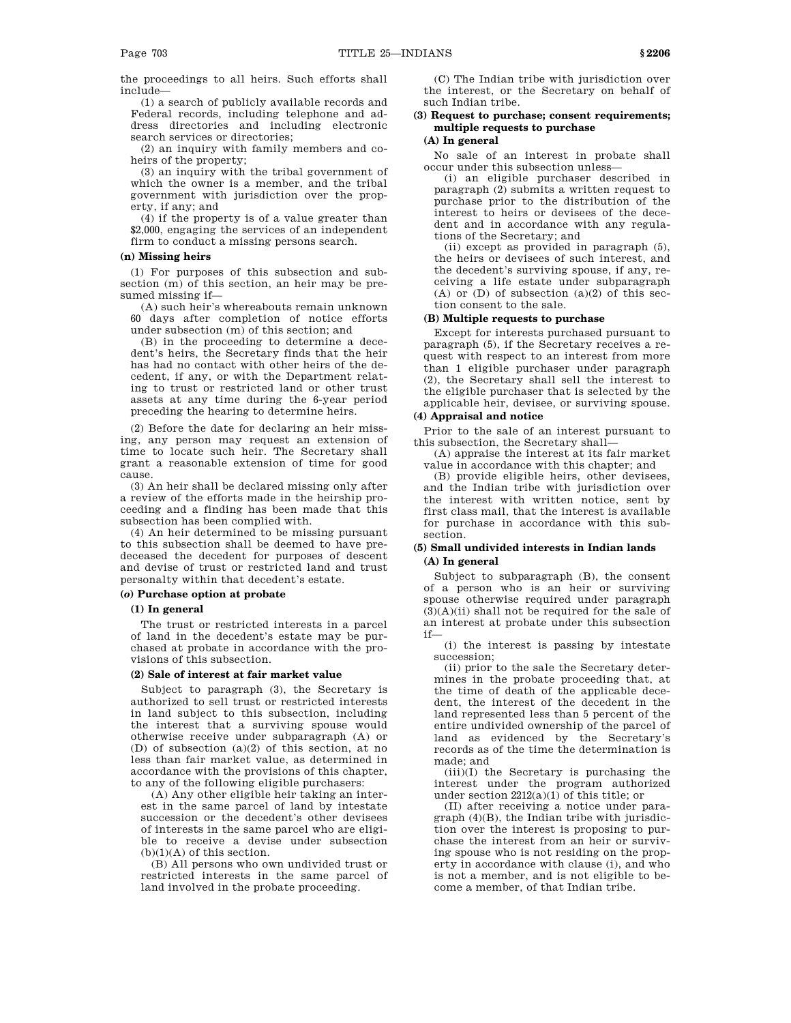the proceedings to all heirs. Such efforts shall include—

(1) a search of publicly available records and Federal records, including telephone and address directories and including electronic search services or directories;

(2) an inquiry with family members and coheirs of the property;

(3) an inquiry with the tribal government of which the owner is a member, and the tribal government with jurisdiction over the property, if any; and

(4) if the property is of a value greater than \$2,000, engaging the services of an independent firm to conduct a missing persons search.

### **(n) Missing heirs**

(1) For purposes of this subsection and subsection (m) of this section, an heir may be presumed missing if—

(A) such heir's whereabouts remain unknown 60 days after completion of notice efforts under subsection (m) of this section; and

(B) in the proceeding to determine a decedent's heirs, the Secretary finds that the heir has had no contact with other heirs of the decedent, if any, or with the Department relating to trust or restricted land or other trust assets at any time during the 6-year period preceding the hearing to determine heirs.

(2) Before the date for declaring an heir missing, any person may request an extension of time to locate such heir. The Secretary shall grant a reasonable extension of time for good cause.

(3) An heir shall be declared missing only after a review of the efforts made in the heirship proceeding and a finding has been made that this subsection has been complied with.

(4) An heir determined to be missing pursuant to this subsection shall be deemed to have predeceased the decedent for purposes of descent and devise of trust or restricted land and trust personalty within that decedent's estate.

## **(***o***) Purchase option at probate**

## **(1) In general**

The trust or restricted interests in a parcel of land in the decedent's estate may be purchased at probate in accordance with the provisions of this subsection.

# **(2) Sale of interest at fair market value**

Subject to paragraph (3), the Secretary is authorized to sell trust or restricted interests in land subject to this subsection, including the interest that a surviving spouse would otherwise receive under subparagraph (A) or (D) of subsection (a)(2) of this section, at no less than fair market value, as determined in accordance with the provisions of this chapter, to any of the following eligible purchasers:

(A) Any other eligible heir taking an interest in the same parcel of land by intestate succession or the decedent's other devisees of interests in the same parcel who are eligible to receive a devise under subsection  $(b)(1)(A)$  of this section.

(B) All persons who own undivided trust or restricted interests in the same parcel of land involved in the probate proceeding.

(C) The Indian tribe with jurisdiction over the interest, or the Secretary on behalf of such Indian tribe.

# **(3) Request to purchase; consent requirements; multiple requests to purchase**

# **(A) In general**

No sale of an interest in probate shall occur under this subsection unless—

(i) an eligible purchaser described in paragraph (2) submits a written request to purchase prior to the distribution of the interest to heirs or devisees of the decedent and in accordance with any regulations of the Secretary; and

(ii) except as provided in paragraph (5), the heirs or devisees of such interest, and the decedent's surviving spouse, if any, receiving a life estate under subparagraph  $(A)$  or  $(D)$  of subsection  $(a)(2)$  of this section consent to the sale.

### **(B) Multiple requests to purchase**

Except for interests purchased pursuant to paragraph (5), if the Secretary receives a request with respect to an interest from more than 1 eligible purchaser under paragraph (2), the Secretary shall sell the interest to the eligible purchaser that is selected by the applicable heir, devisee, or surviving spouse.

### **(4) Appraisal and notice**

Prior to the sale of an interest pursuant to this subsection, the Secretary shall—

(A) appraise the interest at its fair market value in accordance with this chapter; and

(B) provide eligible heirs, other devisees, and the Indian tribe with jurisdiction over the interest with written notice, sent by first class mail, that the interest is available for purchase in accordance with this subsection.

### **(5) Small undivided interests in Indian lands (A) In general**

Subject to subparagraph (B), the consent of a person who is an heir or surviving spouse otherwise required under paragraph  $(3)(A)(ii)$  shall not be required for the sale of an interest at probate under this subsection if—

(i) the interest is passing by intestate succession;

(ii) prior to the sale the Secretary determines in the probate proceeding that, at the time of death of the applicable decedent, the interest of the decedent in the land represented less than 5 percent of the entire undivided ownership of the parcel of land as evidenced by the Secretary's records as of the time the determination is made; and

(iii)(I) the Secretary is purchasing the interest under the program authorized under section  $2212(a)(1)$  of this title; or

(II) after receiving a notice under paragraph (4)(B), the Indian tribe with jurisdiction over the interest is proposing to purchase the interest from an heir or surviving spouse who is not residing on the property in accordance with clause (i), and who is not a member, and is not eligible to become a member, of that Indian tribe.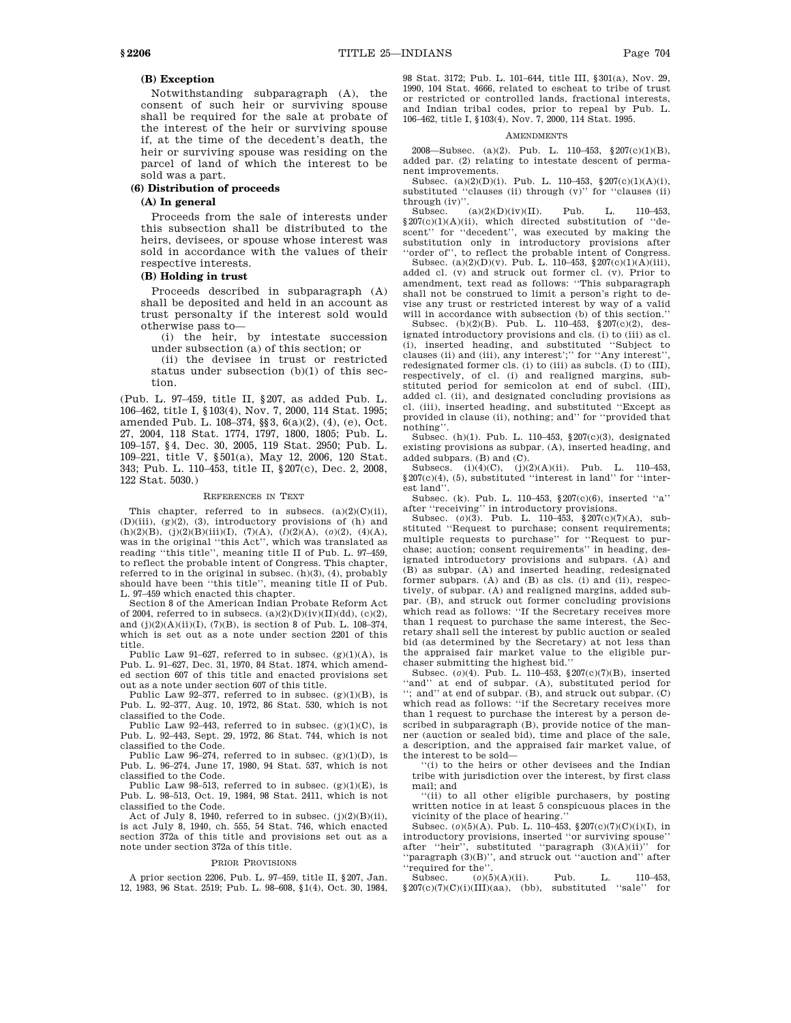# **(B) Exception**

Notwithstanding subparagraph (A), the consent of such heir or surviving spouse shall be required for the sale at probate of the interest of the heir or surviving spouse if, at the time of the decedent's death, the heir or surviving spouse was residing on the parcel of land of which the interest to be sold was a part.

#### **(6) Distribution of proceeds**

# **(A) In general**

Proceeds from the sale of interests under this subsection shall be distributed to the heirs, devisees, or spouse whose interest was sold in accordance with the values of their respective interests.

### **(B) Holding in trust**

Proceeds described in subparagraph (A) shall be deposited and held in an account as trust personalty if the interest sold would otherwise pass to—

(i) the heir, by intestate succession under subsection (a) of this section; or

(ii) the devisee in trust or restricted status under subsection (b)(1) of this section.

(Pub. L. 97–459, title II, §207, as added Pub. L. 106–462, title I, §103(4), Nov. 7, 2000, 114 Stat. 1995; amended Pub. L. 108–374, §§3, 6(a)(2), (4), (e), Oct. 27, 2004, 118 Stat. 1774, 1797, 1800, 1805; Pub. L. 109–157, §4, Dec. 30, 2005, 119 Stat. 2950; Pub. L. 109–221, title V, §501(a), May 12, 2006, 120 Stat. 343; Pub. L. 110–453, title II, §207(c), Dec. 2, 2008, 122 Stat. 5030.)

#### REFERENCES IN TEXT

This chapter, referred to in subsecs.  $(a)(2)(C)(ii)$ ,  $(D)(iii)$ ,  $(g)(2)$ ,  $(3)$ , introductory provisions of  $(h)$  and (h)(2)(B), (j)(2)(B)(iii)(I), (7)(A), (*l*)(2)(A), (*o*)(2), (4)(A), was in the original ''this Act'', which was translated as reading ''this title'', meaning title II of Pub. L. 97–459, to reflect the probable intent of Congress. This chapter, referred to in the original in subsec.  $(h)(3)$ ,  $(4)$ , probably should have been ''this title'', meaning title II of Pub. L. 97–459 which enacted this chapter.

Section 8 of the American Indian Probate Reform Act of 2004, referred to in subsecs.  $(a)(2)(D)(iv)(II)(dd)$ ,  $(c)(2)$ , and  $(j)(2)(A)(ii)(I), (7)(B)$ , is section 8 of Pub. L. 108-374, which is set out as a note under section 2201 of this title.

Public Law 91–627, referred to in subsec. (g)(1)(A), is Pub. L. 91–627, Dec. 31, 1970, 84 Stat. 1874, which amended section 607 of this title and enacted provisions set out as a note under section 607 of this title.

Public Law  $92-377$ , referred to in subsec.  $(g)(1)(B)$ , is Pub. L. 92–377, Aug. 10, 1972, 86 Stat. 530, which is not classified to the Code.

Public Law 92–443, referred to in subsec. (g)(1)(C), is Pub. L. 92–443, Sept. 29, 1972, 86 Stat. 744, which is not classified to the Code.

Public Law 96-274, referred to in subsec.  $(g)(1)(D)$ , is Pub. L. 96–274, June 17, 1980, 94 Stat. 537, which is not classified to the Code.

Public Law 98-513, referred to in subsec.  $(g)(1)(E)$ , is Pub. L. 98–513, Oct. 19, 1984, 98 Stat. 2411, which is not classified to the Code.

Act of July 8, 1940, referred to in subsec.  $(j)(2)(B)(ii)$ , is act July 8, 1940, ch. 555, 54 Stat. 746, which enacted section 372a of this title and provisions set out as a note under section 372a of this title.

#### PRIOR PROVISIONS

A prior section 2206, Pub. L. 97–459, title II, §207, Jan. 12, 1983, 96 Stat. 2519; Pub. L. 98–608, §1(4), Oct. 30, 1984, 98 Stat. 3172; Pub. L. 101–644, title III, §301(a), Nov. 29, 1990, 104 Stat. 4666, related to escheat to tribe of trust or restricted or controlled lands, fractional interests, and Indian tribal codes, prior to repeal by Pub. L. 106–462, title I, §103(4), Nov. 7, 2000, 114 Stat. 1995.

#### **AMENDMENTS**

2008—Subsec. (a)(2). Pub. L. 110–453, §207(c)(1)(B), added par. (2) relating to intestate descent of permanent improvements.

Subsec. (a)(2)(D)(i). Pub. L. 110–453, §207(c)(1)(A)(i), substituted ''clauses (ii) through (v)'' for ''clauses (ii) through (iv)".<br>Subsec.

 $(a)(2)(D)(iv)(II)$ . Pub. L. 110–453,  $§207(c)(1)(A)(ii)$ , which directed substitution of "descent'' for ''decedent'', was executed by making the substitution only in introductory provisions after 'order of", to reflect the probable intent of Congress.

Subsec.  $(a)(2)(D)(v)$ . Pub. L. 110–453, §207(c)(1)(A)(iii), added cl. (v) and struck out former cl. (v). Prior to amendment, text read as follows: ''This subparagraph shall not be construed to limit a person's right to devise any trust or restricted interest by way of a valid will in accordance with subsection (b) of this section.''

Subsec. (b)(2)(B). Pub. L. 110–453, §207(c)(2), designated introductory provisions and cls. (i) to (iii) as cl. (i), inserted heading, and substituted ''Subject to clauses (ii) and (iii), any interest';'' for ''Any interest'', redesignated former cls. (i) to (iii) as subcls. (I) to (III), respectively, of cl. (i) and realigned margins, substituted period for semicolon at end of subcl. (III), added cl. (ii), and designated concluding provisions as cl. (iii), inserted heading, and substituted ''Except as provided in clause (ii), nothing; and'' for ''provided that nothing''.

Subsec. (h)(1). Pub. L. 110–453, §207(c)(3), designated existing provisions as subpar. (A), inserted heading, and added subpars. (B) and (C).

Subsecs.  $(i)(4)(C)$ ,  $(j)(2)(A)(ii)$ . Pub. L. 110-453, §207(c)(4), (5), substituted ''interest in land'' for ''interest land''.

Subsec. (k). Pub. L. 110–453, §207(c)(6), inserted ''a'' after ''receiving'' in introductory provisions.

Subsec. (*o*)(3). Pub. L. 110–453, §207(c)(7)(A), substituted ''Request to purchase; consent requirements; multiple requests to purchase'' for ''Request to purchase; auction; consent requirements'' in heading, designated introductory provisions and subpars.  $(A)$  and (B) as subpar. (A) and inserted heading, redesignated former subpars. (A) and (B) as cls. (i) and (ii), respectively, of subpar. (A) and realigned margins, added subpar. (B), and struck out former concluding provisions which read as follows: "If the Secretary receives more than 1 request to purchase the same interest, the Secretary shall sell the interest by public auction or sealed bid (as determined by the Secretary) at not less than the appraised fair market value to the eligible purchaser submitting the highest bid.''

Subsec. (*o*)(4). Pub. L. 110–453, §207(c)(7)(B), inserted "and" at end of subpar. (A), substituted period for ''; and'' at end of subpar. (B), and struck out subpar. (C) which read as follows: ''if the Secretary receives more than 1 request to purchase the interest by a person described in subparagraph (B), provide notice of the manner (auction or sealed bid), time and place of the sale, a description, and the appraised fair market value, of the interest to be sold—

''(i) to the heirs or other devisees and the Indian tribe with jurisdiction over the interest, by first class mail; and

''(ii) to all other eligible purchasers, by posting written notice in at least 5 conspicuous places in the vicinity of the place of hearing.

Subsec. (*o*)(5)(A). Pub. L. 110–453, §207(c)(7)(C)(i)(I), in introductory provisions, inserted ''or surviving spouse'' after ''heir'', substituted ''paragraph (3)(A)(ii)'' for ''paragraph (3)(B)'', and struck out ''auction and'' after ''required for the''.

Subsec. (*o*)(5)(A)(ii). Pub. L. 110–453,  $§207(c)(7)(C)(i)(III)(aa),$  (bb), substituted "sale" for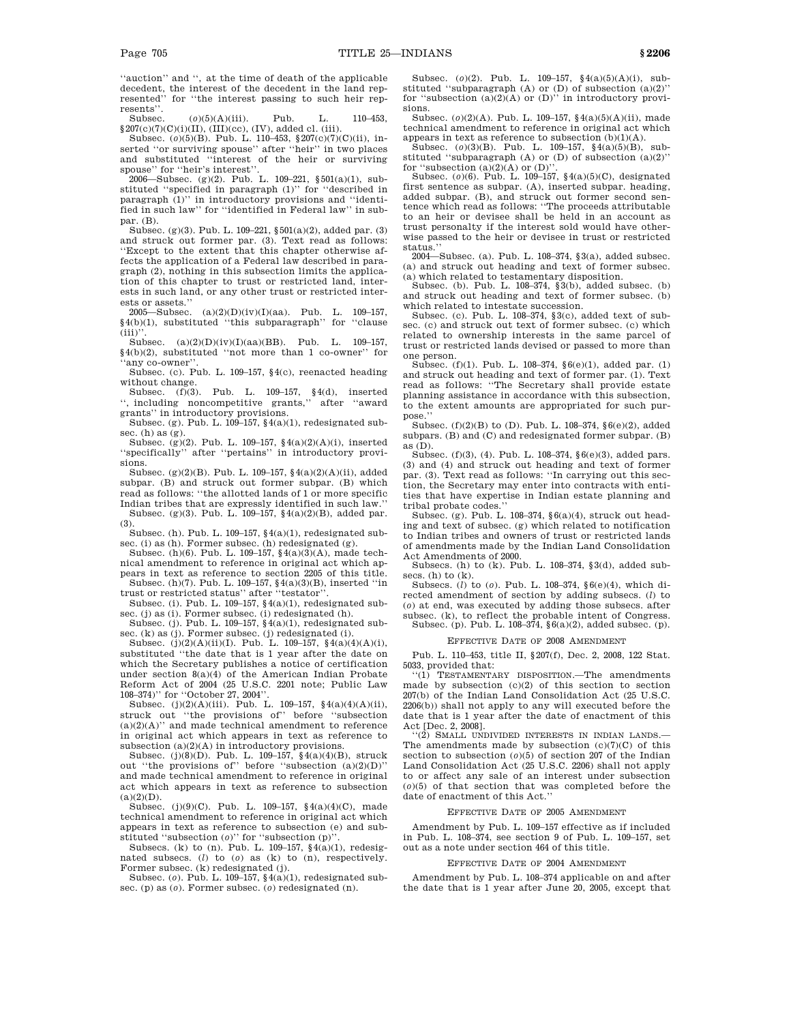''auction'' and '', at the time of death of the applicable decedent, the interest of the decedent in the land represented'' for ''the interest passing to such heir represents''.

Subsec. (*o*)(5)(A)(iii). Pub. L. 110–453,

§207(c)(7)(C)(i)(II), (III)(cc), (IV), added cl. (iii). Subsec. (*o*)(5)(B). Pub. L. 110–453, §207(c)(7)(C)(ii), inserted ''or surviving spouse'' after ''heir'' in two places and substituted ''interest of the heir or surviving spouse'' for ''heir's interest''.

2006—Subsec. (g)(2). Pub. L. 109–221, §501(a)(1), substituted "specified in paragraph  $(1)$ " for "described in paragraph (1)'' in introductory provisions and ''identified in such law'' for ''identified in Federal law'' in subpar. (B).

Subsec. (g)(3). Pub. L. 109–221, §501(a)(2), added par. (3) and struck out former par. (3). Text read as follows: ''Except to the extent that this chapter otherwise affects the application of a Federal law described in paragraph (2), nothing in this subsection limits the application of this chapter to trust or restricted land, interests in such land, or any other trust or restricted interests or assets.''

2005—Subsec. (a)(2)(D)(iv)(I)(aa). Pub. L. 109–157, §4(b)(1), substituted ''this subparagraph'' for ''clause  $(iii)$ ''

Subsec. (a)(2)(D)(iv)(I)(aa)(BB). Pub. L. 109–157, §4(b)(2), substituted ''not more than 1 co-owner'' for ''any co-owner''.

Subsec. (c). Pub. L. 109–157, §4(c), reenacted heading without change.

Subsec. (f)(3). Pub. L. 109–157, §4(d), inserted '', including noncompetitive grants,'' after ''award

grants'' in introductory provisions. Subsec. (g). Pub. L. 109–157, §4(a)(1), redesignated subsec. (h) as (g).

Subsec. (g)(2). Pub. L. 109–157, §4(a)(2)(A)(i), inserted ''specifically'' after ''pertains'' in introductory provisions.

Subsec. (g)(2)(B). Pub. L. 109–157, §4(a)(2)(A)(ii), added subpar. (B) and struck out former subpar. (B) which read as follows: ''the allotted lands of 1 or more specific Indian tribes that are expressly identified in such law.'' Subsec. (g)(3). Pub. L. 109–157, §4(a)(2)(B), added par.

(3). Subsec. (h). Pub. L. 109–157, §4(a)(1), redesignated sub-

sec. (i) as  $(h)$ . Former subsec.  $(h)$  redesignated  $(g)$ . Subsec. (h)(6). Pub. L. 109–157, §4(a)(3)(A), made tech-

nical amendment to reference in original act which appears in text as reference to section 2205 of this title. Subsec.  $(h)(7)$ . Pub. L. 109–157, §4(a)(3)(B), inserted "in

trust or restricted status'' after ''testator''. Subsec. (i). Pub. L. 109–157, §4(a)(1), redesignated sub-

sec. (j) as (i). Former subsec. (i) redesignated (h). Subsec. (j). Pub. L. 109-157,  $\S(4(a)(1))$ , redesignated sub-

sec. (k) as (j). Former subsec. (j) redesignated (i). Subsec. (j)(2)(A)(ii)(I). Pub. L. 109–157, §4(a)(4)(A)(i),

substituted ''the date that is 1 year after the date on which the Secretary publishes a notice of certification under section 8(a)(4) of the American Indian Probate Reform Act of 2004 (25 U.S.C. 2201 note; Public Law 108–374)'' for ''October 27, 2004''.

Subsec. (j)(2)(A)(iii). Pub. L. 109-157,  $\frac{4}{a}(a)(4)(A)(ii)$ , struck out ''the provisions of'' before ''subsection  $(a)(2)(A)$ " and made technical amendment to reference in original act which appears in text as reference to subsection  $(a)(2)(A)$  in introductory provisions.

Subsec. (j)(8)(D). Pub. L. 109–157, §4(a)(4)(B), struck out "the provisions of" before "subsection  $(a)(2)(D)$ " and made technical amendment to reference in original act which appears in text as reference to subsection  $(a)(2)(D)$ .

Subsec. (j)(9)(C). Pub. L. 109–157, §4(a)(4)(C), made technical amendment to reference in original act which appears in text as reference to subsection (e) and substituted ''subsection (*o*)'' for ''subsection (p)''.

Subsecs. (k) to (n). Pub. L. 109–157, §4(a)(1), redesignated subsecs. (*l*) to (*o*) as (k) to (n), respectively. Former subsec. (k) redesignated (j).

Subsec. (*o*). Pub. L. 109–157, §4(a)(1), redesignated subsec. (p) as (*o*). Former subsec. (*o*) redesignated (n).

Subsec. (*o*)(2). Pub. L. 109-157, §4(a)(5)(A)(i), substituted "subparagraph  $(A)$  or  $(D)$  of subsection  $(a)(2)$ " for "subsection  $(a)(2)(A)$  or  $(D)$ " in introductory provisions.

Subsec. (*o*)(2)(A). Pub. L. 109–157, §4(a)(5)(A)(ii), made technical amendment to reference in original act which

appears in text as reference to subsection (b)(1)(A). Subsec. (*o*)(3)(B). Pub. L. 109–157, §4(a)(5)(B), substituted ''subparagraph (A) or (D) of subsection (a)(2)'' for "subsection  $(a)(2)(A)$  or  $(D)$ "

Subsec. (*o*)(6). Pub. L. 109–157, §4(a)(5)(C), designated first sentence as subpar. (A), inserted subpar. heading, added subpar. (B), and struck out former second sentence which read as follows: ''The proceeds attributable to an heir or devisee shall be held in an account as trust personalty if the interest sold would have otherwise passed to the heir or devisee in trust or restricted status.''

2004—Subsec. (a). Pub. L. 108–374, §3(a), added subsec. (a) and struck out heading and text of former subsec.

(a) which related to testamentary disposition. Subsec. (b). Pub. L. 108–374, §3(b), added subsec. (b) and struck out heading and text of former subsec. (b) which related to intestate succession.

Subsec. (c). Pub. L. 108–374, §3(c), added text of subsec. (c) and struck out text of former subsec. (c) which related to ownership interests in the same parcel of trust or restricted lands devised or passed to more than one person.

Subsec.  $(f)(1)$ . Pub. L. 108–374,  $§6(e)(1)$ , added par. (1) and struck out heading and text of former par. (1). Text read as follows: ''The Secretary shall provide estate planning assistance in accordance with this subsection, to the extent amounts are appropriated for such purpose.'

Subsec. (f)(2)(B) to (D). Pub. L. 108–374, §6(e)(2), added subpars. (B) and (C) and redesignated former subpar. (B) as (D).

Subsec. (f)(3), (4). Pub. L. 108–374, §6(e)(3), added pars. (3) and (4) and struck out heading and text of former par. (3). Text read as follows: ''In carrying out this section, the Secretary may enter into contracts with entities that have expertise in Indian estate planning and tribal probate codes.''

Subsec. (g). Pub. L. 108–374,  $§ 6(a)(4)$ , struck out heading and text of subsec. (g) which related to notification to Indian tribes and owners of trust or restricted lands of amendments made by the Indian Land Consolidation Act Amendments of 2000.

Subsecs. (h) to (k). Pub. L. 108–374, §3(d), added subsecs. (h) to (k).

Subsecs. (*l*) to (*o*). Pub. L. 108–374, §6(e)(4), which directed amendment of section by adding subsecs. (*l*) to (*o*) at end, was executed by adding those subsecs. after subsec. (k), to reflect the probable intent of Congress. Subsec. (p). Pub. L. 108–374, §6(a)(2), added subsec. (p).

EFFECTIVE DATE OF 2008 AMENDMENT

Pub. L. 110–453, title II, §207(f), Dec. 2, 2008, 122 Stat.

5033, provided that:<br>"(1) TESTAMENTA TESTAMENTARY DISPOSITION. The amendments made by subsection  $(c)(2)$  of this section to section 207(b) of the Indian Land Consolidation Act (25 U.S.C. 2206(b)) shall not apply to any will executed before the date that is 1 year after the date of enactment of this Act [Dec. 2, 2008].

''(2) SMALL UNDIVIDED INTERESTS IN INDIAN LANDS.— The amendments made by subsection  $(c)(7)(C)$  of this section to subsection  $(o)(5)$  of section 207 of the Indian Land Consolidation Act (25 U.S.C. 2206) shall not apply to or affect any sale of an interest under subsection (*o*)(5) of that section that was completed before the date of enactment of this Act.''

#### EFFECTIVE DATE OF 2005 AMENDMENT

Amendment by Pub. L. 109–157 effective as if included in Pub. L. 108–374, see section 9 of Pub. L. 109–157, set out as a note under section 464 of this title.

#### EFFECTIVE DATE OF 2004 AMENDMENT

Amendment by Pub. L. 108–374 applicable on and after the date that is 1 year after June 20, 2005, except that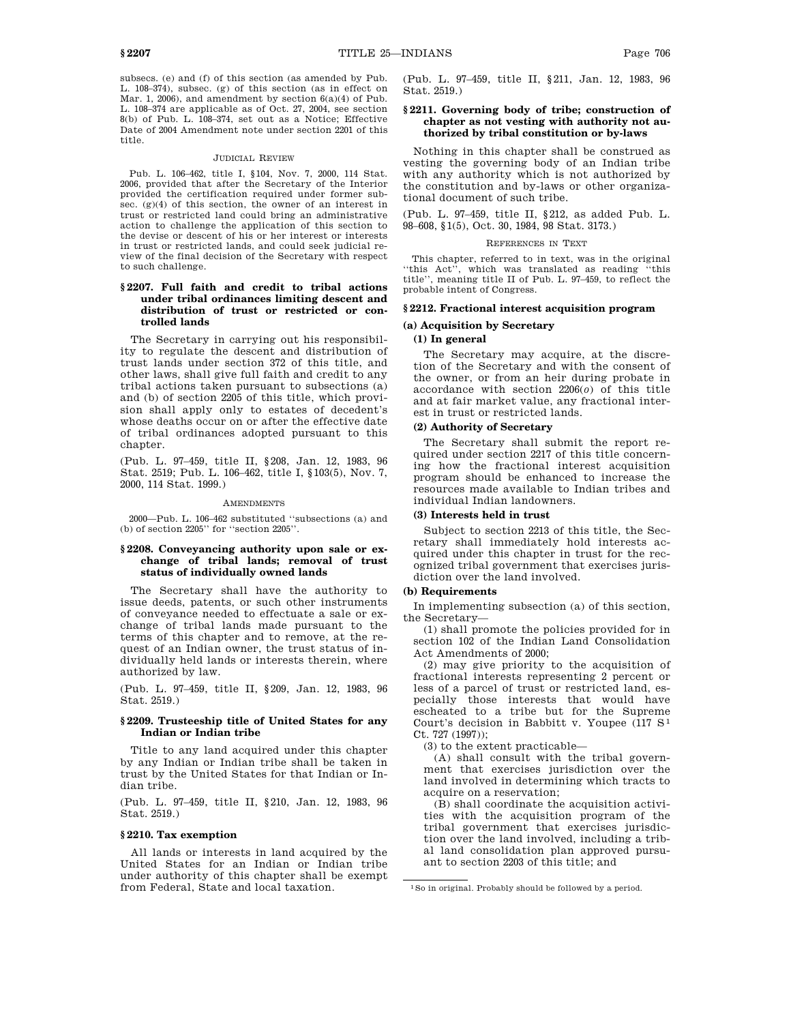subsecs. (e) and (f) of this section (as amended by Pub. L. 108–374), subsec. (g) of this section (as in effect on Mar. 1, 2006), and amendment by section  $6(a)(4)$  of Pub. L. 108–374 are applicable as of Oct. 27, 2004, see section 8(b) of Pub. L. 108–374, set out as a Notice; Effective Date of 2004 Amendment note under section 2201 of this title.

#### JUDICIAL REVIEW

Pub. L. 106–462, title I, §104, Nov. 7, 2000, 114 Stat. 2006, provided that after the Secretary of the Interior provided the certification required under former subsec. (g)(4) of this section, the owner of an interest in trust or restricted land could bring an administrative action to challenge the application of this section to the devise or descent of his or her interest or interests in trust or restricted lands, and could seek judicial review of the final decision of the Secretary with respect to such challenge.

### **§ 2207. Full faith and credit to tribal actions under tribal ordinances limiting descent and distribution of trust or restricted or controlled lands**

The Secretary in carrying out his responsibility to regulate the descent and distribution of trust lands under section 372 of this title, and other laws, shall give full faith and credit to any tribal actions taken pursuant to subsections (a) and (b) of section 2205 of this title, which provision shall apply only to estates of decedent's whose deaths occur on or after the effective date of tribal ordinances adopted pursuant to this chapter.

(Pub. L. 97–459, title II, §208, Jan. 12, 1983, 96 Stat. 2519; Pub. L. 106–462, title I, §103(5), Nov. 7, 2000, 114 Stat. 1999.)

#### **AMENDMENTS**

2000—Pub. L. 106–462 substituted ''subsections (a) and (b) of section 2205'' for ''section 2205''.

### **§ 2208. Conveyancing authority upon sale or exchange of tribal lands; removal of trust status of individually owned lands**

The Secretary shall have the authority to issue deeds, patents, or such other instruments of conveyance needed to effectuate a sale or exchange of tribal lands made pursuant to the terms of this chapter and to remove, at the request of an Indian owner, the trust status of individually held lands or interests therein, where authorized by law.

(Pub. L. 97–459, title II, §209, Jan. 12, 1983, 96 Stat. 2519.)

### **§ 2209. Trusteeship title of United States for any Indian or Indian tribe**

Title to any land acquired under this chapter by any Indian or Indian tribe shall be taken in trust by the United States for that Indian or Indian tribe.

(Pub. L. 97–459, title II, §210, Jan. 12, 1983, 96 Stat. 2519.)

#### **§ 2210. Tax exemption**

All lands or interests in land acquired by the United States for an Indian or Indian tribe under authority of this chapter shall be exempt from Federal, State and local taxation.

(Pub. L. 97–459, title II, §211, Jan. 12, 1983, 96 Stat. 2519.)

### **§ 2211. Governing body of tribe; construction of chapter as not vesting with authority not authorized by tribal constitution or by-laws**

Nothing in this chapter shall be construed as vesting the governing body of an Indian tribe with any authority which is not authorized by the constitution and by-laws or other organizational document of such tribe.

(Pub. L. 97–459, title II, §212, as added Pub. L. 98–608, §1(5), Oct. 30, 1984, 98 Stat. 3173.)

### REFERENCES IN TEXT

This chapter, referred to in text, was in the original ''this Act'', which was translated as reading ''this title'', meaning title II of Pub. L. 97–459, to reflect the probable intent of Congress.

# **§ 2212. Fractional interest acquisition program**

### **(a) Acquisition by Secretary**

### **(1) In general**

The Secretary may acquire, at the discretion of the Secretary and with the consent of the owner, or from an heir during probate in accordance with section 2206(*o*) of this title and at fair market value, any fractional interest in trust or restricted lands.

### **(2) Authority of Secretary**

The Secretary shall submit the report required under section 2217 of this title concerning how the fractional interest acquisition program should be enhanced to increase the resources made available to Indian tribes and individual Indian landowners.

### **(3) Interests held in trust**

Subject to section 2213 of this title, the Secretary shall immediately hold interests acquired under this chapter in trust for the recognized tribal government that exercises jurisdiction over the land involved.

#### **(b) Requirements**

In implementing subsection (a) of this section, the Secretary—

(1) shall promote the policies provided for in section 102 of the Indian Land Consolidation Act Amendments of 2000;

(2) may give priority to the acquisition of fractional interests representing 2 percent or less of a parcel of trust or restricted land, especially those interests that would have escheated to a tribe but for the Supreme Court's decision in Babbitt v. Youpee  $(117 S<sup>1</sup>)$ Ct. 727 (1997));

(3) to the extent practicable—

(A) shall consult with the tribal government that exercises jurisdiction over the land involved in determining which tracts to acquire on a reservation:

(B) shall coordinate the acquisition activities with the acquisition program of the tribal government that exercises jurisdiction over the land involved, including a tribal land consolidation plan approved pursuant to section 2203 of this title; and

<sup>1</sup>So in original. Probably should be followed by a period.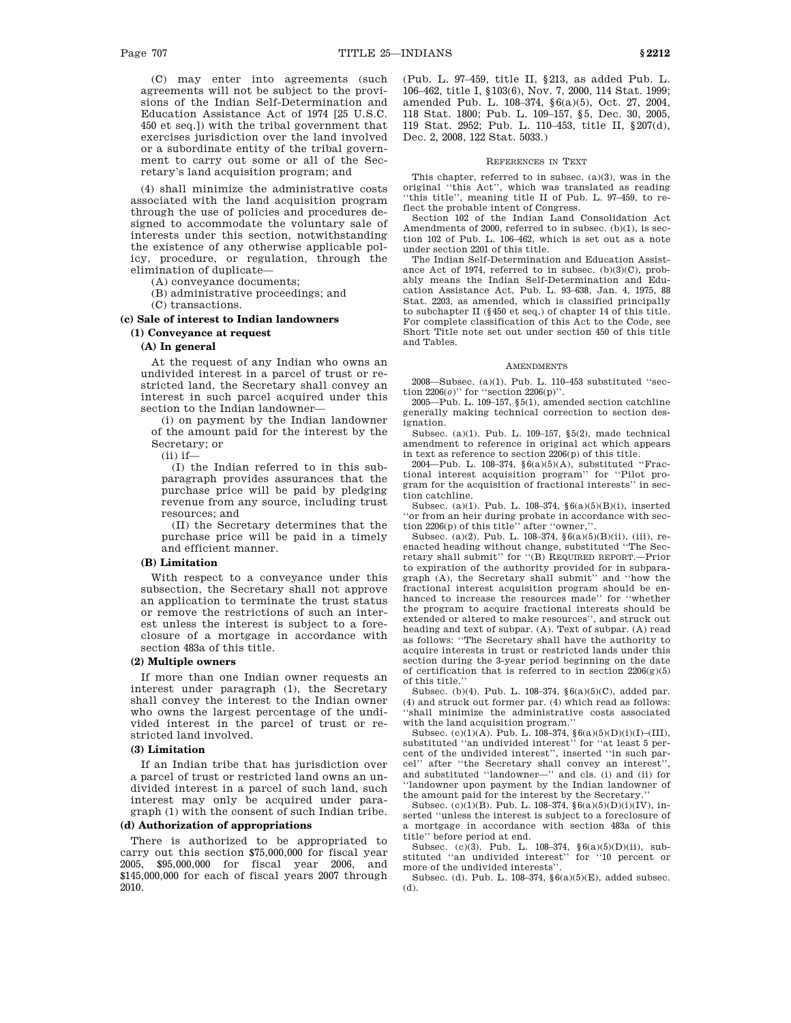(C) may enter into agreements (such agreements will not be subject to the provisions of the Indian Self-Determination and Education Assistance Act of 1974 [25 U.S.C. 450 et seq.]) with the tribal government that exercises jurisdiction over the land involved or a subordinate entity of the tribal government to carry out some or all of the Secretary's land acquisition program; and

(4) shall minimize the administrative costs associated with the land acquisition program through the use of policies and procedures designed to accommodate the voluntary sale of interests under this section, notwithstanding the existence of any otherwise applicable policy, procedure, or regulation, through the elimination of duplicate—

(A) conveyance documents;

(B) administrative proceedings; and

(C) transactions.

**(c) Sale of interest to Indian landowners (1) Conveyance at request**

#### **(A) In general**

At the request of any Indian who owns an undivided interest in a parcel of trust or restricted land, the Secretary shall convey an interest in such parcel acquired under this section to the Indian landowner—

(i) on payment by the Indian landowner of the amount paid for the interest by the Secretary; or

(ii) if—

(I) the Indian referred to in this subparagraph provides assurances that the purchase price will be paid by pledging revenue from any source, including trust resources; and

(II) the Secretary determines that the purchase price will be paid in a timely and efficient manner.

### **(B) Limitation**

With respect to a conveyance under this subsection, the Secretary shall not approve an application to terminate the trust status or remove the restrictions of such an interest unless the interest is subject to a foreclosure of a mortgage in accordance with section 483a of this title.

### **(2) Multiple owners**

If more than one Indian owner requests an interest under paragraph (1), the Secretary shall convey the interest to the Indian owner who owns the largest percentage of the undivided interest in the parcel of trust or restricted land involved.

#### **(3) Limitation**

If an Indian tribe that has jurisdiction over a parcel of trust or restricted land owns an undivided interest in a parcel of such land, such interest may only be acquired under paragraph (1) with the consent of such Indian tribe.

### **(d) Authorization of appropriations**

There is authorized to be appropriated to carry out this section \$75,000,000 for fiscal year 2005, \$95,000,000 for fiscal year 2006, and \$145,000,000 for each of fiscal years 2007 through 2010.

(Pub. L. 97–459, title II, §213, as added Pub. L. 106–462, title I, §103(6), Nov. 7, 2000, 114 Stat. 1999; amended Pub. L. 108–374, §6(a)(5), Oct. 27, 2004, 118 Stat. 1800; Pub. L. 109–157, §5, Dec. 30, 2005, 119 Stat. 2952; Pub. L. 110–453, title II, §207(d), Dec. 2, 2008, 122 Stat. 5033.)

#### REFERENCES IN TEXT

This chapter, referred to in subsec. (a)(3), was in the original ''this Act'', which was translated as reading ''this title'', meaning title II of Pub. L. 97–459, to reflect the probable intent of Congress.

Section 102 of the Indian Land Consolidation Act Amendments of 2000, referred to in subsec. (b)(1), is section 102 of Pub. L. 106–462, which is set out as a note under section 2201 of this title.

The Indian Self-Determination and Education Assistance Act of 1974, referred to in subsec. (b)(3)(C), probably means the Indian Self-Determination and Education Assistance Act, Pub. L. 93–638, Jan. 4, 1975, 88 Stat. 2203, as amended, which is classified principally to subchapter II (§450 et seq.) of chapter 14 of this title. For complete classification of this Act to the Code, see Short Title note set out under section 450 of this title and Tables.

#### **AMENDMENTS**

2008—Subsec. (a)(1). Pub. L. 110–453 substituted ''section 2206(*o*)'' for ''section 2206(p)''.

2005—Pub. L. 109–157, §5(1), amended section catchline generally making technical correction to section designation.

Subsec. (a)(1). Pub. L. 109–157, §5(2), made technical amendment to reference in original act which appears in text as reference to section 2206(p) of this title.

2004—Pub. L. 108–374, §6(a)(5)(A), substituted ''Fractional interest acquisition program'' for ''Pilot program for the acquisition of fractional interests'' in section catchline.

Subsec. (a)(1). Pub. L. 108–374, §6(a)(5)(B)(i), inserted 'or from an heir during probate in accordance with section 2206(p) of this title'' after ''owner,''.

Subsec. (a)(2). Pub. L. 108–374, §6(a)(5)(B)(ii), (iii), reenacted heading without change, substituted ''The Secretary shall submit'' for ''(B) REQUIRED REPORT.—Prior to expiration of the authority provided for in subparagraph (A), the Secretary shall submit'' and ''how the fractional interest acquisition program should be enhanced to increase the resources made'' for ''whether the program to acquire fractional interests should be extended or altered to make resources'', and struck out heading and text of subpar. (A). Text of subpar. (A) read as follows: ''The Secretary shall have the authority to acquire interests in trust or restricted lands under this section during the 3-year period beginning on the date of certification that is referred to in section  $2206(g)(5)$ of this title.''

Subsec. (b)(4). Pub. L. 108–374, §6(a)(5)(C), added par. (4) and struck out former par. (4) which read as follows: ''shall minimize the administrative costs associated with the land acquisition program.''

Subsec. (c)(1)(A). Pub. L. 108–374, §6(a)(5)(D)(i)(I)–(III), substituted ''an undivided interest'' for ''at least 5 percent of the undivided interest'', inserted ''in such parcel'' after ''the Secretary shall convey an interest'', and substituted ''landowner—'' and cls. (i) and (ii) for ''landowner upon payment by the Indian landowner of the amount paid for the interest by the Secretary.''

Subsec. (c)(1)(B). Pub. L. 108–374, §6(a)(5)(D)(i)(IV), inserted ''unless the interest is subject to a foreclosure of a mortgage in accordance with section 483a of this title'' before period at end.

Subsec. (c)(3). Pub. L. 108–374, §6(a)(5)(D)(ii), substituted ''an undivided interest'' for ''10 percent or more of the undivided interests''.

Subsec. (d). Pub. L. 108–374, §6(a)(5)(E), added subsec. (d).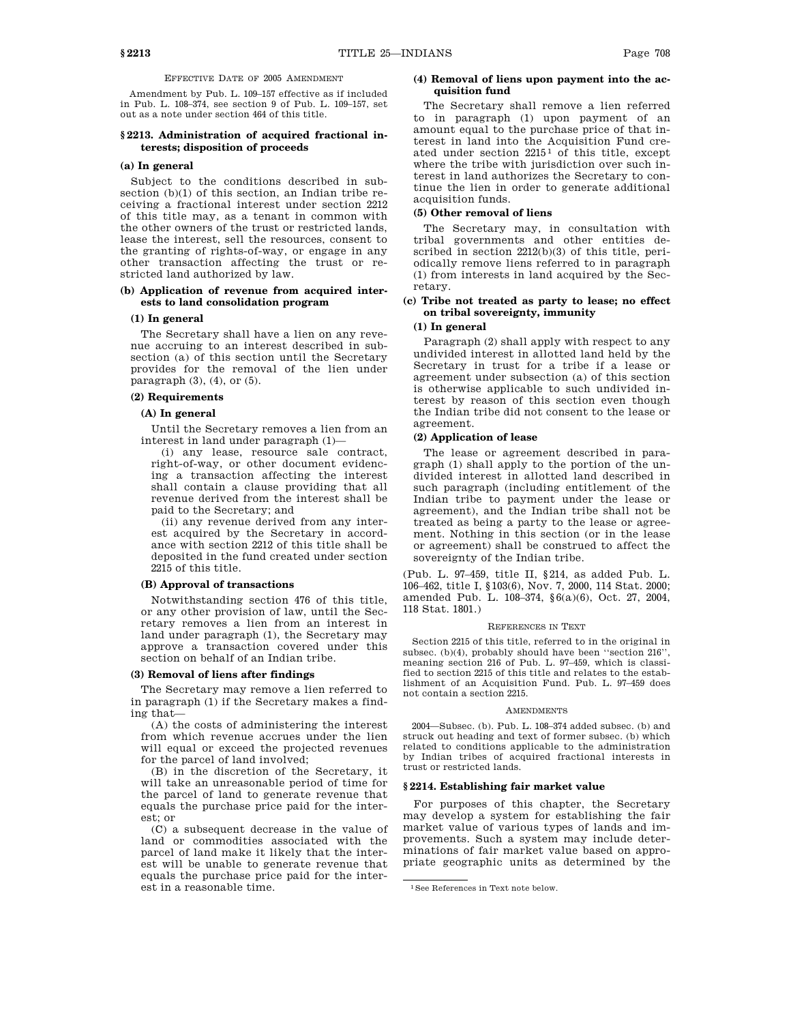### EFFECTIVE DATE OF 2005 AMENDMENT

Amendment by Pub. L. 109–157 effective as if included in Pub. L. 108–374, see section 9 of Pub. L. 109–157, set out as a note under section 464 of this title.

### **§ 2213. Administration of acquired fractional interests; disposition of proceeds**

### **(a) In general**

Subject to the conditions described in subsection (b)(1) of this section, an Indian tribe receiving a fractional interest under section 2212 of this title may, as a tenant in common with the other owners of the trust or restricted lands, lease the interest, sell the resources, consent to the granting of rights-of-way, or engage in any other transaction affecting the trust or restricted land authorized by law.

### **(b) Application of revenue from acquired interests to land consolidation program**

#### **(1) In general**

The Secretary shall have a lien on any revenue accruing to an interest described in subsection (a) of this section until the Secretary provides for the removal of the lien under paragraph (3), (4), or (5).

### **(2) Requirements**

**(A) In general**

Until the Secretary removes a lien from an interest in land under paragraph (1)—

(i) any lease, resource sale contract, right-of-way, or other document evidencing a transaction affecting the interest shall contain a clause providing that all revenue derived from the interest shall be paid to the Secretary; and

(ii) any revenue derived from any interest acquired by the Secretary in accordance with section 2212 of this title shall be deposited in the fund created under section 2215 of this title.

#### **(B) Approval of transactions**

Notwithstanding section 476 of this title, or any other provision of law, until the Secretary removes a lien from an interest in land under paragraph (1), the Secretary may approve a transaction covered under this section on behalf of an Indian tribe.

#### **(3) Removal of liens after findings**

The Secretary may remove a lien referred to in paragraph (1) if the Secretary makes a finding that—

(A) the costs of administering the interest from which revenue accrues under the lien will equal or exceed the projected revenues for the parcel of land involved;

(B) in the discretion of the Secretary, it will take an unreasonable period of time for the parcel of land to generate revenue that equals the purchase price paid for the interest; or

(C) a subsequent decrease in the value of land or commodities associated with the parcel of land make it likely that the interest will be unable to generate revenue that equals the purchase price paid for the interest in a reasonable time.

### **(4) Removal of liens upon payment into the acquisition fund**

The Secretary shall remove a lien referred to in paragraph (1) upon payment of an amount equal to the purchase price of that interest in land into the Acquisition Fund created under section  $2215<sup>1</sup>$  of this title, except where the tribe with jurisdiction over such interest in land authorizes the Secretary to continue the lien in order to generate additional acquisition funds.

### **(5) Other removal of liens**

The Secretary may, in consultation with tribal governments and other entities described in section 2212(b)(3) of this title, periodically remove liens referred to in paragraph (1) from interests in land acquired by the Secretary.

### **(c) Tribe not treated as party to lease; no effect on tribal sovereignty, immunity**

### **(1) In general**

Paragraph (2) shall apply with respect to any undivided interest in allotted land held by the Secretary in trust for a tribe if a lease or agreement under subsection (a) of this section is otherwise applicable to such undivided interest by reason of this section even though the Indian tribe did not consent to the lease or agreement.

#### **(2) Application of lease**

The lease or agreement described in paragraph (1) shall apply to the portion of the undivided interest in allotted land described in such paragraph (including entitlement of the Indian tribe to payment under the lease or agreement), and the Indian tribe shall not be treated as being a party to the lease or agreement. Nothing in this section (or in the lease or agreement) shall be construed to affect the sovereignty of the Indian tribe.

(Pub. L. 97–459, title II, §214, as added Pub. L. 106–462, title I, §103(6), Nov. 7, 2000, 114 Stat. 2000; amended Pub. L. 108–374, §6(a)(6), Oct. 27, 2004, 118 Stat. 1801.)

#### REFERENCES IN TEXT

Section 2215 of this title, referred to in the original in subsec. (b)(4), probably should have been ''section 216'', meaning section 216 of Pub. L. 97–459, which is classified to section 2215 of this title and relates to the establishment of an Acquisition Fund. Pub. L. 97–459 does not contain a section 2215.

#### **AMENDMENTS**

2004—Subsec. (b). Pub. L. 108–374 added subsec. (b) and struck out heading and text of former subsec. (b) which related to conditions applicable to the administration by Indian tribes of acquired fractional interests in trust or restricted lands.

#### **§ 2214. Establishing fair market value**

For purposes of this chapter, the Secretary may develop a system for establishing the fair market value of various types of lands and improvements. Such a system may include determinations of fair market value based on appropriate geographic units as determined by the

<sup>1</sup>See References in Text note below.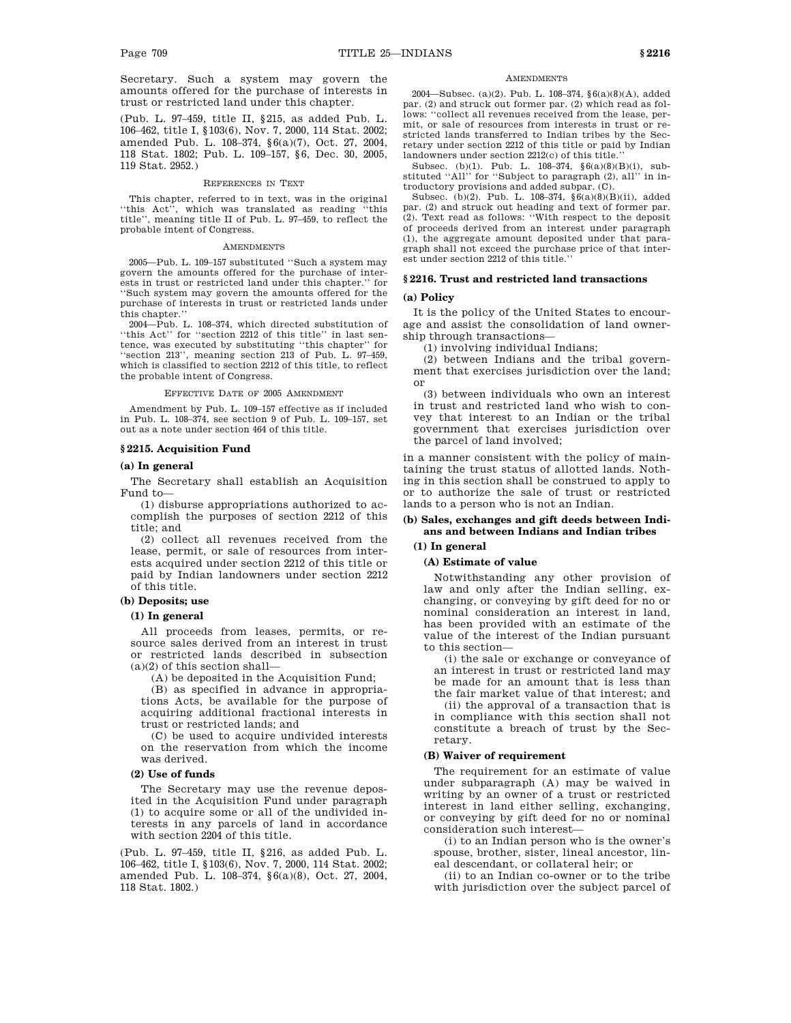Secretary. Such a system may govern the amounts offered for the purchase of interests in trust or restricted land under this chapter.

(Pub. L. 97–459, title II, §215, as added Pub. L. 106–462, title I, §103(6), Nov. 7, 2000, 114 Stat. 2002; amended Pub. L. 108–374, §6(a)(7), Oct. 27, 2004, 118 Stat. 1802; Pub. L. 109–157, §6, Dec. 30, 2005, 119 Stat. 2952.)

#### REFERENCES IN TEXT

This chapter, referred to in text, was in the original ''this Act'', which was translated as reading ''this title'', meaning title II of Pub. L. 97–459, to reflect the probable intent of Congress.

#### AMENDMENTS

2005—Pub. L. 109–157 substituted ''Such a system may govern the amounts offered for the purchase of interests in trust or restricted land under this chapter.'' for ''Such system may govern the amounts offered for the purchase of interests in trust or restricted lands under this chapter.''

2004—Pub. L. 108–374, which directed substitution of ''this Act'' for ''section 2212 of this title'' in last sentence, was executed by substituting ''this chapter'' for ''section 213'', meaning section 213 of Pub. L. 97–459, which is classified to section 2212 of this title, to reflect the probable intent of Congress.

#### EFFECTIVE DATE OF 2005 AMENDMENT

Amendment by Pub. L. 109–157 effective as if included in Pub. L. 108–374, see section 9 of Pub. L. 109–157, set out as a note under section 464 of this title.

#### **§ 2215. Acquisition Fund**

### **(a) In general**

The Secretary shall establish an Acquisition Fund to—

(1) disburse appropriations authorized to accomplish the purposes of section 2212 of this title; and

(2) collect all revenues received from the lease, permit, or sale of resources from interests acquired under section 2212 of this title or paid by Indian landowners under section 2212 of this title.

### **(b) Deposits; use**

### **(1) In general**

All proceeds from leases, permits, or resource sales derived from an interest in trust or restricted lands described in subsection  $(a)(2)$  of this section shall—

(A) be deposited in the Acquisition Fund;

(B) as specified in advance in appropriations Acts, be available for the purpose of acquiring additional fractional interests in trust or restricted lands; and

(C) be used to acquire undivided interests on the reservation from which the income was derived.

### **(2) Use of funds**

The Secretary may use the revenue deposited in the Acquisition Fund under paragraph (1) to acquire some or all of the undivided interests in any parcels of land in accordance with section 2204 of this title.

(Pub. L. 97–459, title II, §216, as added Pub. L. 106–462, title I, §103(6), Nov. 7, 2000, 114 Stat. 2002; amended Pub. L. 108–374, §6(a)(8), Oct. 27, 2004, 118 Stat. 1802.)

#### **AMENDMENTS**

2004—Subsec. (a)(2). Pub. L. 108–374, §6(a)(8)(A), added par. (2) and struck out former par. (2) which read as follows: ''collect all revenues received from the lease, permit, or sale of resources from interests in trust or restricted lands transferred to Indian tribes by the Secretary under section 2212 of this title or paid by Indian landowners under section 2212(c) of this title.''

Subsec. (b)(1). Pub. L. 108–374, §6(a)(8)(B)(i), substituted ''All'' for ''Subject to paragraph (2), all'' in introductory provisions and added subpar. (C).

Subsec. (b)(2). Pub. L. 108–374, §6(a)(8)(B)(ii), added par. (2) and struck out heading and text of former par. (2). Text read as follows: ''With respect to the deposit of proceeds derived from an interest under paragraph (1), the aggregate amount deposited under that paragraph shall not exceed the purchase price of that interest under section 2212 of this title.''

### **§ 2216. Trust and restricted land transactions**

## **(a) Policy**

It is the policy of the United States to encourage and assist the consolidation of land ownership through transactions—

(1) involving individual Indians;

(2) between Indians and the tribal government that exercises jurisdiction over the land; or

(3) between individuals who own an interest in trust and restricted land who wish to convey that interest to an Indian or the tribal government that exercises jurisdiction over the parcel of land involved;

in a manner consistent with the policy of maintaining the trust status of allotted lands. Nothing in this section shall be construed to apply to or to authorize the sale of trust or restricted lands to a person who is not an Indian.

### **(b) Sales, exchanges and gift deeds between Indians and between Indians and Indian tribes**

#### **(1) In general**

### **(A) Estimate of value**

Notwithstanding any other provision of law and only after the Indian selling, exchanging, or conveying by gift deed for no or nominal consideration an interest in land, has been provided with an estimate of the value of the interest of the Indian pursuant to this section—

(i) the sale or exchange or conveyance of an interest in trust or restricted land may be made for an amount that is less than the fair market value of that interest; and

(ii) the approval of a transaction that is in compliance with this section shall not constitute a breach of trust by the Secretary.

#### **(B) Waiver of requirement**

The requirement for an estimate of value under subparagraph (A) may be waived in writing by an owner of a trust or restricted interest in land either selling, exchanging, or conveying by gift deed for no or nominal consideration such interest—

(i) to an Indian person who is the owner's spouse, brother, sister, lineal ancestor, lineal descendant, or collateral heir; or

(ii) to an Indian co-owner or to the tribe with jurisdiction over the subject parcel of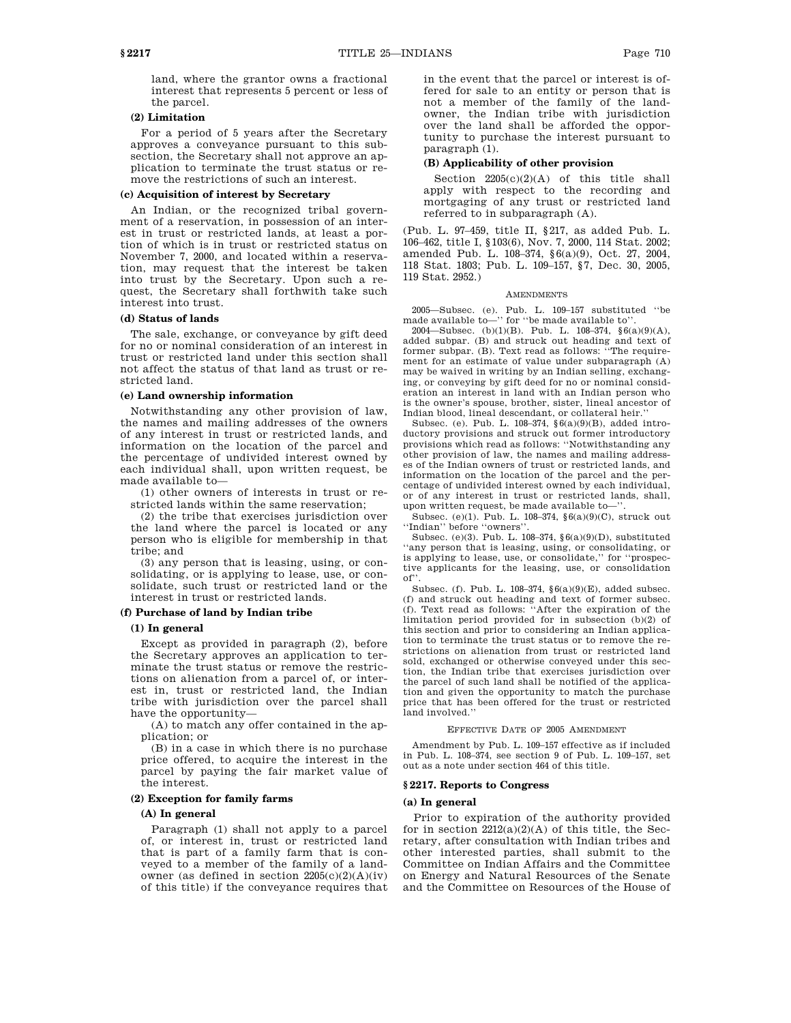land, where the grantor owns a fractional interest that represents 5 percent or less of the parcel.

#### **(2) Limitation**

For a period of 5 years after the Secretary approves a conveyance pursuant to this subsection, the Secretary shall not approve an application to terminate the trust status or remove the restrictions of such an interest.

### **(c) Acquisition of interest by Secretary**

An Indian, or the recognized tribal government of a reservation, in possession of an interest in trust or restricted lands, at least a portion of which is in trust or restricted status on November 7, 2000, and located within a reservation, may request that the interest be taken into trust by the Secretary. Upon such a request, the Secretary shall forthwith take such interest into trust.

#### **(d) Status of lands**

The sale, exchange, or conveyance by gift deed for no or nominal consideration of an interest in trust or restricted land under this section shall not affect the status of that land as trust or restricted land.

# **(e) Land ownership information**

Notwithstanding any other provision of law, the names and mailing addresses of the owners of any interest in trust or restricted lands, and information on the location of the parcel and the percentage of undivided interest owned by each individual shall, upon written request, be made available to—

(1) other owners of interests in trust or restricted lands within the same reservation;

(2) the tribe that exercises jurisdiction over the land where the parcel is located or any person who is eligible for membership in that tribe; and

(3) any person that is leasing, using, or consolidating, or is applying to lease, use, or consolidate, such trust or restricted land or the interest in trust or restricted lands.

#### **(f) Purchase of land by Indian tribe**

#### **(1) In general**

Except as provided in paragraph (2), before the Secretary approves an application to terminate the trust status or remove the restrictions on alienation from a parcel of, or interest in, trust or restricted land, the Indian tribe with jurisdiction over the parcel shall have the opportunity—

(A) to match any offer contained in the application; or

(B) in a case in which there is no purchase price offered, to acquire the interest in the parcel by paying the fair market value of the interest.

# **(2) Exception for family farms**

#### **(A) In general**

Paragraph (1) shall not apply to a parcel of, or interest in, trust or restricted land that is part of a family farm that is conveyed to a member of the family of a landowner (as defined in section  $2205(c)(2)(A)(iv)$ of this title) if the conveyance requires that in the event that the parcel or interest is offered for sale to an entity or person that is not a member of the family of the landowner, the Indian tribe with jurisdiction over the land shall be afforded the opportunity to purchase the interest pursuant to paragraph (1).

### **(B) Applicability of other provision**

Section 2205(c)(2)(A) of this title shall apply with respect to the recording and mortgaging of any trust or restricted land referred to in subparagraph (A).

(Pub. L. 97–459, title II, §217, as added Pub. L. 106–462, title I, §103(6), Nov. 7, 2000, 114 Stat. 2002; amended Pub. L. 108–374, §6(a)(9), Oct. 27, 2004, 118 Stat. 1803; Pub. L. 109–157, §7, Dec. 30, 2005, 119 Stat. 2952.)

#### AMENDMENTS

2005—Subsec. (e). Pub. L. 109–157 substituted ''be made available to—'' for ''be made available to''.

2004—Subsec. (b)(1)(B). Pub. L. 108–374, §6(a)(9)(A), added subpar. (B) and struck out heading and text of former subpar. (B). Text read as follows: ''The requirement for an estimate of value under subparagraph (A) may be waived in writing by an Indian selling, exchanging, or conveying by gift deed for no or nominal consideration an interest in land with an Indian person who is the owner's spouse, brother, sister, lineal ancestor of Indian blood, lineal descendant, or collateral heir.''

Subsec. (e). Pub. L. 108–374, §6(a)(9)(B), added introductory provisions and struck out former introductory provisions which read as follows: ''Notwithstanding any other provision of law, the names and mailing addresses of the Indian owners of trust or restricted lands, and information on the location of the parcel and the percentage of undivided interest owned by each individual, or of any interest in trust or restricted lands, shall, upon written request, be made available to—''.

Subsec. (e)(1). Pub. L. 108–374, §6(a)(9)(C), struck out ''Indian'' before ''owners''.

Subsec. (e)(3). Pub. L. 108–374, §6(a)(9)(D), substituted ''any person that is leasing, using, or consolidating, or is applying to lease, use, or consolidate,'' for ''prospective applicants for the leasing, use, or consolidation of''.

Subsec. (f). Pub. L. 108–374, §6(a)(9)(E), added subsec. (f) and struck out heading and text of former subsec. (f). Text read as follows: ''After the expiration of the limitation period provided for in subsection (b)(2) of this section and prior to considering an Indian application to terminate the trust status or to remove the restrictions on alienation from trust or restricted land sold, exchanged or otherwise conveyed under this section, the Indian tribe that exercises jurisdiction over the parcel of such land shall be notified of the application and given the opportunity to match the purchase price that has been offered for the trust or restricted land involved.''

### EFFECTIVE DATE OF 2005 AMENDMENT

Amendment by Pub. L. 109–157 effective as if included in Pub. L. 108–374, see section 9 of Pub. L. 109–157, set out as a note under section 464 of this title.

#### **§ 2217. Reports to Congress**

#### **(a) In general**

Prior to expiration of the authority provided for in section 2212(a)(2)(A) of this title, the Secretary, after consultation with Indian tribes and other interested parties, shall submit to the Committee on Indian Affairs and the Committee on Energy and Natural Resources of the Senate and the Committee on Resources of the House of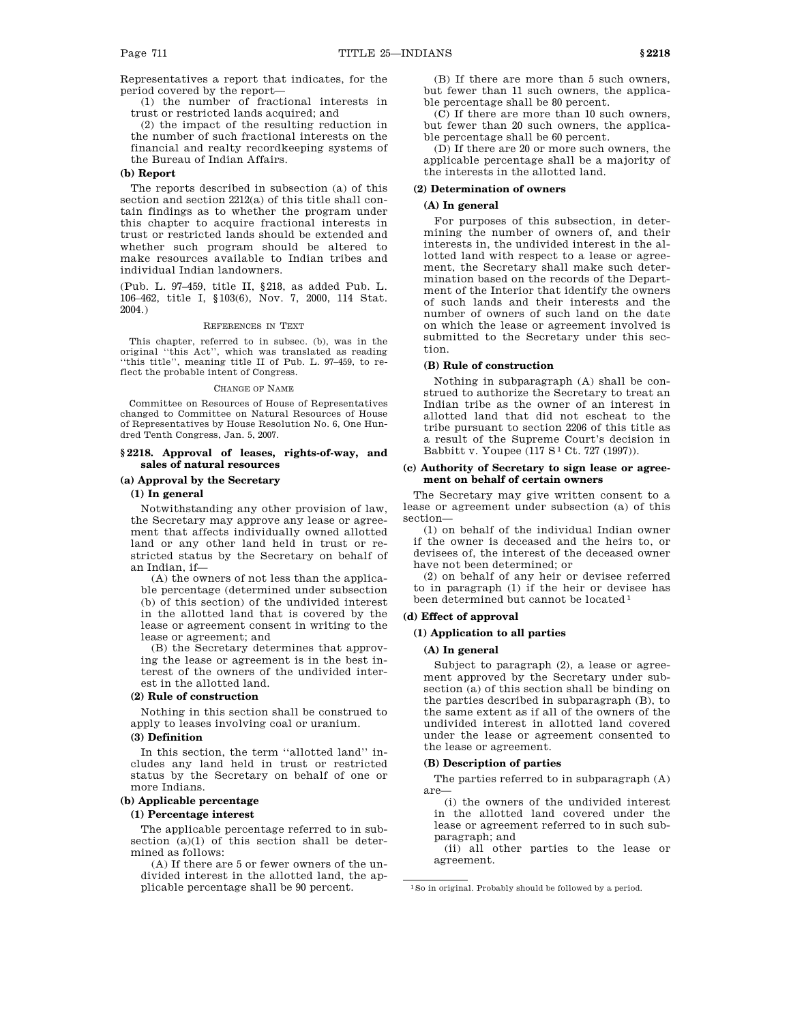Representatives a report that indicates, for the period covered by the report—

(1) the number of fractional interests in trust or restricted lands acquired; and

(2) the impact of the resulting reduction in the number of such fractional interests on the financial and realty recordkeeping systems of the Bureau of Indian Affairs.

#### **(b) Report**

The reports described in subsection (a) of this section and section 2212(a) of this title shall contain findings as to whether the program under this chapter to acquire fractional interests in trust or restricted lands should be extended and whether such program should be altered to make resources available to Indian tribes and individual Indian landowners.

(Pub. L. 97–459, title II, §218, as added Pub. L. 106–462, title I, §103(6), Nov. 7, 2000, 114 Stat. 2004.)

#### REFERENCES IN TEXT

This chapter, referred to in subsec. (b), was in the original ''this Act'', which was translated as reading 'this title'', meaning title II of Pub. L. 97-459, to reflect the probable intent of Congress.

#### CHANGE OF NAME

Committee on Resources of House of Representatives changed to Committee on Natural Resources of House of Representatives by House Resolution No. 6, One Hundred Tenth Congress, Jan. 5, 2007.

### **§ 2218. Approval of leases, rights-of-way, and sales of natural resources**

### **(a) Approval by the Secretary**

# **(1) In general**

Notwithstanding any other provision of law, the Secretary may approve any lease or agreement that affects individually owned allotted land or any other land held in trust or restricted status by the Secretary on behalf of an Indian, if—

(A) the owners of not less than the applicable percentage (determined under subsection (b) of this section) of the undivided interest in the allotted land that is covered by the lease or agreement consent in writing to the lease or agreement; and

(B) the Secretary determines that approving the lease or agreement is in the best interest of the owners of the undivided interest in the allotted land.

### **(2) Rule of construction**

Nothing in this section shall be construed to apply to leases involving coal or uranium.

# **(3) Definition**

In this section, the term ''allotted land'' includes any land held in trust or restricted status by the Secretary on behalf of one or more Indians.

## **(b) Applicable percentage**

#### **(1) Percentage interest**

The applicable percentage referred to in subsection  $(a)(1)$  of this section shall be determined as follows:

(A) If there are 5 or fewer owners of the undivided interest in the allotted land, the applicable percentage shall be 90 percent.

(B) If there are more than 5 such owners, but fewer than 11 such owners, the applicable percentage shall be 80 percent.

(C) If there are more than 10 such owners, but fewer than 20 such owners, the applicable percentage shall be 60 percent.

(D) If there are 20 or more such owners, the applicable percentage shall be a majority of the interests in the allotted land.

### **(2) Determination of owners**

### **(A) In general**

For purposes of this subsection, in determining the number of owners of, and their interests in, the undivided interest in the allotted land with respect to a lease or agreement, the Secretary shall make such determination based on the records of the Department of the Interior that identify the owners of such lands and their interests and the number of owners of such land on the date on which the lease or agreement involved is submitted to the Secretary under this section.

### **(B) Rule of construction**

Nothing in subparagraph (A) shall be construed to authorize the Secretary to treat an Indian tribe as the owner of an interest in allotted land that did not escheat to the tribe pursuant to section 2206 of this title as a result of the Supreme Court's decision in Babbitt v. Youpee (117 S<sup>1</sup> Ct. 727 (1997)).

### **(c) Authority of Secretary to sign lease or agreement on behalf of certain owners**

The Secretary may give written consent to a lease or agreement under subsection (a) of this section—

(1) on behalf of the individual Indian owner if the owner is deceased and the heirs to, or devisees of, the interest of the deceased owner have not been determined; or

(2) on behalf of any heir or devisee referred to in paragraph (1) if the heir or devisee has been determined but cannot be located 1

### **(d) Effect of approval**

#### **(1) Application to all parties**

#### **(A) In general**

Subject to paragraph (2), a lease or agreement approved by the Secretary under subsection (a) of this section shall be binding on the parties described in subparagraph (B), to the same extent as if all of the owners of the undivided interest in allotted land covered under the lease or agreement consented to the lease or agreement.

#### **(B) Description of parties**

The parties referred to in subparagraph (A) are—

(i) the owners of the undivided interest in the allotted land covered under the lease or agreement referred to in such subparagraph; and

(ii) all other parties to the lease or agreement.

<sup>1</sup>So in original. Probably should be followed by a period.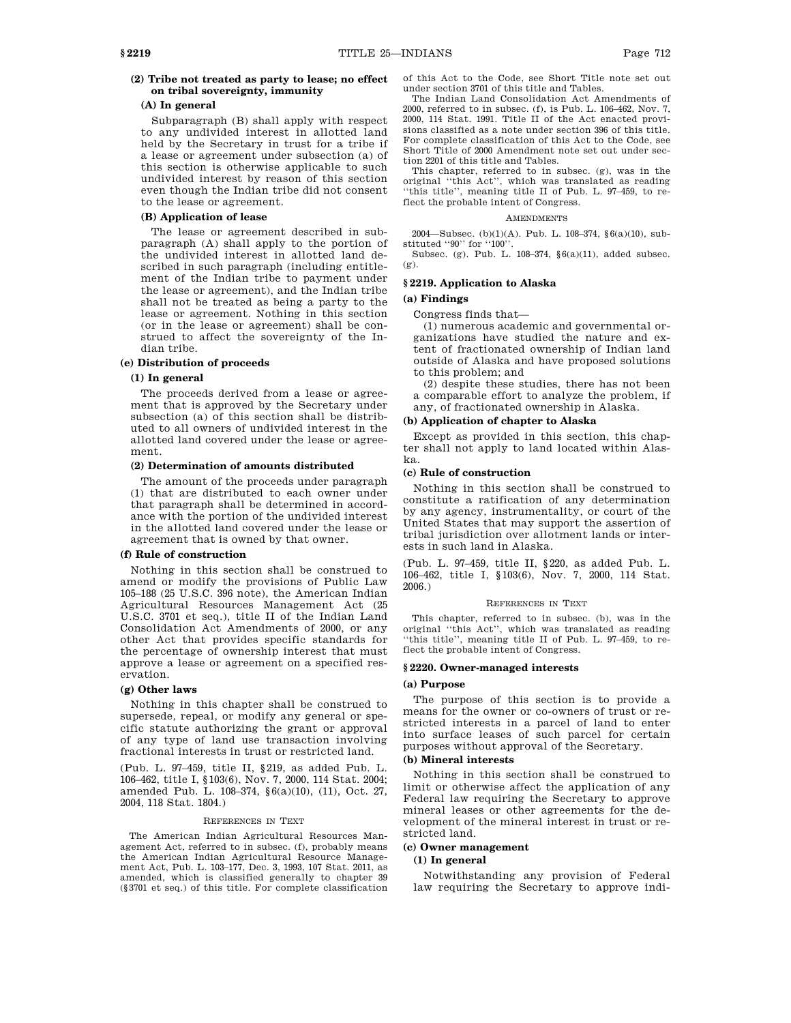# **(2) Tribe not treated as party to lease; no effect on tribal sovereignty, immunity**

### **(A) In general**

Subparagraph (B) shall apply with respect to any undivided interest in allotted land held by the Secretary in trust for a tribe if a lease or agreement under subsection (a) of this section is otherwise applicable to such undivided interest by reason of this section even though the Indian tribe did not consent to the lease or agreement.

### **(B) Application of lease**

The lease or agreement described in subparagraph (A) shall apply to the portion of the undivided interest in allotted land described in such paragraph (including entitlement of the Indian tribe to payment under the lease or agreement), and the Indian tribe shall not be treated as being a party to the lease or agreement. Nothing in this section (or in the lease or agreement) shall be construed to affect the sovereignty of the Indian tribe.

#### **(e) Distribution of proceeds**

### **(1) In general**

The proceeds derived from a lease or agreement that is approved by the Secretary under subsection (a) of this section shall be distributed to all owners of undivided interest in the allotted land covered under the lease or agreement.

### **(2) Determination of amounts distributed**

The amount of the proceeds under paragraph (1) that are distributed to each owner under that paragraph shall be determined in accordance with the portion of the undivided interest in the allotted land covered under the lease or agreement that is owned by that owner.

#### **(f) Rule of construction**

Nothing in this section shall be construed to amend or modify the provisions of Public Law 105–188 (25 U.S.C. 396 note), the American Indian Agricultural Resources Management Act (25 U.S.C. 3701 et seq.), title II of the Indian Land Consolidation Act Amendments of 2000, or any other Act that provides specific standards for the percentage of ownership interest that must approve a lease or agreement on a specified reservation.

### **(g) Other laws**

Nothing in this chapter shall be construed to supersede, repeal, or modify any general or specific statute authorizing the grant or approval of any type of land use transaction involving fractional interests in trust or restricted land.

(Pub. L. 97–459, title II, §219, as added Pub. L. 106–462, title I, §103(6), Nov. 7, 2000, 114 Stat. 2004; amended Pub. L. 108–374, §6(a)(10), (11), Oct. 27, 2004, 118 Stat. 1804.)

#### REFERENCES IN TEXT

The American Indian Agricultural Resources Management Act, referred to in subsec. (f), probably means the American Indian Agricultural Resource Management Act, Pub. L. 103–177, Dec. 3, 1993, 107 Stat. 2011, as amended, which is classified generally to chapter 39 (§3701 et seq.) of this title. For complete classification of this Act to the Code, see Short Title note set out under section 3701 of this title and Tables.

The Indian Land Consolidation Act Amendments of 2000, referred to in subsec. (f), is Pub. L. 106–462, Nov. 7, 2000, 114 Stat. 1991. Title II of the Act enacted provisions classified as a note under section 396 of this title. For complete classification of this Act to the Code, see Short Title of 2000 Amendment note set out under section 2201 of this title and Tables.

This chapter, referred to in subsec. (g), was in the original ''this Act'', which was translated as reading ''this title'', meaning title II of Pub. L. 97–459, to reflect the probable intent of Congress.

#### **AMENDMENTS**

2004—Subsec. (b)(1)(A). Pub. L. 108–374, §6(a)(10), substituted ''90'' for ''100''.

Subsec. (g). Pub. L. 108–374, §6(a)(11), added subsec. (g).

### **§ 2219. Application to Alaska**

**(a) Findings**

Congress finds that—

(1) numerous academic and governmental organizations have studied the nature and extent of fractionated ownership of Indian land outside of Alaska and have proposed solutions to this problem; and

(2) despite these studies, there has not been a comparable effort to analyze the problem, if any, of fractionated ownership in Alaska.

### **(b) Application of chapter to Alaska**

Except as provided in this section, this chapter shall not apply to land located within Alaska.

### **(c) Rule of construction**

Nothing in this section shall be construed to constitute a ratification of any determination by any agency, instrumentality, or court of the United States that may support the assertion of tribal jurisdiction over allotment lands or interests in such land in Alaska.

(Pub. L. 97–459, title II, §220, as added Pub. L. 106–462, title I, §103(6), Nov. 7, 2000, 114 Stat. 2006.)

#### REFERENCES IN TEXT

This chapter, referred to in subsec. (b), was in the original ''this Act'', which was translated as reading 'this title'', meaning title II of Pub. L. 97-459, to reflect the probable intent of Congress.

#### **§ 2220. Owner-managed interests**

#### **(a) Purpose**

The purpose of this section is to provide a means for the owner or co-owners of trust or restricted interests in a parcel of land to enter into surface leases of such parcel for certain purposes without approval of the Secretary.

### **(b) Mineral interests**

Nothing in this section shall be construed to limit or otherwise affect the application of any Federal law requiring the Secretary to approve mineral leases or other agreements for the development of the mineral interest in trust or restricted land.

# **(c) Owner management**

### **(1) In general**

Notwithstanding any provision of Federal law requiring the Secretary to approve indi-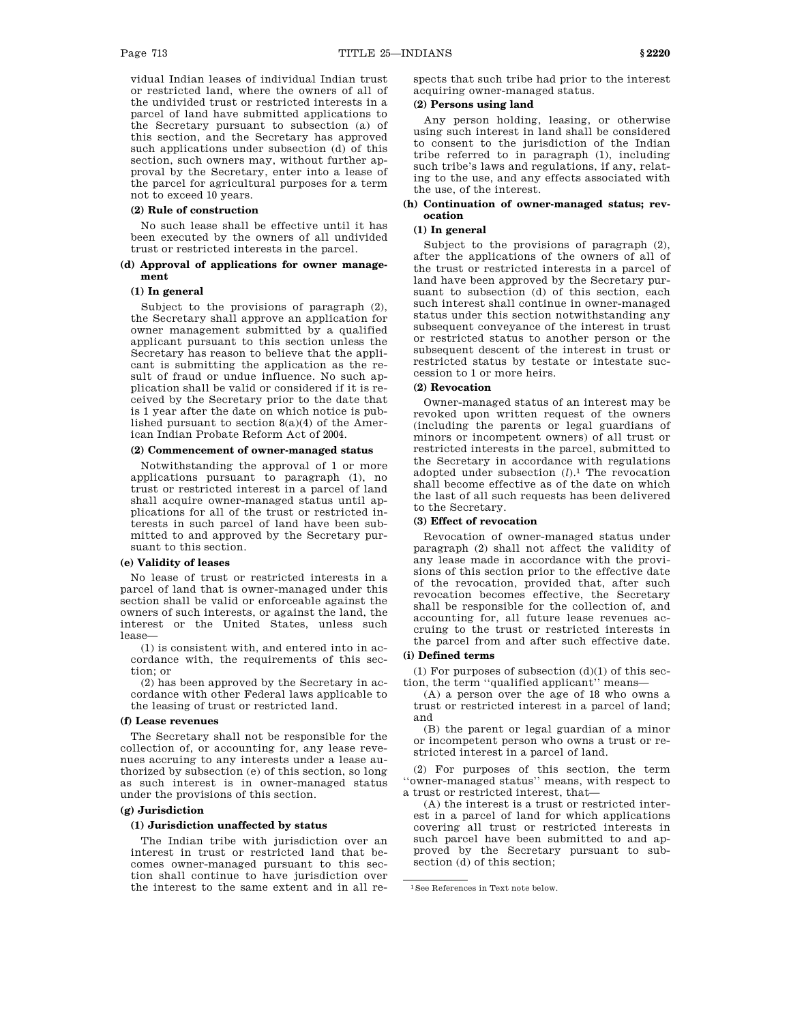vidual Indian leases of individual Indian trust or restricted land, where the owners of all of the undivided trust or restricted interests in a parcel of land have submitted applications to the Secretary pursuant to subsection (a) of this section, and the Secretary has approved such applications under subsection (d) of this section, such owners may, without further approval by the Secretary, enter into a lease of

# not to exceed 10 years. **(2) Rule of construction**

No such lease shall be effective until it has been executed by the owners of all undivided trust or restricted interests in the parcel.

the parcel for agricultural purposes for a term

### **(d) Approval of applications for owner management**

### **(1) In general**

Subject to the provisions of paragraph (2), the Secretary shall approve an application for owner management submitted by a qualified applicant pursuant to this section unless the Secretary has reason to believe that the applicant is submitting the application as the result of fraud or undue influence. No such application shall be valid or considered if it is received by the Secretary prior to the date that is 1 year after the date on which notice is published pursuant to section 8(a)(4) of the American Indian Probate Reform Act of 2004.

### **(2) Commencement of owner-managed status**

Notwithstanding the approval of 1 or more applications pursuant to paragraph (1), no trust or restricted interest in a parcel of land shall acquire owner-managed status until applications for all of the trust or restricted interests in such parcel of land have been submitted to and approved by the Secretary pursuant to this section.

## **(e) Validity of leases**

No lease of trust or restricted interests in a parcel of land that is owner-managed under this section shall be valid or enforceable against the owners of such interests, or against the land, the interest or the United States, unless such lease—

(1) is consistent with, and entered into in accordance with, the requirements of this section; or

(2) has been approved by the Secretary in accordance with other Federal laws applicable to the leasing of trust or restricted land.

#### **(f) Lease revenues**

The Secretary shall not be responsible for the collection of, or accounting for, any lease revenues accruing to any interests under a lease authorized by subsection (e) of this section, so long as such interest is in owner-managed status under the provisions of this section.

### **(g) Jurisdiction**

### **(1) Jurisdiction unaffected by status**

The Indian tribe with jurisdiction over an interest in trust or restricted land that becomes owner-managed pursuant to this section shall continue to have jurisdiction over the interest to the same extent and in all respects that such tribe had prior to the interest acquiring owner-managed status.

# **(2) Persons using land**

Any person holding, leasing, or otherwise using such interest in land shall be considered to consent to the jurisdiction of the Indian tribe referred to in paragraph (1), including such tribe's laws and regulations, if any, relating to the use, and any effects associated with the use, of the interest.

### **(h) Continuation of owner-managed status; revocation**

### **(1) In general**

Subject to the provisions of paragraph (2), after the applications of the owners of all of the trust or restricted interests in a parcel of land have been approved by the Secretary pursuant to subsection (d) of this section, each such interest shall continue in owner-managed status under this section notwithstanding any subsequent conveyance of the interest in trust or restricted status to another person or the subsequent descent of the interest in trust or restricted status by testate or intestate succession to 1 or more heirs.

### **(2) Revocation**

Owner-managed status of an interest may be revoked upon written request of the owners (including the parents or legal guardians of minors or incompetent owners) of all trust or restricted interests in the parcel, submitted to the Secretary in accordance with regulations adopted under subsection (*l*).1 The revocation shall become effective as of the date on which the last of all such requests has been delivered to the Secretary.

#### **(3) Effect of revocation**

Revocation of owner-managed status under paragraph (2) shall not affect the validity of any lease made in accordance with the provisions of this section prior to the effective date of the revocation, provided that, after such revocation becomes effective, the Secretary shall be responsible for the collection of, and accounting for, all future lease revenues accruing to the trust or restricted interests in the parcel from and after such effective date.

### **(i) Defined terms**

(1) For purposes of subsection  $(d)(1)$  of this section, the term ''qualified applicant'' means—

(A) a person over the age of 18 who owns a trust or restricted interest in a parcel of land; and

(B) the parent or legal guardian of a minor or incompetent person who owns a trust or restricted interest in a parcel of land.

(2) For purposes of this section, the term ''owner-managed status'' means, with respect to a trust or restricted interest, that—

(A) the interest is a trust or restricted interest in a parcel of land for which applications covering all trust or restricted interests in such parcel have been submitted to and approved by the Secretary pursuant to subsection (d) of this section;

<sup>1</sup>See References in Text note below.